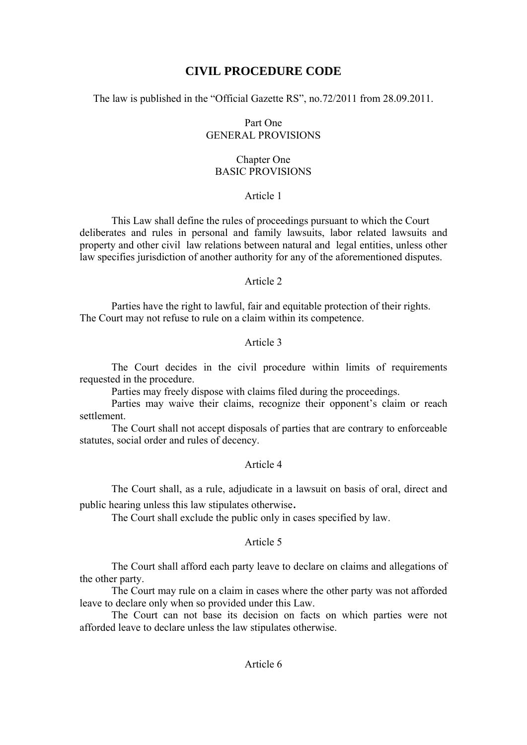# **CIVIL PROCEDURE CODE**

The law is published in the "Official Gazette RS", no.72/2011 from 28.09.2011.

## Part One GENERAL PROVISIONS

# Chapter One BASIC PROVISIONS

## Article 1

This Law shall define the rules of proceedings pursuant to which the Court deliberates and rules in personal and family lawsuits, labor related lawsuits and property and other civil law relations between natural and legal entities, unless other law specifies jurisdiction of another authority for any of the aforementioned disputes.

#### Article 2

Parties have the right to lawful, fair and equitable protection of their rights. The Court may not refuse to rule on a claim within its competence.

### Article 3

The Court decides in the civil procedure within limits of requirements requested in the procedure.

Parties may freely dispose with claims filed during the proceedings.

Parties may waive their claims, recognize their opponent's claim or reach settlement.

The Court shall not accept disposals of parties that are contrary to enforceable statutes, social order and rules of decency.

## Article 4

The Court shall, as a rule, adjudicate in a lawsuit on basis of oral, direct and public hearing unless this law stipulates otherwise.

The Court shall exclude the public only in cases specified by law.

## Article 5

The Court shall afford each party leave to declare on claims and allegations of the other party.

The Court may rule on a claim in cases where the other party was not afforded leave to declare only when so provided under this Law.

The Court can not base its decision on facts on which parties were not afforded leave to declare unless the law stipulates otherwise.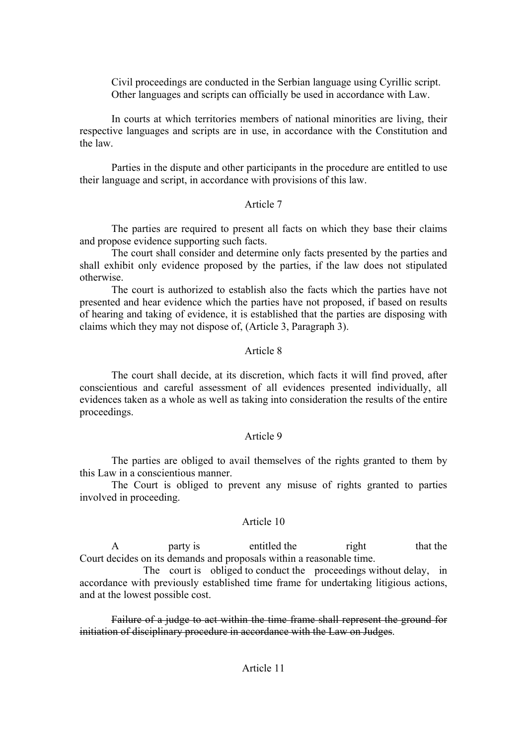Civil proceedings are conducted in the Serbian language using Cyrillic script. Other languages and scripts can officially be used in accordance with Law.

In courts at which territories members of national minorities are living, their respective languages and scripts are in use, in accordance with the Constitution and the law.

Parties in the dispute and other participants in the procedure are entitled to use their language and script, in accordance with provisions of this law.

## Article 7

The parties are required to present all facts on which they base their claims and propose evidence supporting such facts.

The court shall consider and determine only facts presented by the parties and shall exhibit only evidence proposed by the parties, if the law does not stipulated otherwise.

The court is authorized to establish also the facts which the parties have not presented and hear evidence which the parties have not proposed, if based on results of hearing and taking of evidence, it is established that the parties are disposing with claims which they may not dispose of, (Article 3, Paragraph 3).

## Article 8

The court shall decide, at its discretion, which facts it will find proved, after conscientious and careful assessment of all evidences presented individually, all evidences taken as a whole as well as taking into consideration the results of the entire proceedings.

## Article 9

The parties are obliged to avail themselves of the rights granted to them by this Law in a conscientious manner.

The Court is obliged to prevent any misuse of rights granted to parties involved in proceeding.

## Article 10

A party is entitled the right that the Court decides on its demands and proposals within a reasonable time.

 The court is obliged to conduct the proceedings without delay, in accordance with previously established time frame for undertaking litigious actions, and at the lowest possible cost.

Failure of a judge to act within the time frame shall represent the ground for initiation of disciplinary procedure in accordance with the Law on Judges.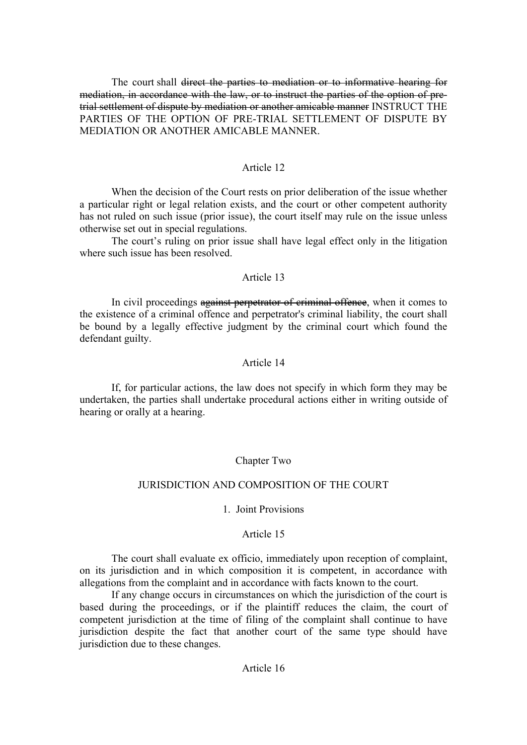The court shall direct the parties to mediation or to informative hearing for mediation, in accordance with the law, or to instruct the parties of the option of pretrial settlement of dispute by mediation or another amicable manner INSTRUCT THE PARTIES OF THE OPTION OF PRE-TRIAL SETTLEMENT OF DISPUTE BY MEDIATION OR ANOTHER AMICABLE MANNER.

## Article 12

When the decision of the Court rests on prior deliberation of the issue whether a particular right or legal relation exists, and the court or other competent authority has not ruled on such issue (prior issue), the court itself may rule on the issue unless otherwise set out in special regulations.

The court's ruling on prior issue shall have legal effect only in the litigation where such issue has been resolved.

## Article 13

In civil proceedings against perpetrator of criminal offence, when it comes to the existence of a criminal offence and perpetrator's criminal liability, the court shall be bound by a legally effective judgment by the criminal court which found the defendant guilty.

## Article 14

If, for particular actions, the law does not specify in which form they may be undertaken, the parties shall undertake procedural actions either in writing outside of hearing or orally at a hearing.

# Chapter Two

## JURISDICTION AND COMPOSITION OF THE COURT

## 1. Joint Provisions

# Article 15

The court shall evaluate ex officio, immediately upon reception of complaint, on its jurisdiction and in which composition it is competent, in accordance with allegations from the complaint and in accordance with facts known to the court.

If any change occurs in circumstances on which the jurisdiction of the court is based during the proceedings, or if the plaintiff reduces the claim, the court of competent jurisdiction at the time of filing of the complaint shall continue to have jurisdiction despite the fact that another court of the same type should have jurisdiction due to these changes.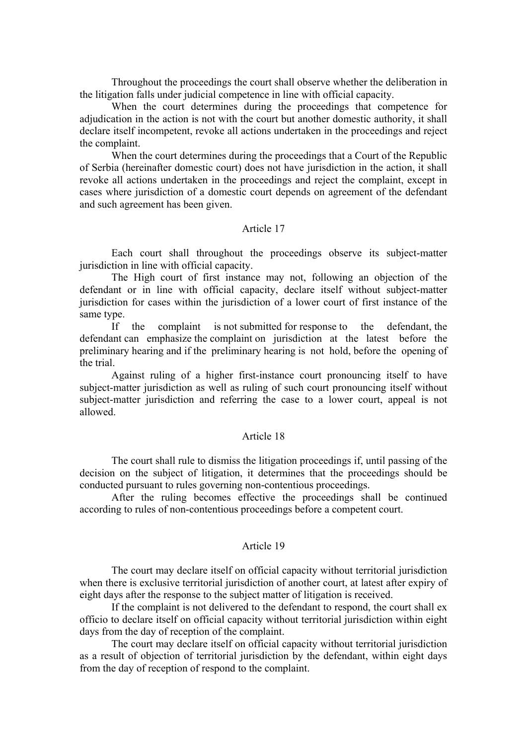Throughout the proceedings the court shall observe whether the deliberation in the litigation falls under judicial competence in line with official capacity.

When the court determines during the proceedings that competence for adjudication in the action is not with the court but another domestic authority, it shall declare itself incompetent, revoke all actions undertaken in the proceedings and reject the complaint.

 When the court determines during the proceedings that a Court of the Republic of Serbia (hereinafter domestic court) does not have jurisdiction in the action, it shall revoke all actions undertaken in the proceedings and reject the complaint, except in cases where jurisdiction of a domestic court depends on agreement of the defendant and such agreement has been given.

#### Article 17

Each court shall throughout the proceedings observe its subject-matter jurisdiction in line with official capacity.

The High court of first instance may not, following an objection of the defendant or in line with official capacity, declare itself without subject-matter jurisdiction for cases within the jurisdiction of a lower court of first instance of the same type.

If the complaint is not submitted for response to the defendant, the defendant can emphasize the complaint on jurisdiction at the latest before the preliminary hearing and if the preliminary hearing is not hold, before the opening of the trial.

Against ruling of a higher first-instance court pronouncing itself to have subject-matter jurisdiction as well as ruling of such court pronouncing itself without subject-matter jurisdiction and referring the case to a lower court, appeal is not allowed.

#### Article 18

The court shall rule to dismiss the litigation proceedings if, until passing of the decision on the subject of litigation, it determines that the proceedings should be conducted pursuant to rules governing non-contentious proceedings.

After the ruling becomes effective the proceedings shall be continued according to rules of non-contentious proceedings before a competent court.

#### Article 19

The court may declare itself on official capacity without territorial jurisdiction when there is exclusive territorial jurisdiction of another court, at latest after expiry of eight days after the response to the subject matter of litigation is received.

If the complaint is not delivered to the defendant to respond, the court shall ex officio to declare itself on official capacity without territorial jurisdiction within eight days from the day of reception of the complaint.

The court may declare itself on official capacity without territorial jurisdiction as a result of objection of territorial jurisdiction by the defendant, within eight days from the day of reception of respond to the complaint.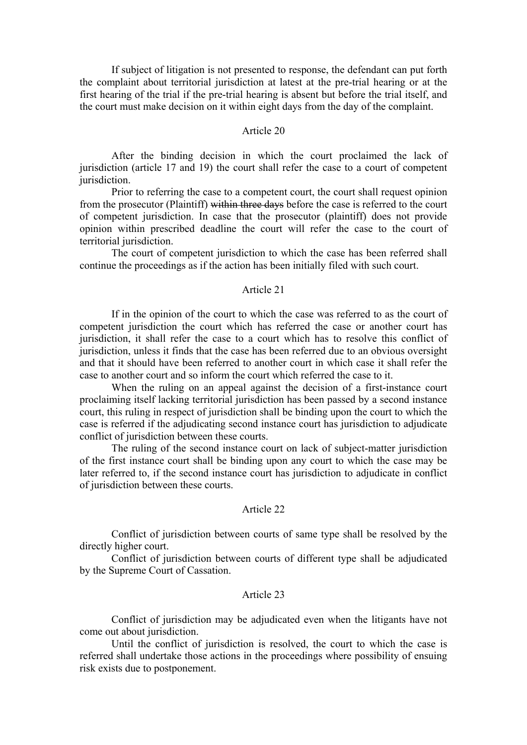If subject of litigation is not presented to response, the defendant can put forth the complaint about territorial jurisdiction at latest at the pre-trial hearing or at the first hearing of the trial if the pre-trial hearing is absent but before the trial itself, and the court must make decision on it within eight days from the day of the complaint.

### Article 20

After the binding decision in which the court proclaimed the lack of jurisdiction (article 17 and 19) the court shall refer the case to a court of competent jurisdiction.

Prior to referring the case to a competent court, the court shall request opinion from the prosecutor (Plaintiff) within three days before the case is referred to the court of competent jurisdiction. In case that the prosecutor (plaintiff) does not provide opinion within prescribed deadline the court will refer the case to the court of territorial jurisdiction.

The court of competent jurisdiction to which the case has been referred shall continue the proceedings as if the action has been initially filed with such court.

## Article 21

If in the opinion of the court to which the case was referred to as the court of competent jurisdiction the court which has referred the case or another court has jurisdiction, it shall refer the case to a court which has to resolve this conflict of jurisdiction, unless it finds that the case has been referred due to an obvious oversight and that it should have been referred to another court in which case it shall refer the case to another court and so inform the court which referred the case to it.

When the ruling on an appeal against the decision of a first-instance court proclaiming itself lacking territorial jurisdiction has been passed by a second instance court, this ruling in respect of jurisdiction shall be binding upon the court to which the case is referred if the adjudicating second instance court has jurisdiction to adjudicate conflict of jurisdiction between these courts.

The ruling of the second instance court on lack of subject-matter jurisdiction of the first instance court shall be binding upon any court to which the case may be later referred to, if the second instance court has jurisdiction to adjudicate in conflict of jurisdiction between these courts.

### Article 22

 Conflict of jurisdiction between courts of same type shall be resolved by the directly higher court.

 Conflict of jurisdiction between courts of different type shall be adjudicated by the Supreme Court of Cassation.

## Article 23

 Conflict of jurisdiction may be adjudicated even when the litigants have not come out about jurisdiction.

 Until the conflict of jurisdiction is resolved, the court to which the case is referred shall undertake those actions in the proceedings where possibility of ensuing risk exists due to postponement.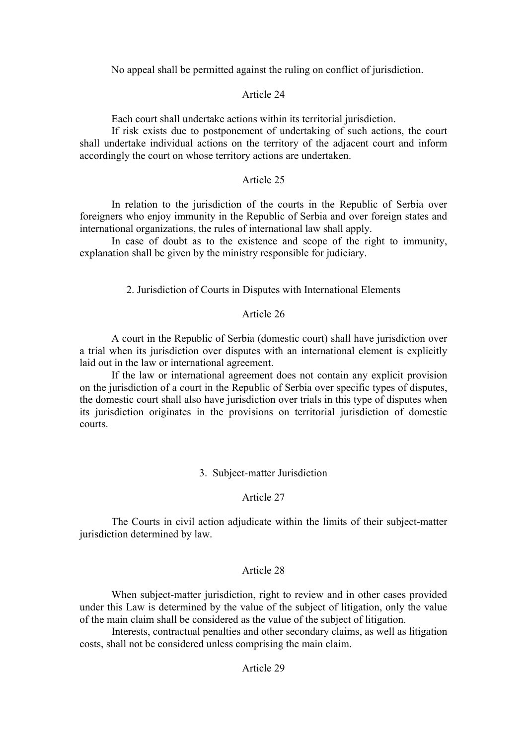No appeal shall be permitted against the ruling on conflict of jurisdiction.

# Article 24

Each court shall undertake actions within its territorial jurisdiction.

If risk exists due to postponement of undertaking of such actions, the court shall undertake individual actions on the territory of the adjacent court and inform accordingly the court on whose territory actions are undertaken.

# Article 25

 In relation to the jurisdiction of the courts in the Republic of Serbia over foreigners who enjoy immunity in the Republic of Serbia and over foreign states and international organizations, the rules of international law shall apply.

 In case of doubt as to the existence and scope of the right to immunity, explanation shall be given by the ministry responsible for judiciary.

# 2. Jurisdiction of Courts in Disputes with International Elements

## Article 26

A court in the Republic of Serbia (domestic court) shall have jurisdiction over a trial when its jurisdiction over disputes with an international element is explicitly laid out in the law or international agreement.

If the law or international agreement does not contain any explicit provision on the jurisdiction of a court in the Republic of Serbia over specific types of disputes, the domestic court shall also have jurisdiction over trials in this type of disputes when its jurisdiction originates in the provisions on territorial jurisdiction of domestic courts.

# 3. Subject-matter Jurisdiction

## Article 27

 The Courts in civil action adjudicate within the limits of their subject-matter jurisdiction determined by law.

# Article 28

 When subject-matter jurisdiction, right to review and in other cases provided under this Law is determined by the value of the subject of litigation, only the value of the main claim shall be considered as the value of the subject of litigation.

 Interests, contractual penalties and other secondary claims, as well as litigation costs, shall not be considered unless comprising the main claim.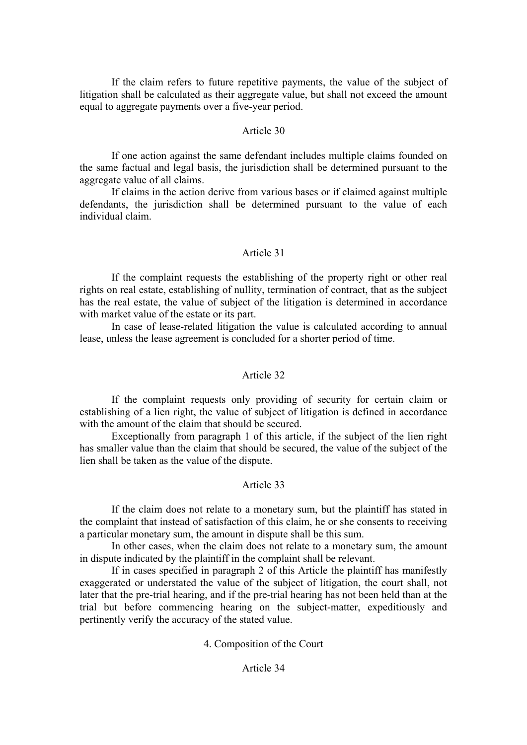If the claim refers to future repetitive payments, the value of the subject of litigation shall be calculated as their aggregate value, but shall not exceed the amount equal to aggregate payments over a five-year period.

#### Article 30

 If one action against the same defendant includes multiple claims founded on the same factual and legal basis, the jurisdiction shall be determined pursuant to the aggregate value of all claims.

 If claims in the action derive from various bases or if claimed against multiple defendants, the jurisdiction shall be determined pursuant to the value of each individual claim.

## Article 31

 If the complaint requests the establishing of the property right or other real rights on real estate, establishing of nullity, termination of contract, that as the subject has the real estate, the value of subject of the litigation is determined in accordance with market value of the estate or its part.

In case of lease-related litigation the value is calculated according to annual lease, unless the lease agreement is concluded for a shorter period of time.

## Article 32

 If the complaint requests only providing of security for certain claim or establishing of a lien right, the value of subject of litigation is defined in accordance with the amount of the claim that should be secured.

 Exceptionally from paragraph 1 of this article, if the subject of the lien right has smaller value than the claim that should be secured, the value of the subject of the lien shall be taken as the value of the dispute.

#### Article 33

 If the claim does not relate to a monetary sum, but the plaintiff has stated in the complaint that instead of satisfaction of this claim, he or she consents to receiving a particular monetary sum, the amount in dispute shall be this sum.

 In other cases, when the claim does not relate to a monetary sum, the amount in dispute indicated by the plaintiff in the complaint shall be relevant.

 If in cases specified in paragraph 2 of this Article the plaintiff has manifestly exaggerated or understated the value of the subject of litigation, the court shall, not later that the pre-trial hearing, and if the pre-trial hearing has not been held than at the trial but before commencing hearing on the subject-matter, expeditiously and pertinently verify the accuracy of the stated value.

## 4. Composition of the Court

## Article 34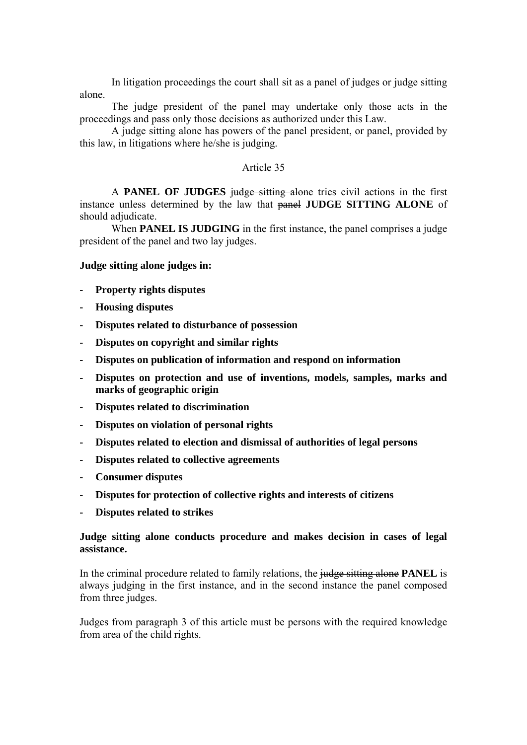In litigation proceedings the court shall sit as a panel of judges or judge sitting alone.

 The judge president of the panel may undertake only those acts in the proceedings and pass only those decisions as authorized under this Law.

 A judge sitting alone has powers of the panel president, or panel, provided by this law, in litigations where he/she is judging.

### Article 35

 A **PANEL OF JUDGES** judge sitting alone tries civil actions in the first instance unless determined by the law that panel **JUDGE SITTING ALONE** of should adjudicate.

When **PANEL IS JUDGING** in the first instance, the panel comprises a judge president of the panel and two lay judges.

### **Judge sitting alone judges in:**

- **- Property rights disputes**
- **- Housing disputes**
- **- Disputes related to disturbance of possession**
- **- Disputes on copyright and similar rights**
- **- Disputes on publication of information and respond on information**
- **- Disputes on protection and use of inventions, models, samples, marks and marks of geographic origin**
- **- Disputes related to discrimination**
- **- Disputes on violation of personal rights**
- **- Disputes related to election and dismissal of authorities of legal persons**
- **- Disputes related to collective agreements**
- **- Consumer disputes**
- **- Disputes for protection of collective rights and interests of citizens**
- **- Disputes related to strikes**

## **Judge sitting alone conducts procedure and makes decision in cases of legal assistance.**

In the criminal procedure related to family relations, the judge sitting alone **PANEL** is always judging in the first instance, and in the second instance the panel composed from three judges.

Judges from paragraph 3 of this article must be persons with the required knowledge from area of the child rights.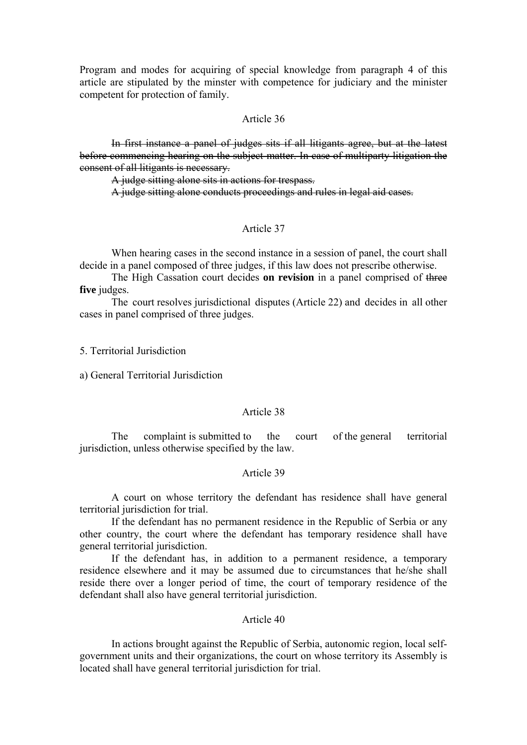Program and modes for acquiring of special knowledge from paragraph 4 of this article are stipulated by the minster with competence for judiciary and the minister competent for protection of family.

#### Article 36

 In first instance a panel of judges sits if all litigants agree, but at the latest before commencing hearing on the subject-matter. In case of multiparty litigation the consent of all litigants is necessary.

A judge sitting alone sits in actions for trespass.

A judge sitting alone conducts proceedings and rules in legal aid cases.

## Article 37

 When hearing cases in the second instance in a session of panel, the court shall decide in a panel composed of three judges, if this law does not prescribe otherwise.

 The High Cassation court decides **on revision** in a panel comprised of three **five** judges.

 The court resolves jurisdictional disputes (Article 22) and decides in all other cases in panel comprised of three judges.

5. Territorial Jurisdiction

а) General Territorial Jurisdiction

### Article 38

The complaint is submitted to the court of the general territorial jurisdiction, unless otherwise specified by the law.

### Article 39

 A court on whose territory the defendant has residence shall have general territorial jurisdiction for trial.

 If the defendant has no permanent residence in the Republic of Serbia or any other country, the court where the defendant has temporary residence shall have general territorial jurisdiction.

 If the defendant has, in addition to a permanent residence, a temporary residence elsewhere and it may be assumed due to circumstances that he/she shall reside there over a longer period of time, the court of temporary residence of the defendant shall also have general territorial jurisdiction.

#### Article 40

 In actions brought against the Republic of Serbia, autonomic region, local selfgovernment units and their organizations, the court on whose territory its Assembly is located shall have general territorial jurisdiction for trial.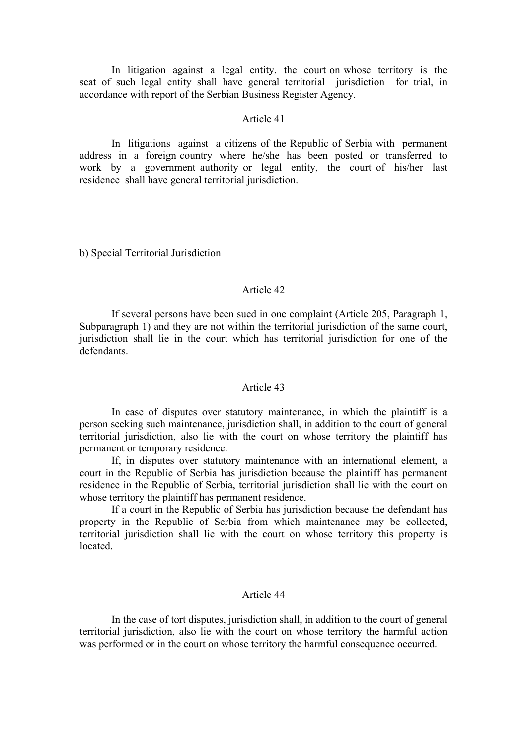In litigation against a legal entity, the court on whose territory is the seat of such legal entity shall have general territorial jurisdiction for trial, in accordance with report of the Serbian Business Register Agency.

#### Article 41

In litigations against a citizens of the Republic of Serbia with permanent address in a foreign country where he/she has been posted or transferred to work by a government authority or legal entity, the court of his/her last residence shall have general territorial jurisdiction.

b) Special Territorial Jurisdiction

## Article 42

 If several persons have been sued in one complaint (Article 205, Paragraph 1, Subparagraph 1) and they are not within the territorial jurisdiction of the same court, jurisdiction shall lie in the court which has territorial jurisdiction for one of the defendants.

#### Article 43

 In case of disputes over statutory maintenance, in which the plaintiff is a person seeking such maintenance, jurisdiction shall, in addition to the court of general territorial jurisdiction, also lie with the court on whose territory the plaintiff has permanent or temporary residence.

 If, in disputes over statutory maintenance with an international element, a court in the Republic of Serbia has jurisdiction because the plaintiff has permanent residence in the Republic of Serbia, territorial jurisdiction shall lie with the court on whose territory the plaintiff has permanent residence.

 If a court in the Republic of Serbia has jurisdiction because the defendant has property in the Republic of Serbia from which maintenance may be collected, territorial jurisdiction shall lie with the court on whose territory this property is **located** 

## Article 44

 In the case of tort disputes, jurisdiction shall, in addition to the court of general territorial jurisdiction, also lie with the court on whose territory the harmful action was performed or in the court on whose territory the harmful consequence occurred.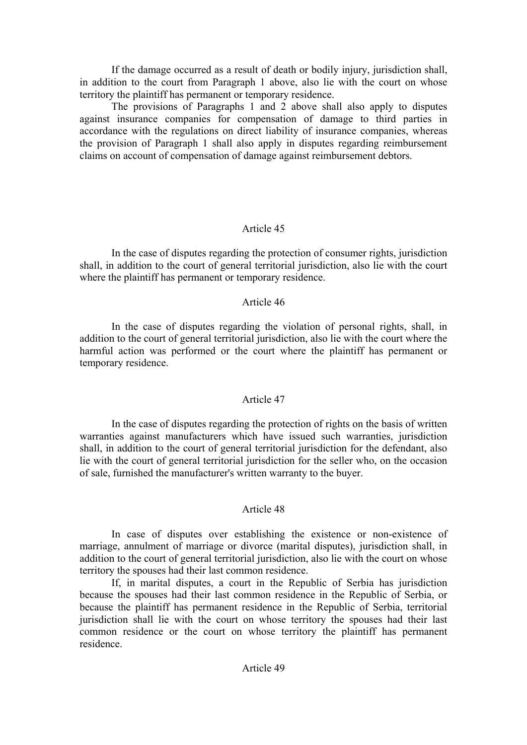If the damage occurred as a result of death or bodily injury, jurisdiction shall, in addition to the court from Paragraph 1 above, also lie with the court on whose territory the plaintiff has permanent or temporary residence.

 The provisions of Paragraphs 1 and 2 above shall also apply to disputes against insurance companies for compensation of damage to third parties in accordance with the regulations on direct liability of insurance companies, whereas the provision of Paragraph 1 shall also apply in disputes regarding reimbursement claims on account of compensation of damage against reimbursement debtors.

## Article 45

 In the case of disputes regarding the protection of consumer rights, jurisdiction shall, in addition to the court of general territorial jurisdiction, also lie with the court where the plaintiff has permanent or temporary residence.

## Article 46

 In the case of disputes regarding the violation of personal rights, shall, in addition to the court of general territorial jurisdiction, also lie with the court where the harmful action was performed or the court where the plaintiff has permanent or temporary residence.

# Article 47

In the case of disputes regarding the protection of rights on the basis of written warranties against manufacturers which have issued such warranties, jurisdiction shall, in addition to the court of general territorial jurisdiction for the defendant, also lie with the court of general territorial jurisdiction for the seller who, on the occasion of sale, furnished the manufacturer's written warranty to the buyer.

## Article 48

 In case of disputes over establishing the existence or non-existence of marriage, annulment of marriage or divorce (marital disputes), jurisdiction shall, in addition to the court of general territorial jurisdiction, also lie with the court on whose territory the spouses had their last common residence.

 If, in marital disputes, a court in the Republic of Serbia has jurisdiction because the spouses had their last common residence in the Republic of Serbia, or because the plaintiff has permanent residence in the Republic of Serbia, territorial jurisdiction shall lie with the court on whose territory the spouses had their last common residence or the court on whose territory the plaintiff has permanent residence.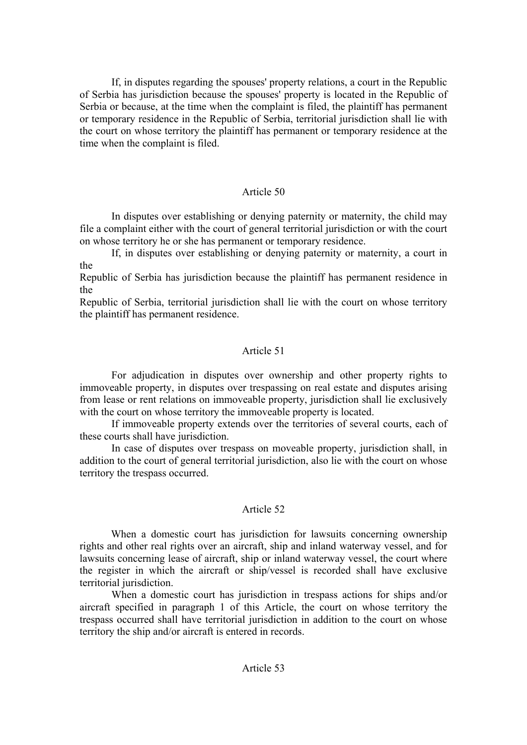If, in disputes regarding the spouses' property relations, a court in the Republic of Serbia has jurisdiction because the spouses' property is located in the Republic of Serbia or because, at the time when the complaint is filed, the plaintiff has permanent or temporary residence in the Republic of Serbia, territorial jurisdiction shall lie with the court on whose territory the plaintiff has permanent or temporary residence at the time when the complaint is filed.

# Article 50

 In disputes over establishing or denying paternity or maternity, the child may file a complaint either with the court of general territorial jurisdiction or with the court on whose territory he or she has permanent or temporary residence.

 If, in disputes over establishing or denying paternity or maternity, a court in the

Republic of Serbia has jurisdiction because the plaintiff has permanent residence in the

Republic of Serbia, territorial jurisdiction shall lie with the court on whose territory the plaintiff has permanent residence.

## Article 51

 For adjudication in disputes over ownership and other property rights to immoveable property, in disputes over trespassing on real estate and disputes arising from lease or rent relations on immoveable property, jurisdiction shall lie exclusively with the court on whose territory the immoveable property is located.

 If immoveable property extends over the territories of several courts, each of these courts shall have jurisdiction.

 In case of disputes over trespass on moveable property, jurisdiction shall, in addition to the court of general territorial jurisdiction, also lie with the court on whose territory the trespass occurred.

## Article 52

When a domestic court has jurisdiction for lawsuits concerning ownership rights and other real rights over an aircraft, ship and inland waterway vessel, and for lawsuits concerning lease of aircraft, ship or inland waterway vessel, the court where the register in which the aircraft or ship/vessel is recorded shall have exclusive territorial jurisdiction.

 When a domestic court has jurisdiction in trespass actions for ships and/or aircraft specified in paragraph 1 of this Article, the court on whose territory the trespass occurred shall have territorial jurisdiction in addition to the court on whose territory the ship and/or aircraft is entered in records.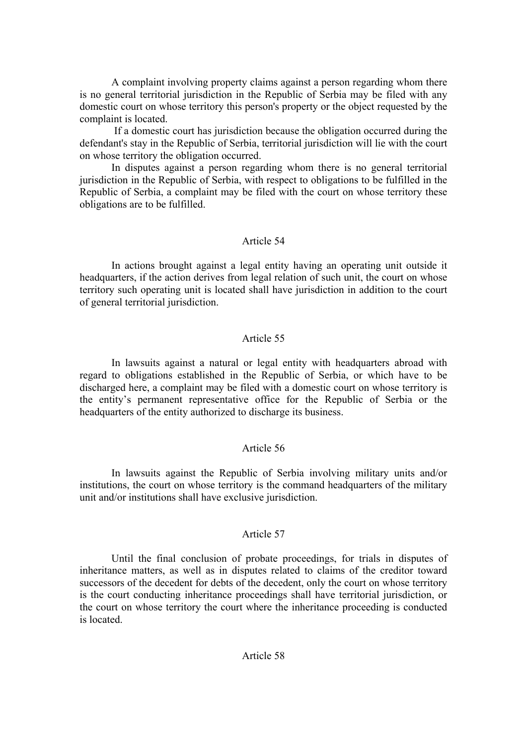A complaint involving property claims against a person regarding whom there is no general territorial jurisdiction in the Republic of Serbia may be filed with any domestic court on whose territory this person's property or the object requested by the complaint is located.

 If a domestic court has jurisdiction because the obligation occurred during the defendant's stay in the Republic of Serbia, territorial jurisdiction will lie with the court on whose territory the obligation occurred.

 In disputes against a person regarding whom there is no general territorial jurisdiction in the Republic of Serbia, with respect to obligations to be fulfilled in the Republic of Serbia, a complaint may be filed with the court on whose territory these obligations are to be fulfilled.

## Article 54

 In actions brought against a legal entity having an operating unit outside it headquarters, if the action derives from legal relation of such unit, the court on whose territory such operating unit is located shall have jurisdiction in addition to the court of general territorial jurisdiction.

## Article 55

 In lawsuits against a natural or legal entity with headquarters abroad with regard to obligations established in the Republic of Serbia, or which have to be discharged here, a complaint may be filed with a domestic court on whose territory is the entity's permanent representative office for the Republic of Serbia or the headquarters of the entity authorized to discharge its business.

## Article 56

 In lawsuits against the Republic of Serbia involving military units and/or institutions, the court on whose territory is the command headquarters of the military unit and/or institutions shall have exclusive jurisdiction.

#### Article 57

 Until the final conclusion of probate proceedings, for trials in disputes of inheritance matters, as well as in disputes related to claims of the creditor toward successors of the decedent for debts of the decedent, only the court on whose territory is the court conducting inheritance proceedings shall have territorial jurisdiction, or the court on whose territory the court where the inheritance proceeding is conducted is located.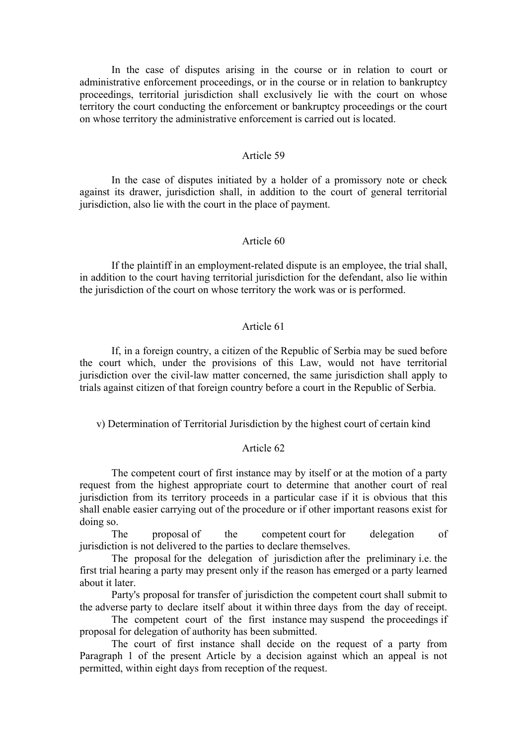In the case of disputes arising in the course or in relation to court or administrative enforcement proceedings, or in the course or in relation to bankruptcy proceedings, territorial jurisdiction shall exclusively lie with the court on whose territory the court conducting the enforcement or bankruptcy proceedings or the court on whose territory the administrative enforcement is carried out is located.

#### Article 59

 In the case of disputes initiated by a holder of a promissory note or check against its drawer, jurisdiction shall, in addition to the court of general territorial jurisdiction, also lie with the court in the place of payment.

### Article 60

 If the plaintiff in an employment-related dispute is an employee, the trial shall, in addition to the court having territorial jurisdiction for the defendant, also lie within the jurisdiction of the court on whose territory the work was or is performed.

### Article 61

 If, in a foreign country, a citizen of the Republic of Serbia may be sued before the court which, under the provisions of this Law, would not have territorial jurisdiction over the civil-law matter concerned, the same jurisdiction shall apply to trials against citizen of that foreign country before a court in the Republic of Serbia.

v) Determination of Territorial Jurisdiction by the highest court of certain kind

## Article 62

 The competent court of first instance may by itself or at the motion of a party request from the highest appropriate court to determine that another court of real jurisdiction from its territory proceeds in a particular case if it is obvious that this shall enable easier carrying out of the procedure or if other important reasons exist for doing so.

The proposal of the competent court for delegation of jurisdiction is not delivered to the parties to declare themselves.

 The proposal for the delegation of jurisdiction after the preliminary i.e. the first trial hearing a party may present only if the reason has emerged or a party learned about it later.

 Party's proposal for transfer of jurisdiction the competent court shall submit to the adverse party to declare itself about it within three days from the day of receipt.

 The competent court of the first instance may suspend the proceedings if proposal for delegation of authority has been submitted.

 The court of first instance shall decide on the request of a party from Paragraph 1 of the present Article by a decision against which an appeal is not permitted, within eight days from reception of the request.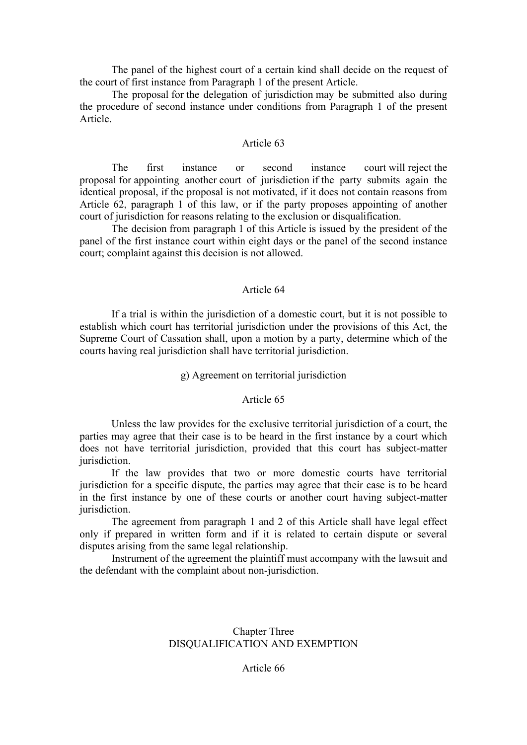The panel of the highest court of a certain kind shall decide on the request of the court of first instance from Paragraph 1 of the present Article.

 The proposal for the delegation of jurisdiction may be submitted also during the procedure of second instance under conditions from Paragraph 1 of the present Article.

### Article 63

 The first instance or second instance court will reject the proposal for appointing another court of jurisdiction if the party submits again the identical proposal, if the proposal is not motivated, if it does not contain reasons from Article 62, paragraph 1 of this law, or if the party proposes appointing of another court of jurisdiction for reasons relating to the exclusion or disqualification.

 The decision from paragraph 1 of this Article is issued by the president of the panel of the first instance court within eight days or the panel of the second instance court; complaint against this decision is not allowed.

## Article 64

 If a trial is within the jurisdiction of a domestic court, but it is not possible to establish which court has territorial jurisdiction under the provisions of this Act, the Supreme Court of Cassation shall, upon a motion by a party, determine which of the courts having real jurisdiction shall have territorial jurisdiction.

#### g) Agreement on territorial jurisdiction

#### Article 65

 Unless the law provides for the exclusive territorial jurisdiction of a court, the parties may agree that their case is to be heard in the first instance by a court which does not have territorial jurisdiction, provided that this court has subject-matter jurisdiction.

 If the law provides that two or more domestic courts have territorial jurisdiction for a specific dispute, the parties may agree that their case is to be heard in the first instance by one of these courts or another court having subject-matter jurisdiction.

 The agreement from paragraph 1 and 2 of this Article shall have legal effect only if prepared in written form and if it is related to certain dispute or several disputes arising from the same legal relationship.

 Instrument of the agreement the plaintiff must accompany with the lawsuit and the defendant with the complaint about non-jurisdiction.

## Chapter Three DISQUALIFICATION AND EXEMPTION

#### Article 66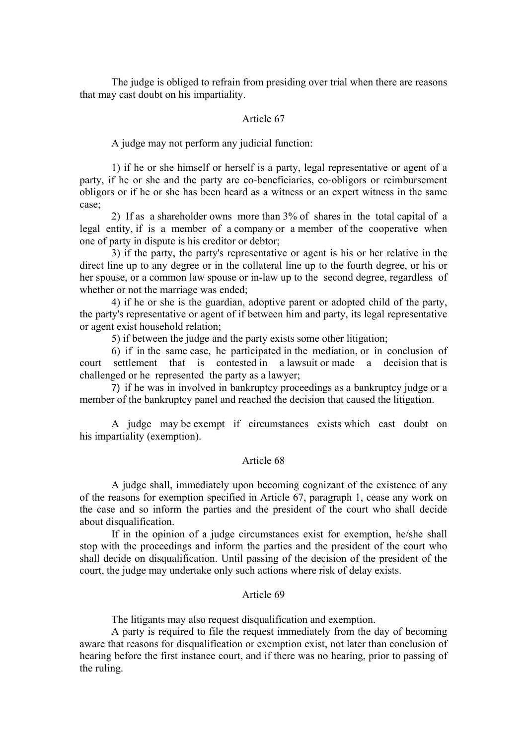The judge is obliged to refrain from presiding over trial when there are reasons that may cast doubt on his impartiality.

#### Article 67

A judge may not perform any judicial function:

 1) if he or she himself or herself is a party, legal representative or agent of a party, if he or she and the party are co-beneficiaries, co-obligors or reimbursement obligors or if he or she has been heard as a witness or an expert witness in the same case;

 2) If as a shareholder owns more than 3% of shares in the total capital of a legal entity, if is a member of a company or a member of the cooperative when one of party in dispute is his creditor or debtor;

 3) if the party, the party's representative or agent is his or her relative in the direct line up to any degree or in the collateral line up to the fourth degree, or his or her spouse, or a common law spouse or in-law up to the second degree, regardless of whether or not the marriage was ended;

 4) if he or she is the guardian, adoptive parent or adopted child of the party, the party's representative or agent of if between him and party, its legal representative or agent exist household relation;

5) if between the judge and the party exists some other litigation;

 6) if in the same case, he participated in the mediation, or in conclusion of court settlement that is contested in a lawsuit or made a decision that is challenged or he represented the party as a lawyer;

7) if he was in involved in bankruptcy proceedings as a bankruptcy judge or a member of the bankruptcy panel and reached the decision that caused the litigation.

 A judge may be exempt if circumstances exists which cast doubt on his impartiality (exemption).

## Article 68

 A judge shall, immediately upon becoming cognizant of the existence of any of the reasons for exemption specified in Article 67, paragraph 1, cease any work on the case and so inform the parties and the president of the court who shall decide about disqualification.

 If in the opinion of a judge circumstances exist for exemption, he/she shall stop with the proceedings and inform the parties and the president of the court who shall decide on disqualification. Until passing of the decision of the president of the court, the judge may undertake only such actions where risk of delay exists.

## Article 69

The litigants may also request disqualification and exemption.

 A party is required to file the request immediately from the day of becoming aware that reasons for disqualification or exemption exist, not later than conclusion of hearing before the first instance court, and if there was no hearing, prior to passing of the ruling.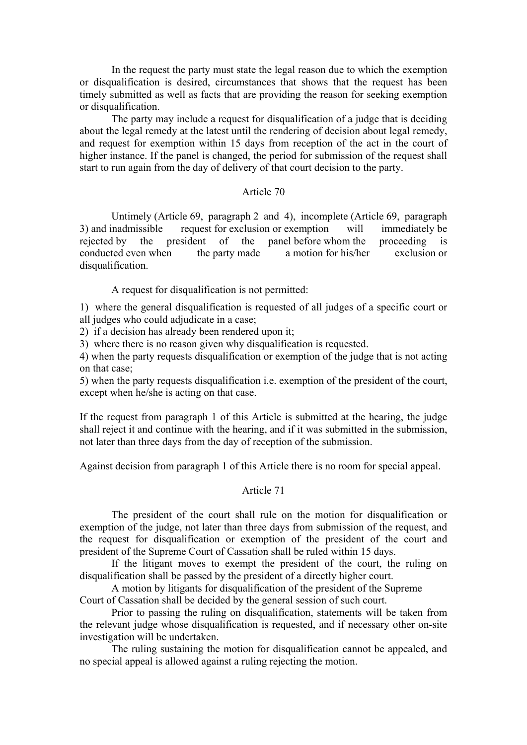In the request the party must state the legal reason due to which the exemption or disqualification is desired, circumstances that shows that the request has been timely submitted as well as facts that are providing the reason for seeking exemption or disqualification.

 The party may include a request for disqualification of a judge that is deciding about the legal remedy at the latest until the rendering of decision about legal remedy, and request for exemption within 15 days from reception of the act in the court of higher instance. If the panel is changed, the period for submission of the request shall start to run again from the day of delivery of that court decision to the party.

## Article 70

 Untimely (Article 69, paragraph 2 and 4), incomplete (Article 69, paragraph 3) and inadmissible request for exclusion or exemption will immediately be rejected by the president of the panel before whom the proceeding is conducted even when the party made a motion for his/her exclusion or disqualification.

A request for disqualification is not permitted:

1) where the general disqualification is requested of all judges of a specific court or all judges who could adjudicate in a case;

2) if a decision has already been rendered upon it;

3) where there is no reason given why disqualification is requested.

4) when the party requests disqualification or exemption of the judge that is not acting on that case;

5) when the party requests disqualification i.e. exemption of the president of the court, except when he/she is acting on that case.

If the request from paragraph 1 of this Article is submitted at the hearing, the judge shall reject it and continue with the hearing, and if it was submitted in the submission, not later than three days from the day of reception of the submission.

Against decision from paragraph 1 of this Article there is no room for special appeal.

## Article 71

 The president of the court shall rule on the motion for disqualification or exemption of the judge, not later than three days from submission of the request, and the request for disqualification or exemption of the president of the court and president of the Supreme Court of Cassation shall be ruled within 15 days.

 If the litigant moves to exempt the president of the court, the ruling on disqualification shall be passed by the president of a directly higher court.

 A motion by litigants for disqualification of the president of the Supreme Court of Cassation shall be decided by the general session of such court.

 Prior to passing the ruling on disqualification, statements will be taken from the relevant judge whose disqualification is requested, and if necessary other on-site investigation will be undertaken.

 The ruling sustaining the motion for disqualification cannot be appealed, and no special appeal is allowed against a ruling rejecting the motion.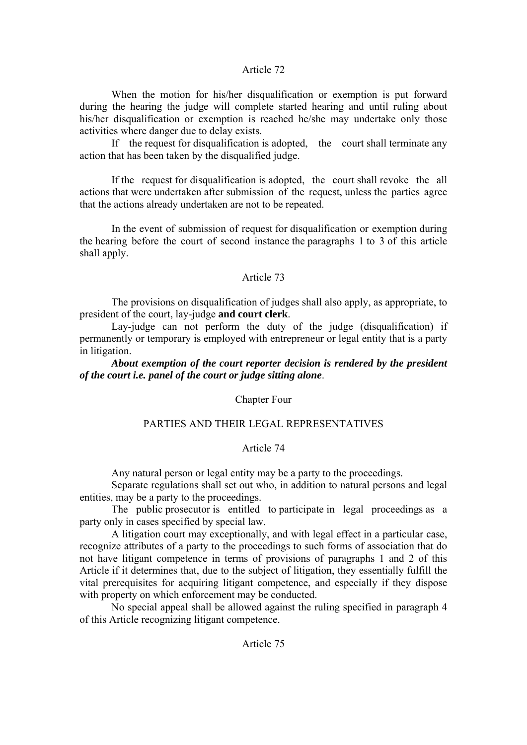### Article 72

 When the motion for his/her disqualification or exemption is put forward during the hearing the judge will complete started hearing and until ruling about his/her disqualification or exemption is reached he/she may undertake only those activities where danger due to delay exists.

 If the request for disqualification is adopted, the court shall terminate any action that has been taken by the disqualified judge.

 If the request for disqualification is adopted, the court shall revoke the all actions that were undertaken after submission of the request, unless the parties agree that the actions already undertaken are not to be repeated.

 In the event of submission of request for disqualification or exemption during the hearing before the court of second instance the paragraphs 1 to 3 of this article shall apply.

#### Article 73

 The provisions on disqualification of judges shall also apply, as appropriate, to president of the court, lay-judge **and court clerk**.

 Lay-judge can not perform the duty of the judge (disqualification) if permanently or temporary is employed with entrepreneur or legal entity that is a party in litigation.

*About exemption of the court reporter decision is rendered by the president of the court i.e. panel of the court or judge sitting alone*.

#### Chapter Four

## PARTIES AND THEIR LEGAL REPRESENTATIVES

## Article 74

Any natural person or legal entity may be a party to the proceedings.

 Separate regulations shall set out who, in addition to natural persons and legal entities, may be a party to the proceedings.

The public prosecutor is entitled to participate in legal proceedings as a party only in cases specified by special law.

 A litigation court may exceptionally, and with legal effect in a particular case, recognize attributes of a party to the proceedings to such forms of association that do not have litigant competence in terms of provisions of paragraphs 1 and 2 of this Article if it determines that, due to the subject of litigation, they essentially fulfill the vital prerequisites for acquiring litigant competence, and especially if they dispose with property on which enforcement may be conducted.

 No special appeal shall be allowed against the ruling specified in paragraph 4 of this Article recognizing litigant competence.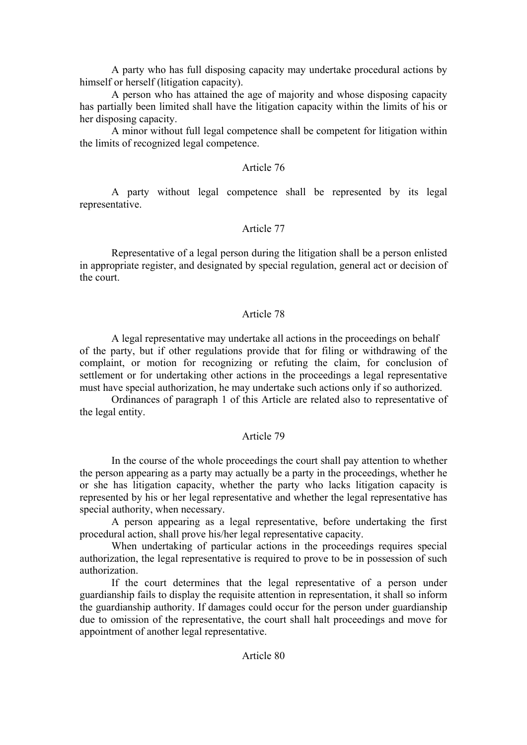A party who has full disposing capacity may undertake procedural actions by himself or herself (litigation capacity).

 A person who has attained the age of majority and whose disposing capacity has partially been limited shall have the litigation capacity within the limits of his or her disposing capacity.

 A minor without full legal competence shall be competent for litigation within the limits of recognized legal competence.

## Article 76

 A party without legal competence shall be represented by its legal representative.

## Article 77

 Representative of a legal person during the litigation shall be a person enlisted in appropriate register, and designated by special regulation, general act or decision of the court.

## Article 78

 A legal representative may undertake all actions in the proceedings on behalf of the party, but if other regulations provide that for filing or withdrawing of the complaint, or motion for recognizing or refuting the claim, for conclusion of settlement or for undertaking other actions in the proceedings a legal representative must have special authorization, he may undertake such actions only if so authorized.

 Ordinances of paragraph 1 of this Article are related also to representative of the legal entity.

## Article 79

 In the course of the whole proceedings the court shall pay attention to whether the person appearing as a party may actually be a party in the proceedings, whether he or she has litigation capacity, whether the party who lacks litigation capacity is represented by his or her legal representative and whether the legal representative has special authority, when necessary.

 A person appearing as a legal representative, before undertaking the first procedural action, shall prove his/her legal representative capacity.

 When undertaking of particular actions in the proceedings requires special authorization, the legal representative is required to prove to be in possession of such authorization.

 If the court determines that the legal representative of a person under guardianship fails to display the requisite attention in representation, it shall so inform the guardianship authority. If damages could occur for the person under guardianship due to omission of the representative, the court shall halt proceedings and move for appointment of another legal representative.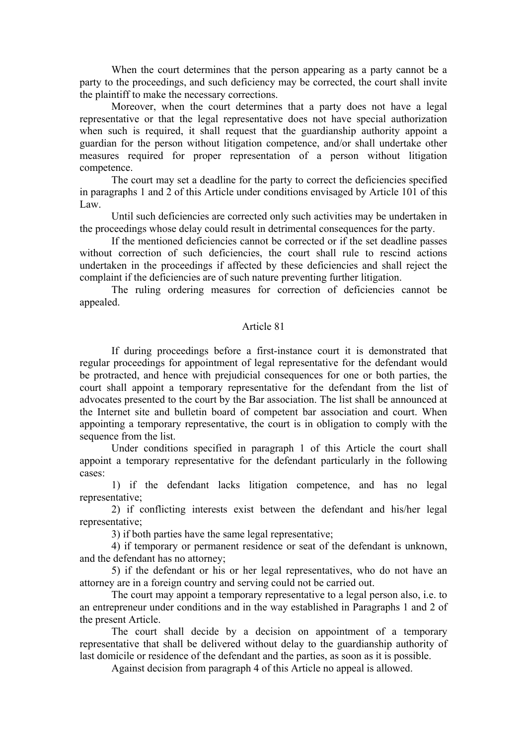When the court determines that the person appearing as a party cannot be a party to the proceedings, and such deficiency may be corrected, the court shall invite the plaintiff to make the necessary corrections.

 Moreover, when the court determines that a party does not have a legal representative or that the legal representative does not have special authorization when such is required, it shall request that the guardianship authority appoint a guardian for the person without litigation competence, and/or shall undertake other measures required for proper representation of a person without litigation competence.

 The court may set a deadline for the party to correct the deficiencies specified in paragraphs 1 and 2 of this Article under conditions envisaged by Article 101 of this Law.

 Until such deficiencies are corrected only such activities may be undertaken in the proceedings whose delay could result in detrimental consequences for the party.

 If the mentioned deficiencies cannot be corrected or if the set deadline passes without correction of such deficiencies, the court shall rule to rescind actions undertaken in the proceedings if affected by these deficiencies and shall reject the complaint if the deficiencies are of such nature preventing further litigation.

 The ruling ordering measures for correction of deficiencies cannot be appealed.

### Article 81

 If during proceedings before a first-instance court it is demonstrated that regular proceedings for appointment of legal representative for the defendant would be protracted, and hence with prejudicial consequences for one or both parties, the court shall appoint a temporary representative for the defendant from the list of advocates presented to the court by the Bar association. The list shall be announced at the Internet site and bulletin board of competent bar association and court. When appointing a temporary representative, the court is in obligation to comply with the sequence from the list.

 Under conditions specified in paragraph 1 of this Article the court shall appoint a temporary representative for the defendant particularly in the following cases:

 1) if the defendant lacks litigation competence, and has no legal representative;

 2) if conflicting interests exist between the defendant and his/her legal representative;

3) if both parties have the same legal representative;

 4) if temporary or permanent residence or seat of the defendant is unknown, and the defendant has no attorney;

 5) if the defendant or his or her legal representatives, who do not have an attorney are in a foreign country and serving could not be carried out.

 The court may appoint a temporary representative to a legal person also, i.e. to an entrepreneur under conditions and in the way established in Paragraphs 1 and 2 of the present Article.

 The court shall decide by a decision on appointment of a temporary representative that shall be delivered without delay to the guardianship authority of last domicile or residence of the defendant and the parties, as soon as it is possible.

Against decision from paragraph 4 of this Article no appeal is allowed.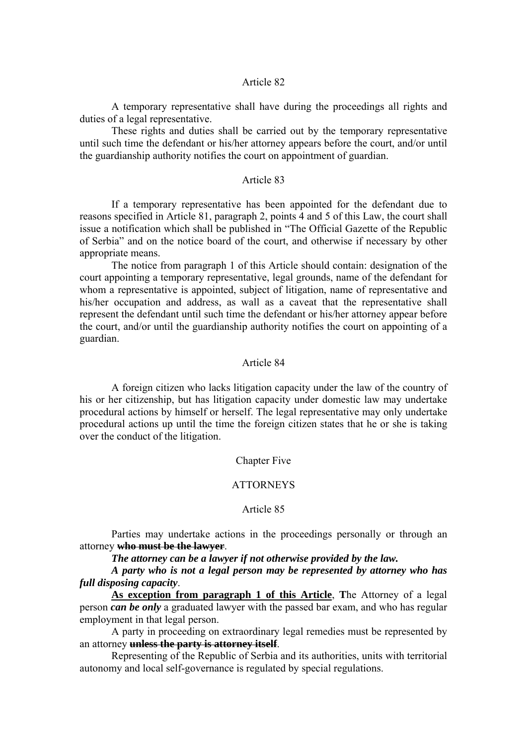## Article 82

 A temporary representative shall have during the proceedings all rights and duties of a legal representative.

 These rights and duties shall be carried out by the temporary representative until such time the defendant or his/her attorney appears before the court, and/or until the guardianship authority notifies the court on appointment of guardian.

## Article 83

 If a temporary representative has been appointed for the defendant due to reasons specified in Article 81, paragraph 2, points 4 and 5 of this Law, the court shall issue a notification which shall be published in "The Official Gazette of the Republic of Serbia" and on the notice board of the court, and otherwise if necessary by other appropriate means.

 The notice from paragraph 1 of this Article should contain: designation of the court appointing a temporary representative, legal grounds, name of the defendant for whom a representative is appointed, subject of litigation, name of representative and his/her occupation and address, as wall as a caveat that the representative shall represent the defendant until such time the defendant or his/her attorney appear before the court, and/or until the guardianship authority notifies the court on appointing of a guardian.

### Article 84

 A foreign citizen who lacks litigation capacity under the law of the country of his or her citizenship, but has litigation capacity under domestic law may undertake procedural actions by himself or herself. The legal representative may only undertake procedural actions up until the time the foreign citizen states that he or she is taking over the conduct of the litigation.

#### Chapter Five

## **ATTORNEYS**

### Article 85

 Parties may undertake actions in the proceedings personally or through an attorney **who must be the lawyer**.

*The attorney can be a lawyer if not otherwise provided by the law.* 

 *A party who is not a legal person may be represented by attorney who has full disposing capacity*.

**As exception from paragraph 1 of this Article**, **T**he Attorney of a legal person *can be only* a graduated lawyer with the passed bar exam, and who has regular employment in that legal person.

 A party in proceeding on extraordinary legal remedies must be represented by an attorney **unless the party is attorney itself**.

 Representing of the Republic of Serbia and its authorities, units with territorial autonomy and local self-governance is regulated by special regulations.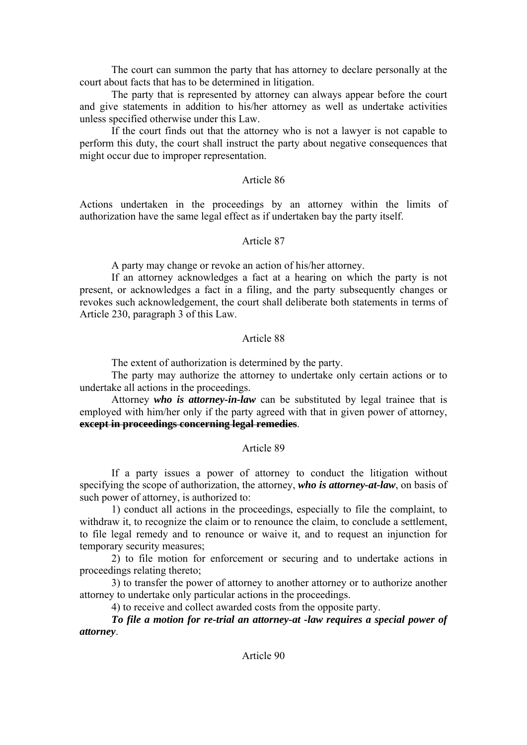The court can summon the party that has attorney to declare personally at the court about facts that has to be determined in litigation.

 The party that is represented by attorney can always appear before the court and give statements in addition to his/her attorney as well as undertake activities unless specified otherwise under this Law.

 If the court finds out that the attorney who is not a lawyer is not capable to perform this duty, the court shall instruct the party about negative consequences that might occur due to improper representation.

## Article 86

Actions undertaken in the proceedings by an attorney within the limits of authorization have the same legal effect as if undertaken bay the party itself.

## Article 87

A party may change or revoke an action of his/her attorney.

 If an attorney acknowledges a fact at a hearing on which the party is not present, or acknowledges a fact in a filing, and the party subsequently changes or revokes such acknowledgement, the court shall deliberate both statements in terms of Article 230, paragraph 3 of this Law.

# Article 88

The extent of authorization is determined by the party.

 The party may authorize the attorney to undertake only certain actions or to undertake all actions in the proceedings.

 Attorney *who is attorney-in-law* can be substituted by legal trainee that is employed with him/her only if the party agreed with that in given power of attorney, **except in proceedings concerning legal remedies**.

# Article 89

 If a party issues a power of attorney to conduct the litigation without specifying the scope of authorization, the attorney, *who is attorney-at-law*, on basis of such power of attorney, is authorized to:

 1) conduct all actions in the proceedings, especially to file the complaint, to withdraw it, to recognize the claim or to renounce the claim, to conclude a settlement, to file legal remedy and to renounce or waive it, and to request an injunction for temporary security measures;

 2) to file motion for enforcement or securing and to undertake actions in proceedings relating thereto;

 3) to transfer the power of attorney to another attorney or to authorize another attorney to undertake only particular actions in the proceedings.

4) to receive and collect awarded costs from the opposite party.

*To file a motion for re-trial an attorney-at -law requires a special power of attorney*.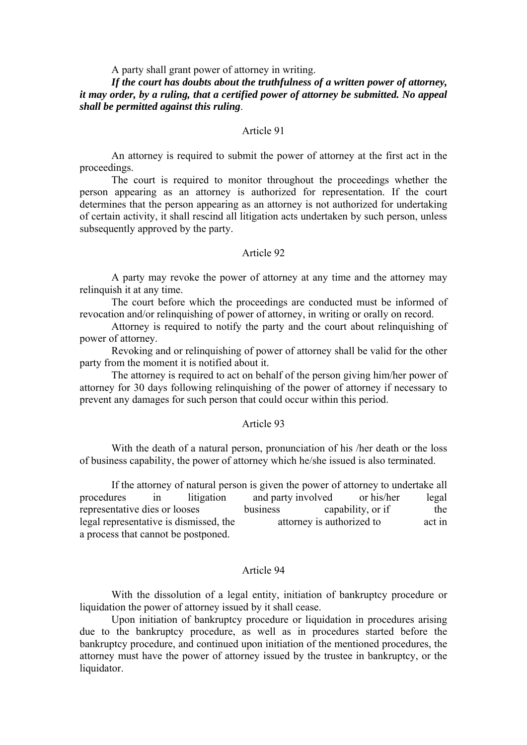A party shall grant power of attorney in writing.

*If the court has doubts about the truthfulness of a written power of attorney, it may order, by a ruling, that a certified power of attorney be submitted. No appeal shall be permitted against this ruling*.

### Article 91

 An attorney is required to submit the power of attorney at the first act in the proceedings.

 The court is required to monitor throughout the proceedings whether the person appearing as an attorney is authorized for representation. If the court determines that the person appearing as an attorney is not authorized for undertaking of certain activity, it shall rescind all litigation acts undertaken by such person, unless subsequently approved by the party.

#### Article 92

 A party may revoke the power of attorney at any time and the attorney may relinquish it at any time.

 The court before which the proceedings are conducted must be informed of revocation and/or relinquishing of power of attorney, in writing or orally on record.

 Attorney is required to notify the party and the court about relinquishing of power of attorney.

 Revoking and or relinquishing of power of attorney shall be valid for the other party from the moment it is notified about it.

 The attorney is required to act on behalf of the person giving him/her power of attorney for 30 days following relinquishing of the power of attorney if necessary to prevent any damages for such person that could occur within this period.

#### Article 93

 With the death of a natural person, pronunciation of his /her death or the loss of business capability, the power of attorney which he/she issued is also terminated.

 If the attorney of natural person is given the power of attorney to undertake all procedures in litigation and party involved or his/her legal representative dies or looses business capability, or if the legal representative is dismissed, the attorney is authorized to act in a process that cannot be postponed.

## Article 94

 With the dissolution of a legal entity, initiation of bankruptcy procedure or liquidation the power of attorney issued by it shall cease.

 Upon initiation of bankruptcy procedure or liquidation in procedures arising due to the bankruptcy procedure, as well as in procedures started before the bankruptcy procedure, and continued upon initiation of the mentioned procedures, the attorney must have the power of attorney issued by the trustee in bankruptcy, or the liquidator.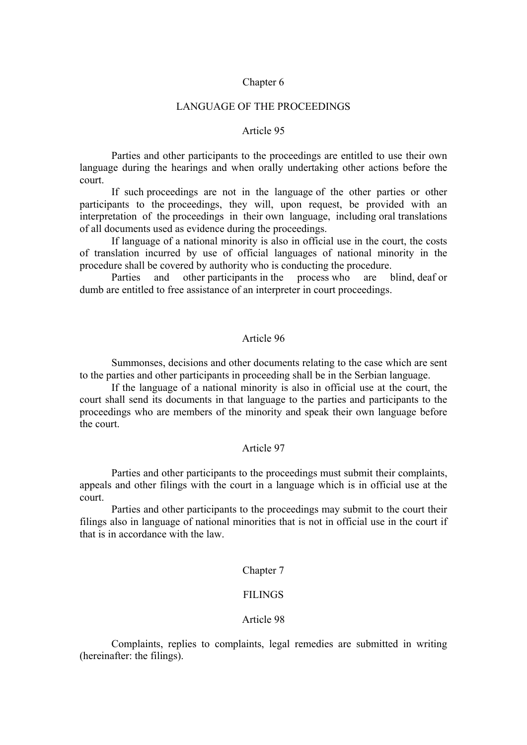### Chapter 6

## LANGUAGE OF THE PROCEEDINGS

#### Article 95

 Parties and other participants to the proceedings are entitled to use their own language during the hearings and when orally undertaking other actions before the court.

 If such proceedings are not in the language of the other parties or other participants to the proceedings, they will, upon request, be provided with an interpretation of the proceedings in their own language, including oral translations of all documents used as evidence during the proceedings.

 If language of a national minority is also in official use in the court, the costs of translation incurred by use of official languages of national minority in the procedure shall be covered by authority who is conducting the procedure.

 Parties and other participants in the process who are blind, deaf or dumb are entitled to free assistance of an interpreter in court proceedings.

### Article 96

 Summonses, decisions and other documents relating to the case which are sent to the parties and other participants in proceeding shall be in the Serbian language.

 If the language of a national minority is also in official use at the court, the court shall send its documents in that language to the parties and participants to the proceedings who are members of the minority and speak their own language before the court.

#### Article 97

 Parties and other participants to the proceedings must submit their complaints, appeals and other filings with the court in a language which is in official use at the court.

 Parties and other participants to the proceedings may submit to the court their filings also in language of national minorities that is not in official use in the court if that is in accordance with the law.

#### Chapter 7

## FILINGS

#### Article 98

 Complaints, replies to complaints, legal remedies are submitted in writing (hereinafter: the filings).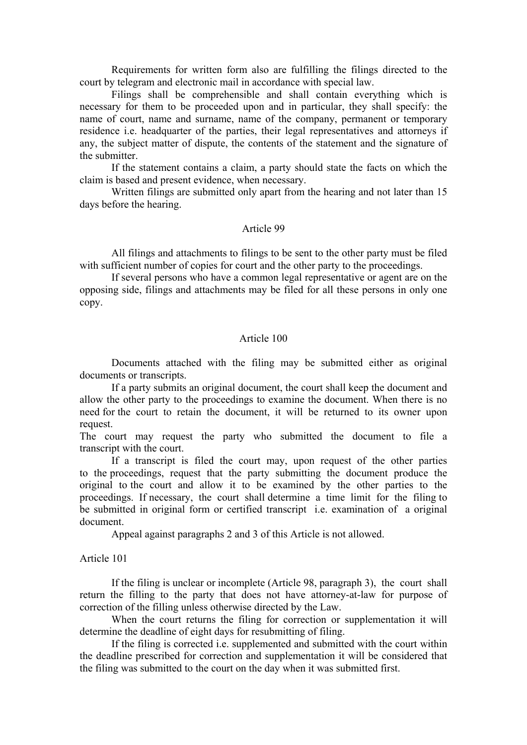Requirements for written form also are fulfilling the filings directed to the court by telegram and electronic mail in accordance with special law.

 Filings shall be comprehensible and shall contain everything which is necessary for them to be proceeded upon and in particular, they shall specify: the name of court, name and surname, name of the company, permanent or temporary residence i.e. headquarter of the parties, their legal representatives and attorneys if any, the subject matter of dispute, the contents of the statement and the signature of the submitter.

 If the statement contains a claim, a party should state the facts on which the claim is based and present evidence, when necessary.

 Written filings are submitted only apart from the hearing and not later than 15 days before the hearing.

### Article 99

 All filings and attachments to filings to be sent to the other party must be filed with sufficient number of copies for court and the other party to the proceedings.

 If several persons who have a common legal representative or agent are on the opposing side, filings and attachments may be filed for all these persons in only one copy.

### Article 100

 Documents attached with the filing may be submitted either as original documents or transcripts.

 If a party submits an original document, the court shall keep the document and allow the other party to the proceedings to examine the document. When there is no need for the court to retain the document, it will be returned to its owner upon request.

The court may request the party who submitted the document to file a transcript with the court.

 If a transcript is filed the court may, upon request of the other parties to the proceedings, request that the party submitting the document produce the original to the court and allow it to be examined by the other parties to the proceedings. If necessary, the court shall determine a time limit for the filing to be submitted in original form or certified transcript i.e. examination of a original document.

Appeal against paragraphs 2 and 3 of this Article is not allowed.

Article 101

 If the filing is unclear or incomplete (Article 98, paragraph 3), the court shall return the filling to the party that does not have attorney-at-law for purpose of correction of the filling unless otherwise directed by the Law.

When the court returns the filing for correction or supplementation it will determine the deadline of eight days for resubmitting of filing.

 If the filing is corrected i.e. supplemented and submitted with the court within the deadline prescribed for correction and supplementation it will be considered that the filing was submitted to the court on the day when it was submitted first.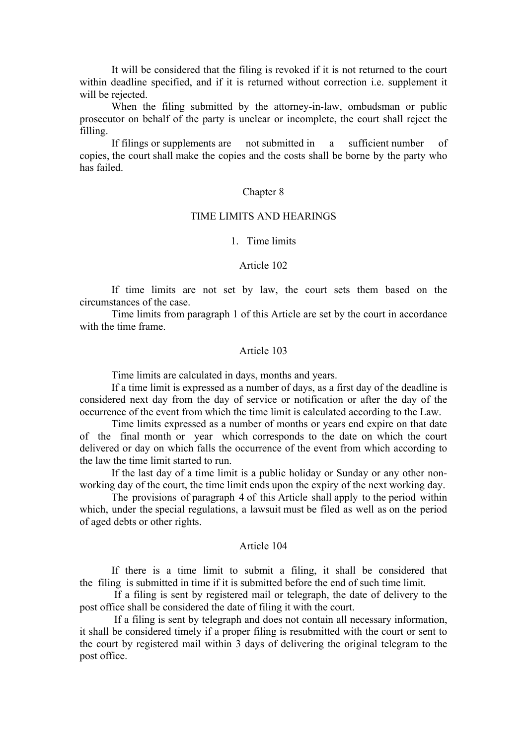It will be considered that the filing is revoked if it is not returned to the court within deadline specified, and if it is returned without correction i.e. supplement it will be rejected.

 When the filing submitted by the attorney-in-law, ombudsman or public prosecutor on behalf of the party is unclear or incomplete, the court shall reject the filling.

 If filings or supplements are not submitted in a sufficient number of copies, the court shall make the copies and the costs shall be borne by the party who has failed.

### Chapter 8

#### TIME LIMITS AND HEARINGS

#### 1. Time limits

#### Article 102

 If time limits are not set by law, the court sets them based on the circumstances of the case.

 Time limits from paragraph 1 of this Article are set by the court in accordance with the time frame.

#### Article 103

Time limits are calculated in days, months and years.

 If a time limit is expressed as a number of days, as a first day of the deadline is considered next day from the day of service or notification or after the day of the occurrence of the event from which the time limit is calculated according to the Law.

 Time limits expressed as a number of months or years end expire on that date of the final month or year which corresponds to the date on which the court delivered or day on which falls the occurrence of the event from which according to the law the time limit started to run.

 If the last day of a time limit is a public holiday or Sunday or any other nonworking day of the court, the time limit ends upon the expiry of the next working day.

 The provisions of paragraph 4 of this Article shall apply to the period within which, under the special regulations, a lawsuit must be filed as well as on the period of aged debts or other rights.

#### Article 104

 If there is a time limit to submit a filing, it shall be considered that the filing is submitted in time if it is submitted before the end of such time limit.

 If a filing is sent by registered mail or telegraph, the date of delivery to the post office shall be considered the date of filing it with the court.

 If a filing is sent by telegraph and does not contain all necessary information, it shall be considered timely if a proper filing is resubmitted with the court or sent to the court by registered mail within 3 days of delivering the original telegram to the post office.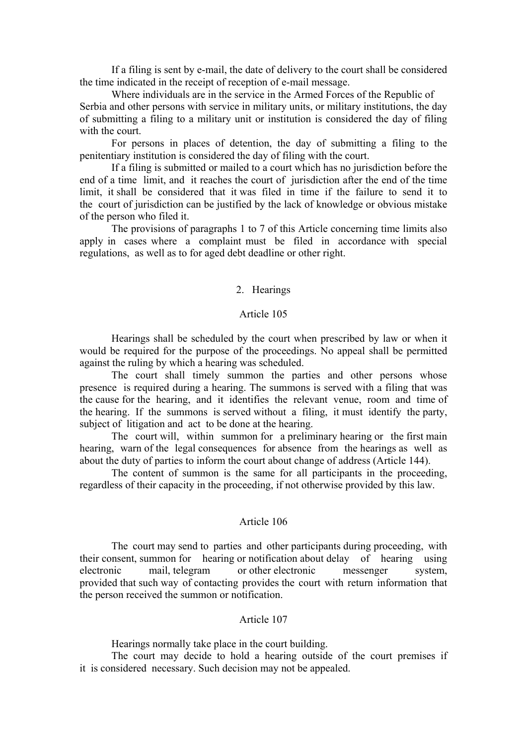If a filing is sent by e-mail, the date of delivery to the court shall be considered the time indicated in the receipt of reception of e-mail message.

 Where individuals are in the service in the Armed Forces of the Republic of Serbia and other persons with service in military units, or military institutions, the day of submitting a filing to a military unit or institution is considered the day of filing with the court.

 For persons in places of detention, the day of submitting a filing to the penitentiary institution is considered the day of filing with the court.

 If a filing is submitted or mailed to a court which has no jurisdiction before the end of a time limit, and it reaches the court of jurisdiction after the end of the time limit, it shall be considered that it was filed in time if the failure to send it to the court of jurisdiction can be justified by the lack of knowledge or obvious mistake of the person who filed it.

 The provisions of paragraphs 1 to 7 of this Article concerning time limits also apply in cases where a complaint must be filed in accordance with special regulations, as well as to for aged debt deadline or other right.

## 2. Hearings

## Article 105

 Hearings shall be scheduled by the court when prescribed by law or when it would be required for the purpose of the proceedings. No appeal shall be permitted against the ruling by which a hearing was scheduled.

 The court shall timely summon the parties and other persons whose presence is required during a hearing. The summons is served with a filing that was the cause for the hearing, and it identifies the relevant venue, room and time of the hearing. If the summons is served without a filing, it must identify the party, subject of litigation and act to be done at the hearing.

 The court will, within summon for a preliminary hearing or the first main hearing, warn of the legal consequences for absence from the hearings as well as about the duty of parties to inform the court about change of address (Article 144).

 The content of summon is the same for all participants in the proceeding, regardless of their capacity in the proceeding, if not otherwise provided by this law.

## Article 106

 The court may send to parties and other participants during proceeding, with their consent, summon for hearing or notification about delay of hearing using electronic mail, telegram or other electronic messenger system, provided that such way of contacting provides the court with return information that the person received the summon or notification.

## Article 107

Hearings normally take place in the court building.

 The court may decide to hold a hearing outside of the court premises if it is considered necessary. Such decision may not be appealed.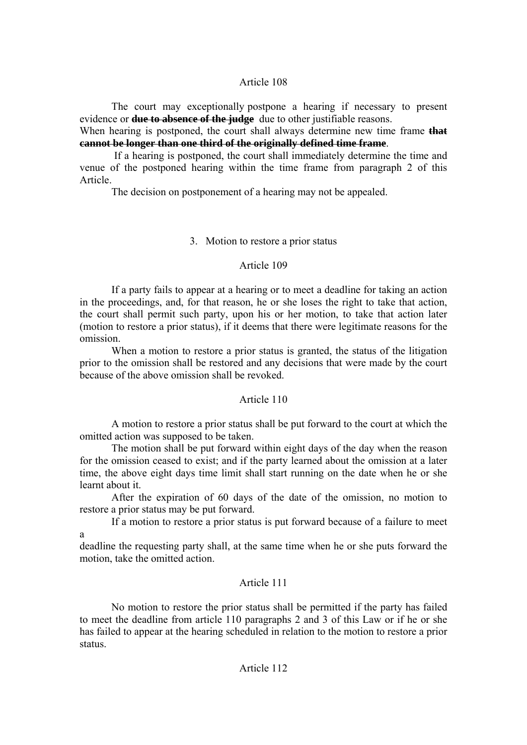## Article 108

 The court may exceptionally postpone a hearing if necessary to present evidence or **due to absence of the judge** due to other justifiable reasons.

When hearing is postponed, the court shall always determine new time frame **that cannot be longer than one third of the originally defined time frame**.

 If a hearing is postponed, the court shall immediately determine the time and venue of the postponed hearing within the time frame from paragraph 2 of this Article.

The decision on postponement of a hearing may not be appealed.

# 3. Motion to restore a prior status

# Article 109

 If a party fails to appear at a hearing or to meet a deadline for taking an action in the proceedings, and, for that reason, he or she loses the right to take that action, the court shall permit such party, upon his or her motion, to take that action later (motion to restore a prior status), if it deems that there were legitimate reasons for the omission.

 When a motion to restore a prior status is granted, the status of the litigation prior to the omission shall be restored and any decisions that were made by the court because of the above omission shall be revoked.

# Article 110

 A motion to restore a prior status shall be put forward to the court at which the omitted action was supposed to be taken.

 The motion shall be put forward within eight days of the day when the reason for the omission ceased to exist; and if the party learned about the omission at a later time, the above eight days time limit shall start running on the date when he or she learnt about it.

 After the expiration of 60 days of the date of the omission, no motion to restore a prior status may be put forward.

 If a motion to restore a prior status is put forward because of a failure to meet a

deadline the requesting party shall, at the same time when he or she puts forward the motion, take the omitted action.

# Article 111

 No motion to restore the prior status shall be permitted if the party has failed to meet the deadline from article 110 paragraphs 2 and 3 of this Law or if he or she has failed to appear at the hearing scheduled in relation to the motion to restore a prior status.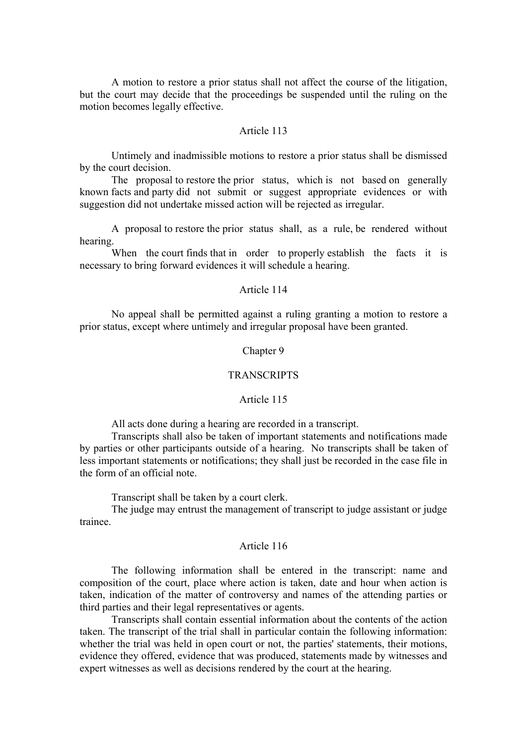A motion to restore a prior status shall not affect the course of the litigation, but the court may decide that the proceedings be suspended until the ruling on the motion becomes legally effective.

## Article 113

 Untimely and inadmissible motions to restore a prior status shall be dismissed by the court decision.

 The proposal to restore the prior status, which is not based on generally known facts and party did not submit or suggest appropriate evidences or with suggestion did not undertake missed action will be rejected as irregular.

 A proposal to restore the prior status shall, as a rule, be rendered without hearing.

When the court finds that in order to properly establish the facts it is necessary to bring forward evidences it will schedule a hearing.

## Article 114

 No appeal shall be permitted against a ruling granting a motion to restore a prior status, except where untimely and irregular proposal have been granted.

#### Chapter 9

## **TRANSCRIPTS**

#### Article 115

All acts done during a hearing are recorded in a transcript.

 Transcripts shall also be taken of important statements and notifications made by parties or other participants outside of a hearing. No transcripts shall be taken of less important statements or notifications; they shall just be recorded in the case file in the form of an official note.

Transcript shall be taken by a court clerk.

 The judge may entrust the management of transcript to judge assistant or judge trainee.

#### Article 116

 The following information shall be entered in the transcript: name and composition of the court, place where action is taken, date and hour when action is taken, indication of the matter of controversy and names of the attending parties or third parties and their legal representatives or agents.

 Transcripts shall contain essential information about the contents of the action taken. The transcript of the trial shall in particular contain the following information: whether the trial was held in open court or not, the parties' statements, their motions, evidence they offered, evidence that was produced, statements made by witnesses and expert witnesses as well as decisions rendered by the court at the hearing.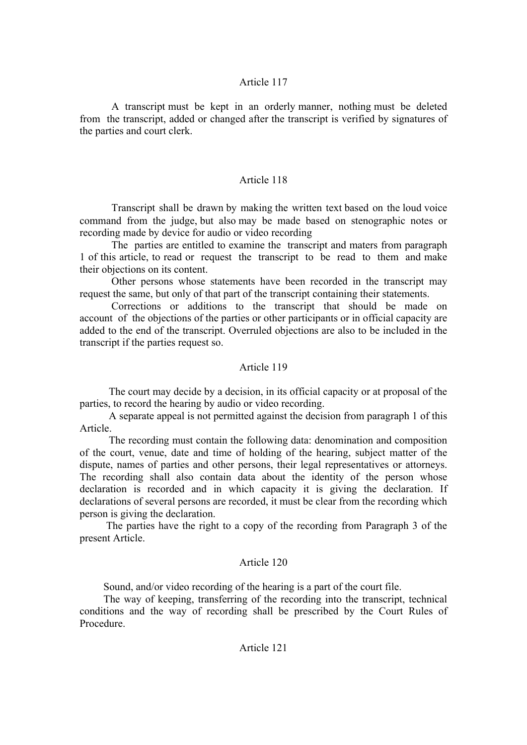### Article 117

 A transcript must be kept in an orderly manner, nothing must be deleted from the transcript, added or changed after the transcript is verified by signatures of the parties and court clerk.

## Article 118

 Transcript shall be drawn by making the written text based on the loud voice command from the judge, but also may be made based on stenographic notes or recording made by device for audio or video recording

 The parties are entitled to examine the transcript and maters from paragraph 1 of this article, to read or request the transcript to be read to them and make their objections on its content.

 Other persons whose statements have been recorded in the transcript may request the same, but only of that part of the transcript containing their statements.

 Corrections or additions to the transcript that should be made on account of the objections of the parties or other participants or in official capacity are added to the end of the transcript. Overruled objections are also to be included in the transcript if the parties request so.

## Article 119

 The court may decide by a decision, in its official capacity or at proposal of the parties, to record the hearing by audio or video recording.

 A separate appeal is not permitted against the decision from paragraph 1 of this Article.

 The recording must contain the following data: denomination and composition of the court, venue, date and time of holding of the hearing, subject matter of the dispute, names of parties and other persons, their legal representatives or attorneys. The recording shall also contain data about the identity of the person whose declaration is recorded and in which capacity it is giving the declaration. If declarations of several persons are recorded, it must be clear from the recording which person is giving the declaration.

 The parties have the right to a copy of the recording from Paragraph 3 of the present Article.

### Article 120

Sound, and/or video recording of the hearing is a part of the court file.

 The way of keeping, transferring of the recording into the transcript, technical conditions and the way of recording shall be prescribed by the Court Rules of Procedure.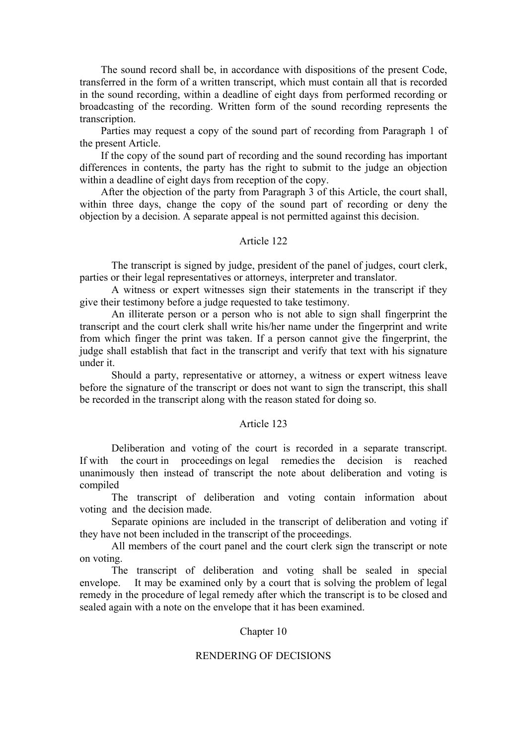The sound record shall be, in accordance with dispositions of the present Code, transferred in the form of a written transcript, which must contain all that is recorded in the sound recording, within a deadline of eight days from performed recording or broadcasting of the recording. Written form of the sound recording represents the transcription.

 Parties may request a copy of the sound part of recording from Paragraph 1 of the present Article.

 If the copy of the sound part of recording and the sound recording has important differences in contents, the party has the right to submit to the judge an objection within a deadline of eight days from reception of the copy.

 After the objection of the party from Paragraph 3 of this Article, the court shall, within three days, change the copy of the sound part of recording or deny the objection by a decision. A separate appeal is not permitted against this decision.

## Article 122

 The transcript is signed by judge, president of the panel of judges, court clerk, parties or their legal representatives or attorneys, interpreter and translator.

 A witness or expert witnesses sign their statements in the transcript if they give their testimony before a judge requested to take testimony.

 An illiterate person or a person who is not able to sign shall fingerprint the transcript and the court clerk shall write his/her name under the fingerprint and write from which finger the print was taken. If a person cannot give the fingerprint, the judge shall establish that fact in the transcript and verify that text with his signature under it.

 Should a party, representative or attorney, a witness or expert witness leave before the signature of the transcript or does not want to sign the transcript, this shall be recorded in the transcript along with the reason stated for doing so.

### Article 123

 Deliberation and voting of the court is recorded in a separate transcript. If with the court in proceedings on legal remedies the decision is reached unanimously then instead of transcript the note about deliberation and voting is compiled

 The transcript of deliberation and voting contain information about voting and the decision made.

 Separate opinions are included in the transcript of deliberation and voting if they have not been included in the transcript of the proceedings.

 All members of the court panel and the court clerk sign the transcript or note on voting.

 The transcript of deliberation and voting shall be sealed in special envelope. It may be examined only by a court that is solving the problem of legal remedy in the procedure of legal remedy after which the transcript is to be closed and sealed again with a note on the envelope that it has been examined.

#### Chapter 10

#### RENDERING OF DECISIONS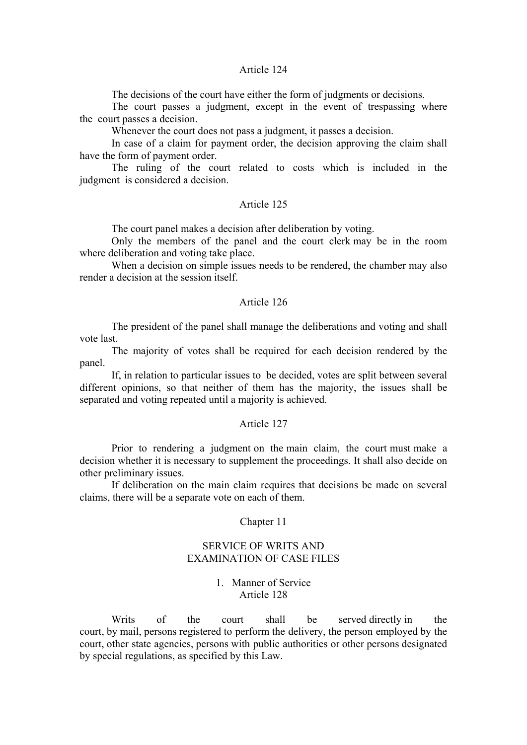#### Article 124

The decisions of the court have either the form of judgments or decisions.

 The court passes a judgment, except in the event of trespassing where the court passes a decision.

Whenever the court does not pass a judgment, it passes a decision.

 In case of a claim for payment order, the decision approving the claim shall have the form of payment order.

 The ruling of the court related to costs which is included in the judgment is considered a decision.

#### Article 125

The court panel makes a decision after deliberation by voting.

 Only the members of the panel and the court clerk may be in the room where deliberation and voting take place.

When a decision on simple issues needs to be rendered, the chamber may also render a decision at the session itself.

## Article 126

 The president of the panel shall manage the deliberations and voting and shall vote last.

 The majority of votes shall be required for each decision rendered by the panel.

 If, in relation to particular issues to be decided, votes are split between several different opinions, so that neither of them has the majority, the issues shall be separated and voting repeated until a majority is achieved.

#### Article 127

 Prior to rendering a judgment on the main claim, the court must make a decision whether it is necessary to supplement the proceedings. It shall also decide on other preliminary issues.

 If deliberation on the main claim requires that decisions be made on several claims, there will be a separate vote on each of them.

## Chapter 11

### SERVICE OF WRITS AND EXAMINATION OF CASE FILES

#### 1. Manner of Service Article 128

 Writs of the court shall be served directly in the court, by mail, persons registered to perform the delivery, the person employed by the court, other state agencies, persons with public authorities or other persons designated by special regulations, as specified by this Law.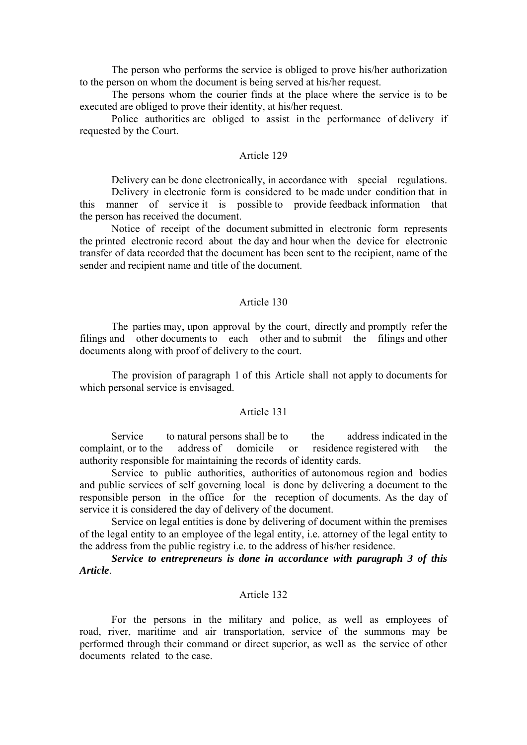The person who performs the service is obliged to prove his/her authorization to the person on whom the document is being served at his/her request.

 The persons whom the courier finds at the place where the service is to be executed are obliged to prove their identity, at his/her request.

 Police authorities are obliged to assist in the performance of delivery if requested by the Court.

#### Article 129

Delivery can be done electronically, in accordance with special regulations.

 Delivery in electronic form is considered to be made under condition that in this manner of service it is possible to provide feedback information that the person has received the document.

 Notice of receipt of the document submitted in electronic form represents the printed electronic record about the day and hour when the device for electronic transfer of data recorded that the document has been sent to the recipient, name of the sender and recipient name and title of the document.

### Article 130

 The parties may, upon approval by the court, directly and promptly refer the filings and other documents to each other and to submit the filings and other documents along with proof of delivery to the court.

 The provision of paragraph 1 of this Article shall not apply to documents for which personal service is envisaged.

#### Article 131

Service to natural persons shall be to the address indicated in the complaint, or to the address of domicile or residence registered with the authority responsible for maintaining the records of identity cards.

 Service to public authorities, authorities of autonomous region and bodies and public services of self governing local is done by delivering a document to the responsible person in the office for the reception of documents. As the day of service it is considered the day of delivery of the document.

 Service on legal entities is done by delivering of document within the premises of the legal entity to an employee of the legal entity, i.e. attorney of the legal entity to the address from the public registry i.e. to the address of his/her residence.

*Service to entrepreneurs is done in accordance with paragraph 3 of this Article*.

## Article 132

 For the persons in the military and police, as well as employees of road, river, maritime and air transportation, service of the summons may be performed through their command or direct superior, as well as the service of other documents related to the case.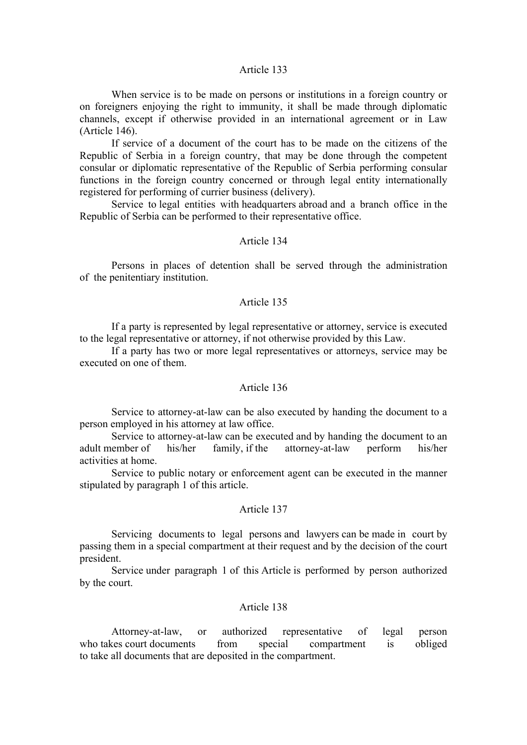#### Article 133

 When service is to be made on persons or institutions in a foreign country or on foreigners enjoying the right to immunity, it shall be made through diplomatic channels, except if otherwise provided in an international agreement or in Law (Article 146).

 If service of a document of the court has to be made on the citizens of the Republic of Serbia in a foreign country, that may be done through the competent consular or diplomatic representative of the Republic of Serbia performing consular functions in the foreign country concerned or through legal entity internationally registered for performing of currier business (delivery).

 Service to legal entities with headquarters abroad and a branch office in the Republic of Serbia can be performed to their representative office.

#### Article 134

 Persons in places of detention shall be served through the administration of the penitentiary institution.

## Article 135

 If a party is represented by legal representative or attorney, service is executed to the legal representative or attorney, if not otherwise provided by this Law.

 If a party has two or more legal representatives or attorneys, service may be executed on one of them.

#### Article 136

 Service to attorney-at-law can be also executed by handing the document to a person employed in his attorney at law office.

 Service to attorney-at-law can be executed and by handing the document to an adult member of his/her family, if the attorney-at-law perform his/her activities at home.

 Service to public notary or enforcement agent can be executed in the manner stipulated by paragraph 1 of this article.

#### Article 137

 Servicing documents to legal persons and lawyers can be made in court by passing them in a special compartment at their request and by the decision of the court president.

 Service under paragraph 1 of this Article is performed by person authorized by the court.

#### Article 138

 Attorney-at-law, or authorized representative of legal person who takes court documents from special compartment is obliged to take all documents that are deposited in the compartment.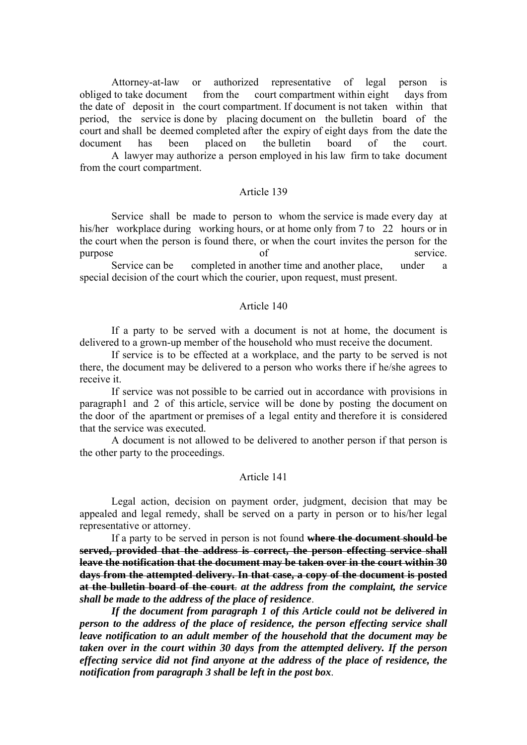Attorney-at-law or authorized representative of legal person is obliged to take document from the court compartment within eight days from the date of deposit in the court compartment. If document is not taken within that period, the service is done by placing document on the bulletin board of the court and shall be deemed completed after the expiry of eight days from the date the document has been placed on the bulletin board of the court.

 A lawyer may authorize a person employed in his law firm to take document from the court compartment.

## Article 139

 Service shall be made to person to whom the service is made every day at his/her workplace during working hours, or at home only from 7 to 22 hours or in the court when the person is found there, or when the court invites the person for the purpose of service.

Service can be completed in another time and another place, under a special decision of the court which the courier, upon request, must present.

### Article 140

 If a party to be served with a document is not at home, the document is delivered to a grown-up member of the household who must receive the document.

 If service is to be effected at a workplace, and the party to be served is not there, the document may be delivered to a person who works there if he/she agrees to receive it.

 If service was not possible to be carried out in accordance with provisions in paragraph1 and 2 of this article, service will be done by posting the document on the door of the apartment or premises of a legal entity and therefore it is considered that the service was executed.

 A document is not allowed to be delivered to another person if that person is the other party to the proceedings.

#### Article 141

 Legal action, decision on payment order, judgment, decision that may be appealed and legal remedy, shall be served on a party in person or to his/her legal representative or attorney.

 If a party to be served in person is not found **where the document should be served, provided that the address is correct, the person effecting service shall leave the notification that the document may be taken over in the court within 30 days from the attempted delivery. In that case, a copy of the document is posted at the bulletin board of the court**. *at the address from the complaint, the service shall be made to the address of the place of residence*.

*If the document from paragraph 1 of this Article could not be delivered in person to the address of the place of residence, the person effecting service shall leave notification to an adult member of the household that the document may be taken over in the court within 30 days from the attempted delivery. If the person effecting service did not find anyone at the address of the place of residence, the notification from paragraph 3 shall be left in the post box*.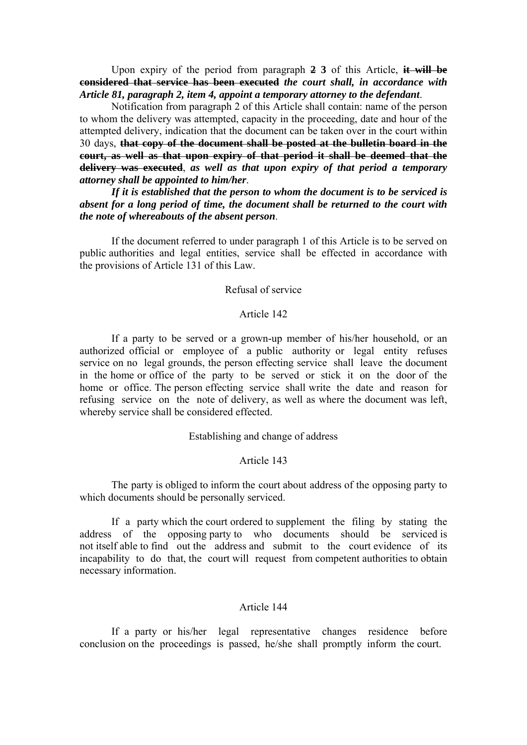Upon expiry of the period from paragraph **2 3** of this Article, **it will be considered that service has been executed** *the court shall, in accordance with Article 81, paragraph 2, item 4, appoint a temporary attorney to the defendant*.

 Notification from paragraph 2 of this Article shall contain: name of the person to whom the delivery was attempted, capacity in the proceeding, date and hour of the attempted delivery, indication that the document can be taken over in the court within 30 days, **that copy of the document shall be posted at the bulletin board in the court, as well as that upon expiry of that period it shall be deemed that the delivery was executed**, *as well as that upon expiry of that period a temporary attorney shall be appointed to him/her*.

*If it is established that the person to whom the document is to be serviced is absent for a long period of time, the document shall be returned to the court with the note of whereabouts of the absent person*.

 If the document referred to under paragraph 1 of this Article is to be served on public authorities and legal entities, service shall be effected in accordance with the provisions of Article 131 of this Law.

## Refusal of service

### Article 142

 If a party to be served or a grown-up member of his/her household, or an authorized official or employee of a public authority or legal entity refuses service on no legal grounds, the person effecting service shall leave the document in the home or office of the party to be served or stick it on the door of the home or office. The person effecting service shall write the date and reason for refusing service on the note of delivery, as well as where the document was left, whereby service shall be considered effected.

#### Establishing and change of address

### Article 143

 The party is obliged to inform the court about address of the opposing party to which documents should be personally serviced.

 If a party which the court ordered to supplement the filing by stating the address of the opposing party to who documents should be serviced is not itself able to find out the address and submit to the court evidence of its incapability to do that, the court will request from competent authorities to obtain necessary information.

## Article 144

 If a party or his/her legal representative changes residence before conclusion on the proceedings is passed, he/she shall promptly inform the court.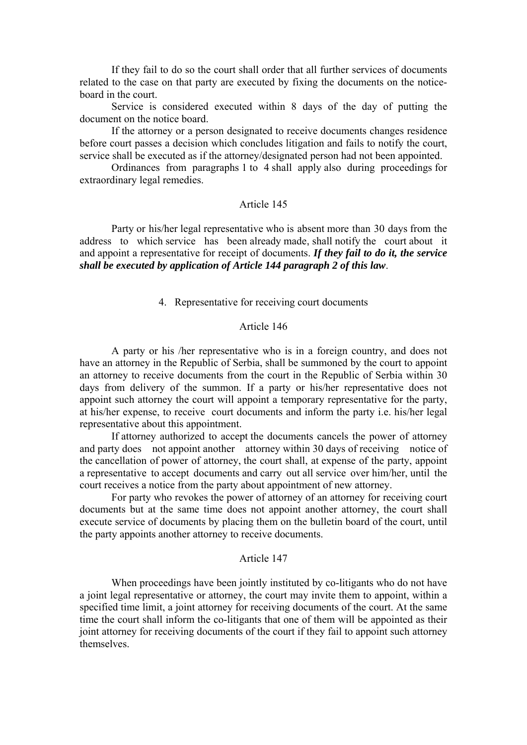If they fail to do so the court shall order that all further services of documents related to the case on that party are executed by fixing the documents on the noticeboard in the court.

 Service is considered executed within 8 days of the day of putting the document on the notice board.

 If the attorney or a person designated to receive documents changes residence before court passes a decision which concludes litigation and fails to notify the court, service shall be executed as if the attorney/designated person had not been appointed.

 Ordinances from paragraphs 1 to 4 shall apply also during proceedings for extraordinary legal remedies.

#### Article 145

 Party or his/her legal representative who is absent more than 30 days from the address to which service has been already made, shall notify the court about it and appoint a representative for receipt of documents. *If they fail to do it, the service shall be executed by application of Article 144 paragraph 2 of this law*.

#### 4. Representative for receiving court documents

## Article 146

 A party or his /her representative who is in a foreign country, and does not have an attorney in the Republic of Serbia, shall be summoned by the court to appoint an attorney to receive documents from the court in the Republic of Serbia within 30 days from delivery of the summon. If a party or his/her representative does not appoint such attorney the court will appoint a temporary representative for the party, at his/her expense, to receive court documents and inform the party i.e. his/her legal representative about this appointment.

 If attorney authorized to accept the documents cancels the power of attorney and party does not appoint another attorney within 30 days of receiving notice of the cancellation of power of attorney, the court shall, at expense of the party, appoint a representative to accept documents and carry out all service over him/her, until the court receives a notice from the party about appointment of new attorney.

 For party who revokes the power of attorney of an attorney for receiving court documents but at the same time does not appoint another attorney, the court shall execute service of documents by placing them on the bulletin board of the court, until the party appoints another attorney to receive documents.

## Article 147

 When proceedings have been jointly instituted by co-litigants who do not have a joint legal representative or attorney, the court may invite them to appoint, within a specified time limit, a joint attorney for receiving documents of the court. At the same time the court shall inform the co-litigants that one of them will be appointed as their joint attorney for receiving documents of the court if they fail to appoint such attorney themselves.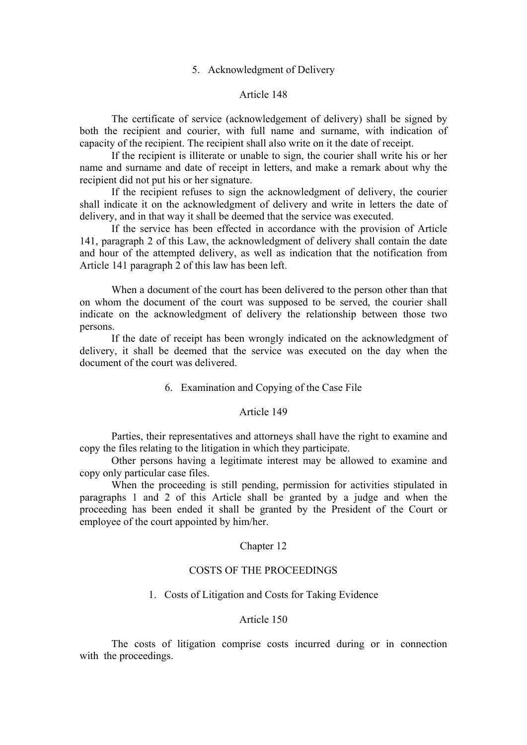### 5. Acknowledgment of Delivery

### Article 148

 The certificate of service (acknowledgement of delivery) shall be signed by both the recipient and courier, with full name and surname, with indication of capacity of the recipient. The recipient shall also write on it the date of receipt.

 If the recipient is illiterate or unable to sign, the courier shall write his or her name and surname and date of receipt in letters, and make a remark about why the recipient did not put his or her signature.

 If the recipient refuses to sign the acknowledgment of delivery, the courier shall indicate it on the acknowledgment of delivery and write in letters the date of delivery, and in that way it shall be deemed that the service was executed.

 If the service has been effected in accordance with the provision of Article 141, paragraph 2 of this Law, the acknowledgment of delivery shall contain the date and hour of the attempted delivery, as well as indication that the notification from Article 141 paragraph 2 of this law has been left.

 When a document of the court has been delivered to the person other than that on whom the document of the court was supposed to be served, the courier shall indicate on the acknowledgment of delivery the relationship between those two persons.

 If the date of receipt has been wrongly indicated on the acknowledgment of delivery, it shall be deemed that the service was executed on the day when the document of the court was delivered.

#### 6. Examination and Copying of the Case File

## Article 149

 Parties, their representatives and attorneys shall have the right to examine and copy the files relating to the litigation in which they participate.

 Other persons having a legitimate interest may be allowed to examine and copy only particular case files.

 When the proceeding is still pending, permission for activities stipulated in paragraphs 1 and 2 of this Article shall be granted by a judge and when the proceeding has been ended it shall be granted by the President of the Court or employee of the court appointed by him/her.

#### Chapter 12

# COSTS OF THE PROCEEDINGS

# 1. Costs of Litigation and Costs for Taking Evidence

## Article 150

 The costs of litigation comprise costs incurred during or in connection with the proceedings.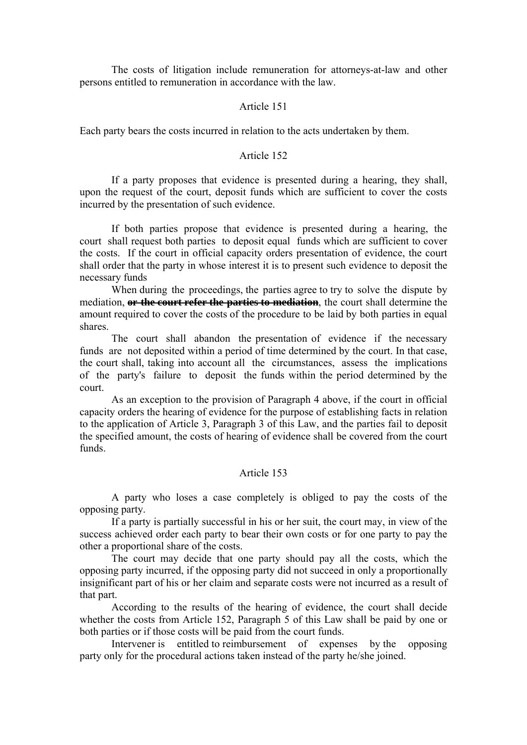The costs of litigation include remuneration for attorneys-at-law and other persons entitled to remuneration in accordance with the law.

### Article 151

Each party bears the costs incurred in relation to the acts undertaken by them.

## Article 152

 If a party proposes that evidence is presented during a hearing, they shall, upon the request of the court, deposit funds which are sufficient to cover the costs incurred by the presentation of such evidence.

 If both parties propose that evidence is presented during a hearing, the court shall request both parties to deposit equal funds which are sufficient to cover the costs. If the court in official capacity orders presentation of evidence, the court shall order that the party in whose interest it is to present such evidence to deposit the necessary funds

 When during the proceedings, the parties agree to try to solve the dispute by mediation, **or the court refer the parties to mediation**, the court shall determine the amount required to cover the costs of the procedure to be laid by both parties in equal shares.

 The court shall abandon the presentation of evidence if the necessary funds are not deposited within a period of time determined by the court. In that case, the court shall, taking into account all the circumstances, assess the implications of the party's failure to deposit the funds within the period determined by the court.

 As an exception to the provision of Paragraph 4 above, if the court in official capacity orders the hearing of evidence for the purpose of establishing facts in relation to the application of Article 3, Paragraph 3 of this Law, and the parties fail to deposit the specified amount, the costs of hearing of evidence shall be covered from the court funds.

# Article 153

 A party who loses a case completely is obliged to pay the costs of the opposing party.

 If a party is partially successful in his or her suit, the court may, in view of the success achieved order each party to bear their own costs or for one party to pay the other a proportional share of the costs.

 The court may decide that one party should pay all the costs, which the opposing party incurred, if the opposing party did not succeed in only a proportionally insignificant part of his or her claim and separate costs were not incurred as a result of that part.

 According to the results of the hearing of evidence, the court shall decide whether the costs from Article 152, Paragraph 5 of this Law shall be paid by one or both parties or if those costs will be paid from the court funds.

 Intervener is entitled to reimbursement of expenses by the opposing party only for the procedural actions taken instead of the party he/she joined.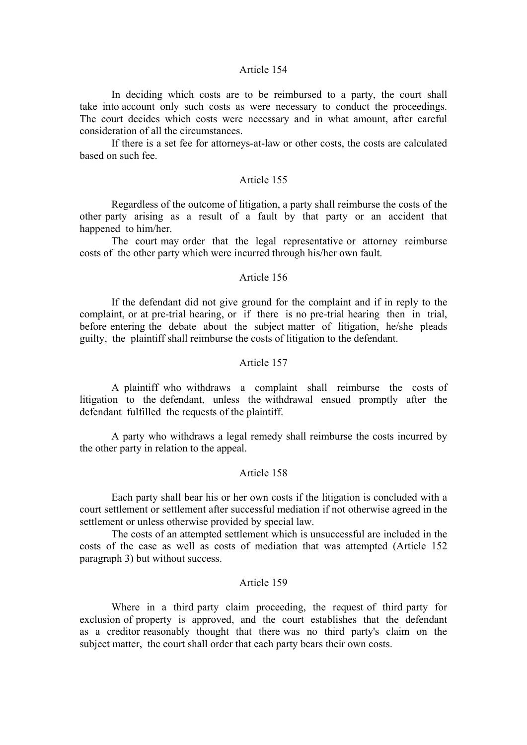In deciding which costs are to be reimbursed to a party, the court shall take into account only such costs as were necessary to conduct the proceedings. The court decides which costs were necessary and in what amount, after careful consideration of all the circumstances.

 If there is a set fee for attorneys-at-law or other costs, the costs are calculated based on such fee.

## Article 155

 Regardless of the outcome of litigation, a party shall reimburse the costs of the other party arising as a result of a fault by that party or an accident that happened to him/her.

 The court may order that the legal representative or attorney reimburse costs of the other party which were incurred through his/her own fault.

## Article 156

 If the defendant did not give ground for the complaint and if in reply to the complaint, or at pre-trial hearing, or if there is no pre-trial hearing then in trial, before entering the debate about the subject matter of litigation, he/she pleads guilty, the plaintiff shall reimburse the costs of litigation to the defendant.

## Article 157

 A plaintiff who withdraws a complaint shall reimburse the costs of litigation to the defendant, unless the withdrawal ensued promptly after the defendant fulfilled the requests of the plaintiff.

 A party who withdraws a legal remedy shall reimburse the costs incurred by the other party in relation to the appeal.

## Article 158

 Each party shall bear his or her own costs if the litigation is concluded with a court settlement or settlement after successful mediation if not otherwise agreed in the settlement or unless otherwise provided by special law.

 The costs of an attempted settlement which is unsuccessful are included in the costs of the case as well as costs of mediation that was attempted (Article 152 paragraph 3) but without success.

# Article 159

 Where in a third party claim proceeding, the request of third party for exclusion of property is approved, and the court establishes that the defendant as a creditor reasonably thought that there was no third party's claim on the subject matter, the court shall order that each party bears their own costs.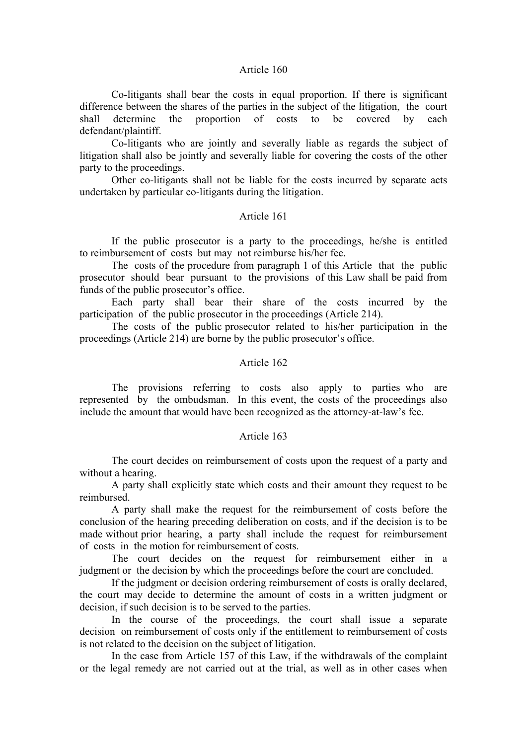Co-litigants shall bear the costs in equal proportion. If there is significant difference between the shares of the parties in the subject of the litigation, the court shall determine the proportion of costs to be covered by each defendant/plaintiff.

 Co-litigants who are jointly and severally liable as regards the subject of litigation shall also be jointly and severally liable for covering the costs of the other party to the proceedings.

 Other co-litigants shall not be liable for the costs incurred by separate acts undertaken by particular co-litigants during the litigation.

#### Article 161

 If the public prosecutor is a party to the proceedings, he/she is entitled to reimbursement of costs but may not reimburse his/her fee.

 The costs of the procedure from paragraph 1 of this Article that the public prosecutor should bear pursuant to the provisions of this Law shall be paid from funds of the public prosecutor's office.

 Each party shall bear their share of the costs incurred by the participation of the public prosecutor in the proceedings (Article 214).

 The costs of the public prosecutor related to his/her participation in the proceedings (Article 214) are borne by the public prosecutor's office.

## Article 162

 The provisions referring to costs also apply to parties who are represented by the ombudsman. In this event, the costs of the proceedings also include the amount that would have been recognized as the attorney-at-law's fee.

## Article 163

 The court decides on reimbursement of costs upon the request of a party and without a hearing.

 A party shall explicitly state which costs and their amount they request to be reimbursed.

 A party shall make the request for the reimbursement of costs before the conclusion of the hearing preceding deliberation on costs, and if the decision is to be made without prior hearing, a party shall include the request for reimbursement of costs in the motion for reimbursement of costs.

 The court decides on the request for reimbursement either in a judgment or the decision by which the proceedings before the court are concluded.

 If the judgment or decision ordering reimbursement of costs is orally declared, the court may decide to determine the amount of costs in a written judgment or decision, if such decision is to be served to the parties.

 In the course of the proceedings, the court shall issue a separate decision on reimbursement of costs only if the entitlement to reimbursement of costs is not related to the decision on the subject of litigation.

 In the case from Article 157 of this Law, if the withdrawals of the complaint or the legal remedy are not carried out at the trial, as well as in other cases when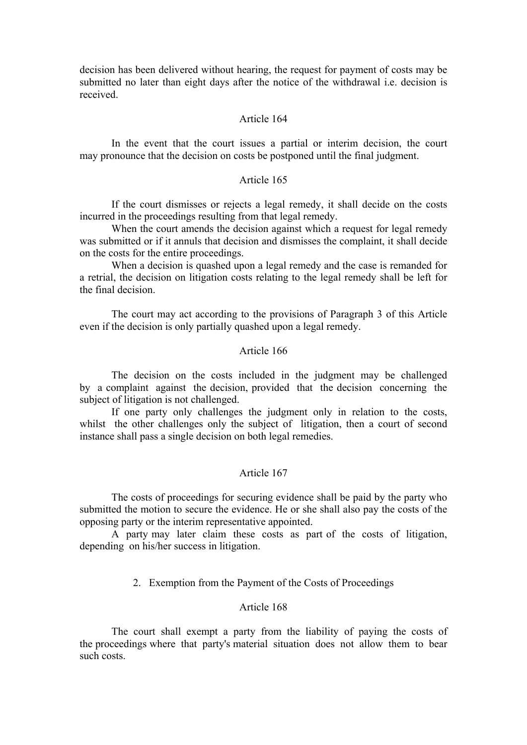decision has been delivered without hearing, the request for payment of costs may be submitted no later than eight days after the notice of the withdrawal i.e. decision is received.

### Article 164

 In the event that the court issues a partial or interim decision, the court may pronounce that the decision on costs be postponed until the final judgment.

# Article 165

 If the court dismisses or rejects a legal remedy, it shall decide on the costs incurred in the proceedings resulting from that legal remedy.

When the court amends the decision against which a request for legal remedy was submitted or if it annuls that decision and dismisses the complaint, it shall decide on the costs for the entire proceedings.

 When a decision is quashed upon a legal remedy and the case is remanded for a retrial, the decision on litigation costs relating to the legal remedy shall be left for the final decision.

 The court may act according to the provisions of Paragraph 3 of this Article even if the decision is only partially quashed upon a legal remedy.

#### Article 166

 The decision on the costs included in the judgment may be challenged by a complaint against the decision, provided that the decision concerning the subject of litigation is not challenged.

 If one party only challenges the judgment only in relation to the costs, whilst the other challenges only the subject of litigation, then a court of second instance shall pass a single decision on both legal remedies.

## Article 167

 The costs of proceedings for securing evidence shall be paid by the party who submitted the motion to secure the evidence. He or she shall also pay the costs of the opposing party or the interim representative appointed.

 A party may later claim these costs as part of the costs of litigation, depending on his/her success in litigation.

## 2. Exemption from the Payment of the Costs of Proceedings

## Article 168

 The court shall exempt a party from the liability of paying the costs of the proceedings where that party's material situation does not allow them to bear such costs.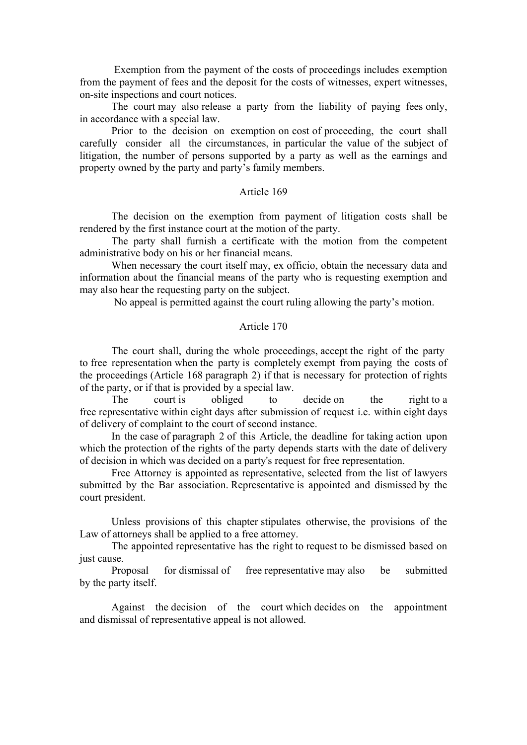Exemption from the payment of the costs of proceedings includes exemption from the payment of fees and the deposit for the costs of witnesses, expert witnesses, on-site inspections and court notices.

 The court may also release a party from the liability of paying fees only, in accordance with a special law.

 Prior to the decision on exemption on cost of proceeding, the court shall carefully consider all the circumstances, in particular the value of the subject of litigation, the number of persons supported by a party as well as the earnings and property owned by the party and party's family members.

# Article 169

 The decision on the exemption from payment of litigation costs shall be rendered by the first instance court at the motion of the party.

 The party shall furnish a certificate with the motion from the competent administrative body on his or her financial means.

 When necessary the court itself may, ex officio, obtain the necessary data and information about the financial means of the party who is requesting exemption and may also hear the requesting party on the subject.

No appeal is permitted against the court ruling allowing the party's motion.

## Article 170

 The court shall, during the whole proceedings, accept the right of the party to free representation when the party is completely exempt from paying the costs of the proceedings (Article 168 paragraph 2) if that is necessary for protection of rights of the party, or if that is provided by a special law.

The court is obliged to decide on the right to a free representative within eight days after submission of request i.e. within eight days of delivery of complaint to the court of second instance.

 In the case of paragraph 2 of this Article, the deadline for taking action upon which the protection of the rights of the party depends starts with the date of delivery of decision in which was decided on a party's request for free representation.

 Free Attorney is appointed as representative, selected from the list of lawyers submitted by the Bar association. Representative is appointed and dismissed by the court president.

 Unless provisions of this chapter stipulates otherwise, the provisions of the Law of attorneys shall be applied to a free attorney.

 The appointed representative has the right to request to be dismissed based on just cause.

 Proposal for dismissal of free representative may also be submitted by the party itself.

 Against the decision of the court which decides on the appointment and dismissal of representative appeal is not allowed.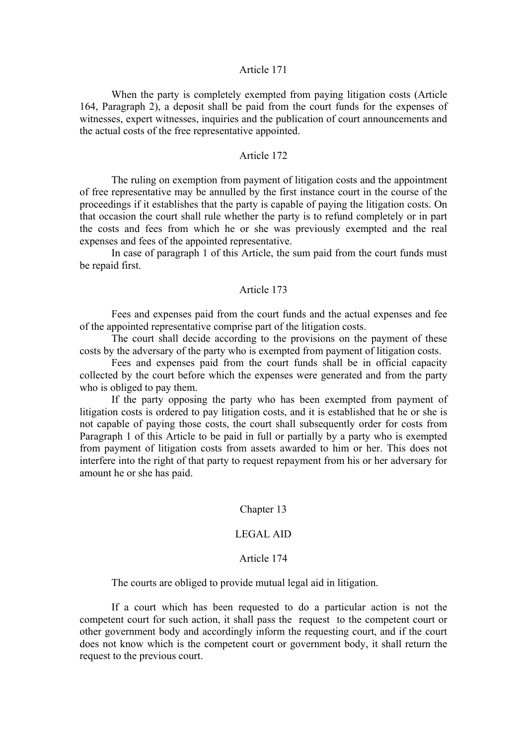When the party is completely exempted from paying litigation costs (Article 164, Paragraph 2), a deposit shall be paid from the court funds for the expenses of witnesses, expert witnesses, inquiries and the publication of court announcements and the actual costs of the free representative appointed.

## Article 172

 The ruling on exemption from payment of litigation costs and the appointment of free representative may be annulled by the first instance court in the course of the proceedings if it establishes that the party is capable of paying the litigation costs. On that occasion the court shall rule whether the party is to refund completely or in part the costs and fees from which he or she was previously exempted and the real expenses and fees of the appointed representative.

 In case of paragraph 1 of this Article, the sum paid from the court funds must be repaid first.

## Article 173

 Fees and expenses paid from the court funds and the actual expenses and fee of the appointed representative comprise part of the litigation costs.

 The court shall decide according to the provisions on the payment of these costs by the adversary of the party who is exempted from payment of litigation costs.

 Fees and expenses paid from the court funds shall be in official capacity collected by the court before which the expenses were generated and from the party who is obliged to pay them.

 If the party opposing the party who has been exempted from payment of litigation costs is ordered to pay litigation costs, and it is established that he or she is not capable of paying those costs, the court shall subsequently order for costs from Paragraph 1 of this Article to be paid in full or partially by a party who is exempted from payment of litigation costs from assets awarded to him or her. This does not interfere into the right of that party to request repayment from his or her adversary for amount he or she has paid.

### Chapter 13

## LEGAL AID

### Article 174

The courts are obliged to provide mutual legal aid in litigation.

 If a court which has been requested to do a particular action is not the competent court for such action, it shall pass the request to the competent court or other government body and accordingly inform the requesting court, and if the court does not know which is the competent court or government body, it shall return the request to the previous court.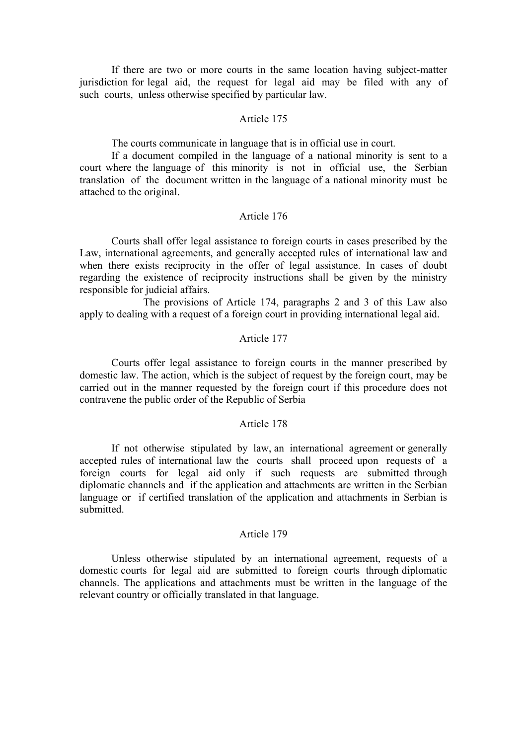If there are two or more courts in the same location having subject-matter jurisdiction for legal aid, the request for legal aid may be filed with any of such courts, unless otherwise specified by particular law.

### Article 175

The courts communicate in language that is in official use in court.

 If a document compiled in the language of a national minority is sent to a court where the language of this minority is not in official use, the Serbian translation of the document written in the language of a national minority must be attached to the original.

### Article 176

 Courts shall offer legal assistance to foreign courts in cases prescribed by the Law, international agreements, and generally accepted rules of international law and when there exists reciprocity in the offer of legal assistance. In cases of doubt regarding the existence of reciprocity instructions shall be given by the ministry responsible for judicial affairs.

 The provisions of Article 174, paragraphs 2 and 3 of this Law also apply to dealing with a request of a foreign court in providing international legal aid.

## Article 177

 Courts offer legal assistance to foreign courts in the manner prescribed by domestic law. The action, which is the subject of request by the foreign court, may be carried out in the manner requested by the foreign court if this procedure does not contravene the public order of the Republic of Serbia

## Article 178

 If not otherwise stipulated by law, an international agreement or generally accepted rules of international law the courts shall proceed upon requests of a foreign courts for legal aid only if such requests are submitted through diplomatic channels and if the application and attachments are written in the Serbian language or if certified translation of the application and attachments in Serbian is submitted.

# Article 179

 Unless otherwise stipulated by an international agreement, requests of a domestic courts for legal aid are submitted to foreign courts through diplomatic channels. The applications and attachments must be written in the language of the relevant country or officially translated in that language.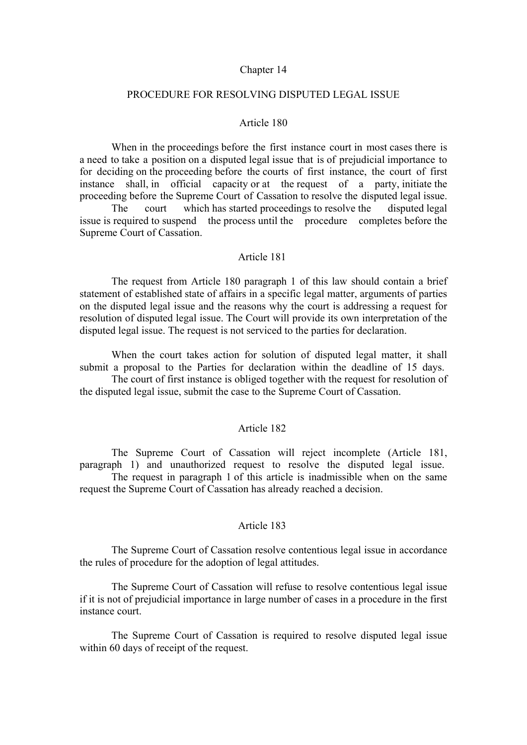### Chapter 14

## PROCEDURE FOR RESOLVING DISPUTED LEGAL ISSUE

### Article 180

 When in the proceedings before the first instance court in most cases there is a need to take a position on a disputed legal issue that is of prejudicial importance to for deciding on the proceeding before the courts of first instance, the court of first instance shall, in official capacity or at the request of a party, initiate the proceeding before the Supreme Court of Cassation to resolve the disputed legal issue. The court which has started proceedings to resolve the disputed legal issue is required to suspend the process until the procedure completes before the Supreme Court of Cassation.

#### Article 181

 The request from Article 180 paragraph 1 of this law should contain a brief statement of established state of affairs in a specific legal matter, arguments of parties on the disputed legal issue and the reasons why the court is addressing a request for resolution of disputed legal issue. The Court will provide its own interpretation of the disputed legal issue. The request is not serviced to the parties for declaration.

 When the court takes action for solution of disputed legal matter, it shall submit a proposal to the Parties for declaration within the deadline of 15 days.

 The court of first instance is obliged together with the request for resolution of the disputed legal issue, submit the case to the Supreme Court of Cassation.

#### Article 182

 The Supreme Court of Cassation will reject incomplete (Article 181, paragraph 1) and unauthorized request to resolve the disputed legal issue. The request in paragraph 1 of this article is inadmissible when on the same request the Supreme Court of Cassation has already reached a decision.

#### Article 183

 The Supreme Court of Cassation resolve contentious legal issue in accordance the rules of procedure for the adoption of legal attitudes.

 The Supreme Court of Cassation will refuse to resolve contentious legal issue if it is not of prejudicial importance in large number of cases in a procedure in the first instance court.

 The Supreme Court of Cassation is required to resolve disputed legal issue within 60 days of receipt of the request.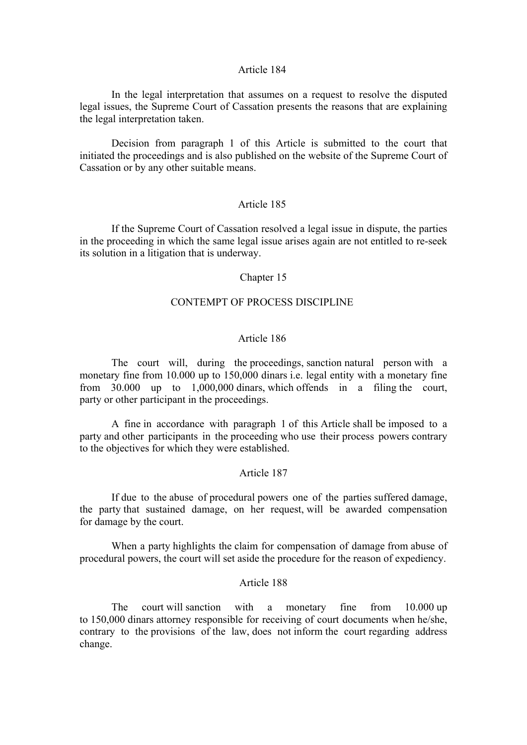In the legal interpretation that assumes on a request to resolve the disputed legal issues, the Supreme Court of Cassation presents the reasons that are explaining the legal interpretation taken.

 Decision from paragraph 1 of this Article is submitted to the court that initiated the proceedings and is also published on the website of the Supreme Court of Cassation or by any other suitable means.

#### Article 185

 If the Supreme Court of Cassation resolved a legal issue in dispute, the parties in the proceeding in which the same legal issue arises again are not entitled to re-seek its solution in a litigation that is underway.

#### Chapter 15

# CONTEMPT OF PROCESS DISCIPLINE

## Article 186

 The court will, during the proceedings, sanction natural person with a monetary fine from 10.000 up to 150,000 dinars i.e. legal entity with a monetary fine from 30.000 up to 1,000,000 dinars, which offends in a filing the court, party or other participant in the proceedings.

 A fine in accordance with paragraph 1 of this Article shall be imposed to a party and other participants in the proceeding who use their process powers contrary to the objectives for which they were established.

#### Article 187

 If due to the abuse of procedural powers one of the parties suffered damage, the party that sustained damage, on her request, will be awarded compensation for damage by the court.

 When a party highlights the claim for compensation of damage from abuse of procedural powers, the court will set aside the procedure for the reason of expediency.

# Article 188

The court will sanction with a monetary fine from 10.000 up to 150,000 dinars attorney responsible for receiving of court documents when he/she, contrary to the provisions of the law, does not inform the court regarding address change.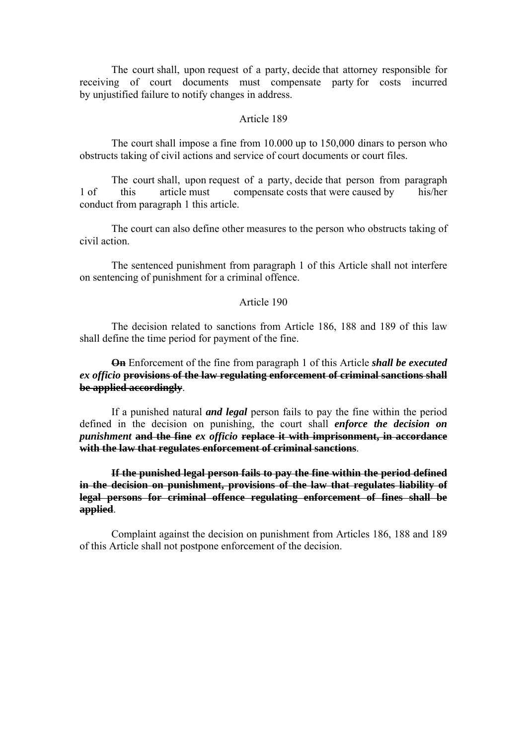The court shall, upon request of a party, decide that attorney responsible for receiving of court documents must compensate party for costs incurred by unjustified failure to notify changes in address.

#### Article 189

 The court shall impose a fine from 10.000 up to 150,000 dinars to person who obstructs taking of civil actions and service of court documents or court files.

 The court shall, upon request of a party, decide that person from paragraph 1 of this article must compensate costs that were caused by his/her conduct from paragraph 1 this article.

 The court can also define other measures to the person who obstructs taking of civil action.

 The sentenced punishment from paragraph 1 of this Article shall not interfere on sentencing of punishment for a criminal offence.

### Article 190

 The decision related to sanctions from Article 186, 188 and 189 of this law shall define the time period for payment of the fine.

 **On** Enforcement of the fine from paragraph 1 of this Article *shall be executed ex officio* **provisions of the law regulating enforcement of criminal sanctions shall be applied accordingly**.

 If a punished natural *and legal* person fails to pay the fine within the period defined in the decision on punishing, the court shall *enforce the decision on punishment* **and the fine** *ex officio* **replace it with imprisonment, in accordance with the law that regulates enforcement of criminal sanctions**.

**If the punished legal person fails to pay the fine within the period defined in the decision on punishment, provisions of the law that regulates liability of legal persons for criminal offence regulating enforcement of fines shall be applied**.

 Complaint against the decision on punishment from Articles 186, 188 and 189 of this Article shall not postpone enforcement of the decision.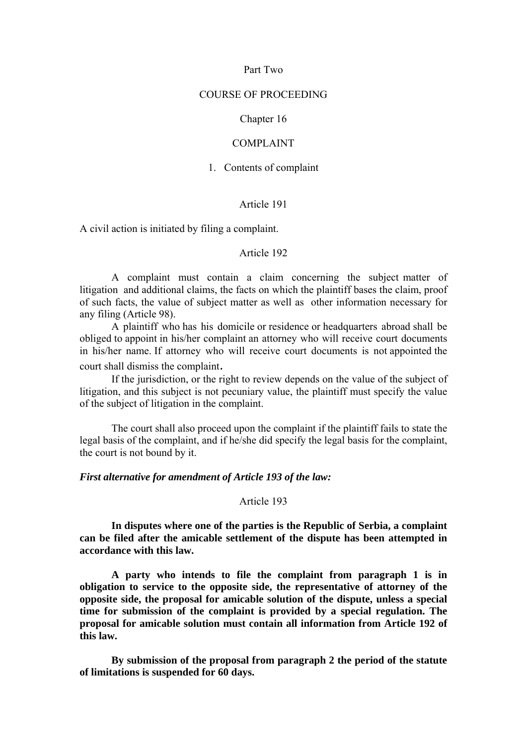Part Two

## COURSE OF PROCEEDING

#### Chapter 16

## COMPLAINT

### 1. Contents of complaint

#### Article 191

A civil action is initiated by filing a complaint.

#### Article 192

 A complaint must contain a claim concerning the subject matter of litigation and additional claims, the facts on which the plaintiff bases the claim, proof of such facts, the value of subject matter as well as other information necessary for any filing (Article 98).

 A plaintiff who has his domicile or residence or headquarters abroad shall be obliged to appoint in his/her complaint an attorney who will receive court documents in his/her name. If attorney who will receive court documents is not appointed the

court shall dismiss the complaint.

 If the jurisdiction, or the right to review depends on the value of the subject of litigation, and this subject is not pecuniary value, the plaintiff must specify the value of the subject of litigation in the complaint.

 The court shall also proceed upon the complaint if the plaintiff fails to state the legal basis of the complaint, and if he/she did specify the legal basis for the complaint, the court is not bound by it.

## *First alternative for amendment of Article 193 of the law:*

## Article 193

 **In disputes where one of the parties is the Republic of Serbia, a complaint can be filed after the amicable settlement of the dispute has been attempted in accordance with this law.** 

 **A party who intends to file the complaint from paragraph 1 is in obligation to service to the opposite side, the representative of attorney of the opposite side, the proposal for amicable solution of the dispute, unless a special time for submission of the complaint is provided by a special regulation. The proposal for amicable solution must contain all information from Article 192 of this law.** 

 **By submission of the proposal from paragraph 2 the period of the statute of limitations is suspended for 60 days.**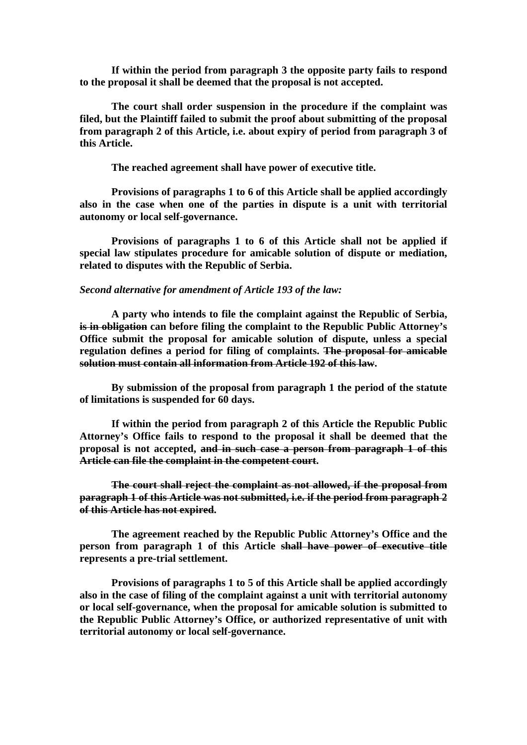**If within the period from paragraph 3 the opposite party fails to respond to the proposal it shall be deemed that the proposal is not accepted.** 

 **The court shall order suspension in the procedure if the complaint was filed, but the Plaintiff failed to submit the proof about submitting of the proposal from paragraph 2 of this Article, i.e. about expiry of period from paragraph 3 of this Article.** 

 **The reached agreement shall have power of executive title.** 

 **Provisions of paragraphs 1 to 6 of this Article shall be applied accordingly also in the case when one of the parties in dispute is a unit with territorial autonomy or local self-governance.** 

 **Provisions of paragraphs 1 to 6 of this Article shall not be applied if special law stipulates procedure for amicable solution of dispute or mediation, related to disputes with the Republic of Serbia.** 

## *Second alternative for amendment of Article 193 of the law:*

 **A party who intends to file the complaint against the Republic of Serbia, is in obligation can before filing the complaint to the Republic Public Attorney's Office submit the proposal for amicable solution of dispute, unless a special regulation defines a period for filing of complaints. The proposal for amicable solution must contain all information from Article 192 of this law.** 

 **By submission of the proposal from paragraph 1 the period of the statute of limitations is suspended for 60 days.**

 **If within the period from paragraph 2 of this Article the Republic Public Attorney's Office fails to respond to the proposal it shall be deemed that the proposal is not accepted, and in such case a person from paragraph 1 of this Article can file the complaint in the competent court.** 

 **The court shall reject the complaint as not allowed, if the proposal from paragraph 1 of this Article was not submitted, i.e. if the period from paragraph 2 of this Article has not expired.**

**The agreement reached by the Republic Public Attorney's Office and the person from paragraph 1 of this Article shall have power of executive title represents a pre-trial settlement.** 

 **Provisions of paragraphs 1 to 5 of this Article shall be applied accordingly also in the case of filing of the complaint against a unit with territorial autonomy or local self-governance, when the proposal for amicable solution is submitted to the Republic Public Attorney's Office, or authorized representative of unit with territorial autonomy or local self-governance.**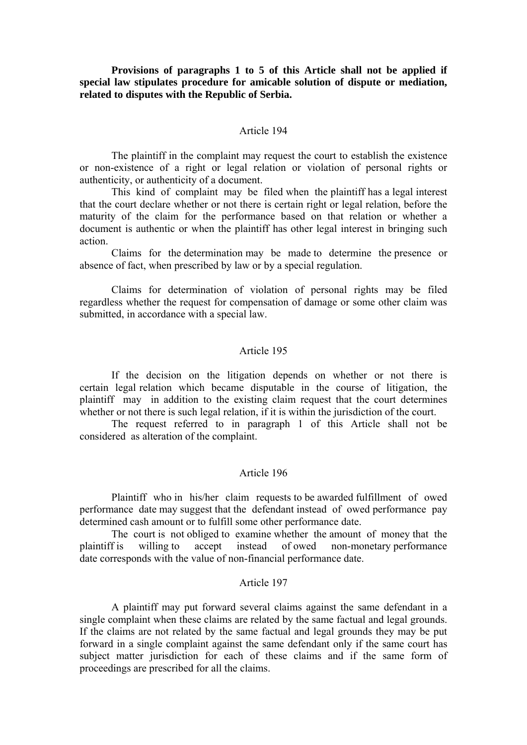**Provisions of paragraphs 1 to 5 of this Article shall not be applied if special law stipulates procedure for amicable solution of dispute or mediation, related to disputes with the Republic of Serbia.** 

## Article 194

 The plaintiff in the complaint may request the court to establish the existence or non-existence of a right or legal relation or violation of personal rights or authenticity, or authenticity of a document.

 This kind of complaint may be filed when the plaintiff has a legal interest that the court declare whether or not there is certain right or legal relation, before the maturity of the claim for the performance based on that relation or whether a document is authentic or when the plaintiff has other legal interest in bringing such action.

 Claims for the determination may be made to determine the presence or absence of fact, when prescribed by law or by a special regulation.

 Claims for determination of violation of personal rights may be filed regardless whether the request for compensation of damage or some other claim was submitted, in accordance with a special law.

#### Article 195

 If the decision on the litigation depends on whether or not there is certain legal relation which became disputable in the course of litigation, the plaintiff may in addition to the existing claim request that the court determines whether or not there is such legal relation, if it is within the jurisdiction of the court.

 The request referred to in paragraph 1 of this Article shall not be considered as alteration of the complaint.

### Article 196

 Plaintiff who in his/her claim requests to be awarded fulfillment of owed performance date may suggest that the defendant instead of owed performance pay determined cash amount or to fulfill some other performance date.

 The court is not obliged to examine whether the amount of money that the plaintiff is willing to accept instead of owed non-monetary performance date corresponds with the value of non-financial performance date.

## Article 197

 A plaintiff may put forward several claims against the same defendant in a single complaint when these claims are related by the same factual and legal grounds. If the claims are not related by the same factual and legal grounds they may be put forward in a single complaint against the same defendant only if the same court has subject matter jurisdiction for each of these claims and if the same form of proceedings are prescribed for all the claims.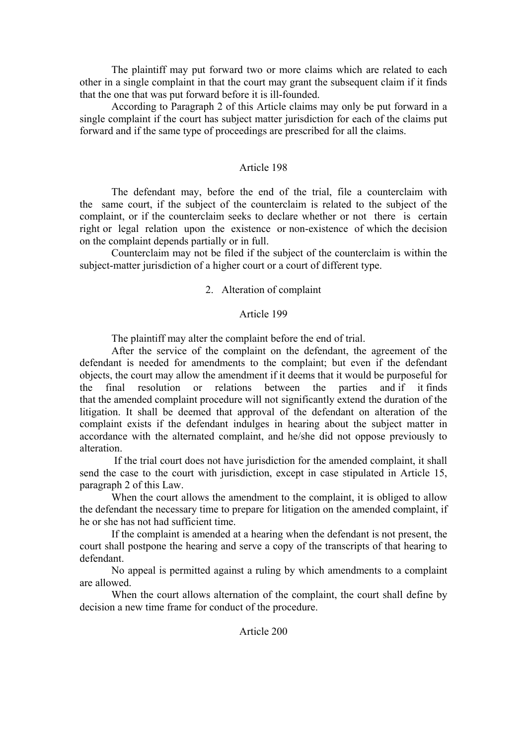The plaintiff may put forward two or more claims which are related to each other in a single complaint in that the court may grant the subsequent claim if it finds that the one that was put forward before it is ill-founded.

 According to Paragraph 2 of this Article claims may only be put forward in a single complaint if the court has subject matter jurisdiction for each of the claims put forward and if the same type of proceedings are prescribed for all the claims.

# Article 198

 The defendant may, before the end of the trial, file a counterclaim with the same court, if the subject of the counterclaim is related to the subject of the complaint, or if the counterclaim seeks to declare whether or not there is certain right or legal relation upon the existence or non-existence of which the decision on the complaint depends partially or in full.

 Counterclaim may not be filed if the subject of the counterclaim is within the subject-matter jurisdiction of a higher court or a court of different type.

# 2. Alteration of complaint

## Article 199

The plaintiff may alter the complaint before the end of trial.

 After the service of the complaint on the defendant, the agreement of the defendant is needed for amendments to the complaint; but even if the defendant objects, the court may allow the amendment if it deems that it would be purposeful for the final resolution or relations between the parties and if it finds that the amended complaint procedure will not significantly extend the duration of the litigation. It shall be deemed that approval of the defendant on alteration of the complaint exists if the defendant indulges in hearing about the subject matter in accordance with the alternated complaint, and he/she did not oppose previously to alteration.

 If the trial court does not have jurisdiction for the amended complaint, it shall send the case to the court with jurisdiction, except in case stipulated in Article 15, paragraph 2 of this Law.

When the court allows the amendment to the complaint, it is obliged to allow the defendant the necessary time to prepare for litigation on the amended complaint, if he or she has not had sufficient time.

 If the complaint is amended at a hearing when the defendant is not present, the court shall postpone the hearing and serve a copy of the transcripts of that hearing to defendant.

 No appeal is permitted against a ruling by which amendments to a complaint are allowed.

 When the court allows alternation of the complaint, the court shall define by decision a new time frame for conduct of the procedure.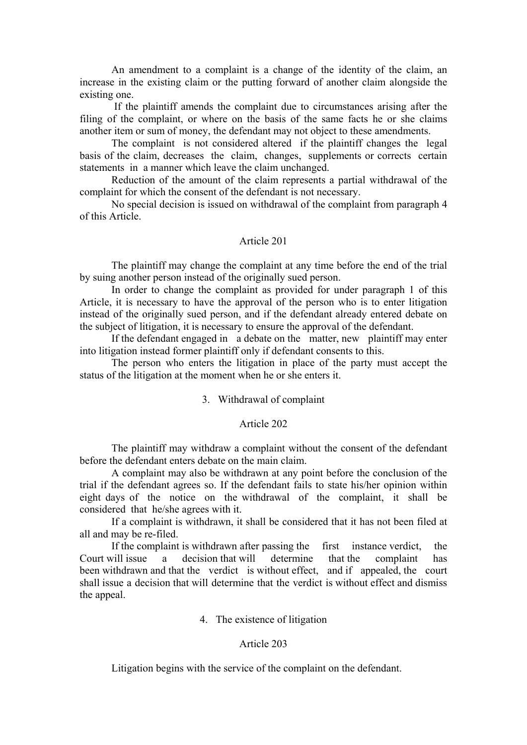An amendment to a complaint is a change of the identity of the claim, an increase in the existing claim or the putting forward of another claim alongside the existing one.

 If the plaintiff amends the complaint due to circumstances arising after the filing of the complaint, or where on the basis of the same facts he or she claims another item or sum of money, the defendant may not object to these amendments.

 The complaint is not considered altered if the plaintiff changes the legal basis of the claim, decreases the claim, changes, supplements or corrects certain statements in a manner which leave the claim unchanged.

 Reduction of the amount of the claim represents a partial withdrawal of the complaint for which the consent of the defendant is not necessary.

 No special decision is issued on withdrawal of the complaint from paragraph 4 of this Article.

# Article 201

 The plaintiff may change the complaint at any time before the end of the trial by suing another person instead of the originally sued person.

 In order to change the complaint as provided for under paragraph 1 of this Article, it is necessary to have the approval of the person who is to enter litigation instead of the originally sued person, and if the defendant already entered debate on the subject of litigation, it is necessary to ensure the approval of the defendant.

 If the defendant engaged in a debate on the matter, new plaintiff may enter into litigation instead former plaintiff only if defendant consents to this.

 The person who enters the litigation in place of the party must accept the status of the litigation at the moment when he or she enters it.

### 3. Withdrawal of complaint

### Article 202

 The plaintiff may withdraw a complaint without the consent of the defendant before the defendant enters debate on the main claim.

 A complaint may also be withdrawn at any point before the conclusion of the trial if the defendant agrees so. If the defendant fails to state his/her opinion within eight days of the notice on the withdrawal of the complaint, it shall be considered that he/she agrees with it.

 If a complaint is withdrawn, it shall be considered that it has not been filed at all and may be re-filed.

If the complaint is withdrawn after passing the first instance verdict, the Court will issue a decision that will determine that the complaint has been withdrawn and that the verdict is without effect, and if appealed, the court shall issue a decision that will determine that the verdict is without effect and dismiss the appeal.

## 4. The existence of litigation

# Article 203

Litigation begins with the service of the complaint on the defendant.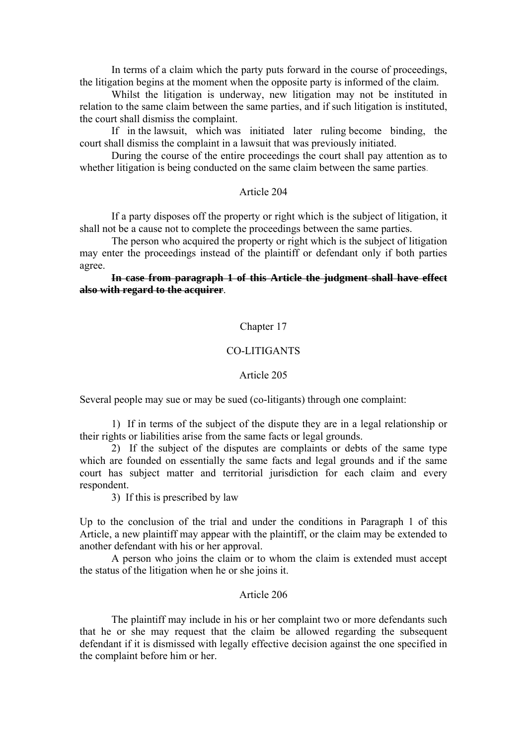In terms of a claim which the party puts forward in the course of proceedings, the litigation begins at the moment when the opposite party is informed of the claim.

 Whilst the litigation is underway, new litigation may not be instituted in relation to the same claim between the same parties, and if such litigation is instituted, the court shall dismiss the complaint.

 If in the lawsuit, which was initiated later ruling become binding, the court shall dismiss the complaint in a lawsuit that was previously initiated.

 During the course of the entire proceedings the court shall pay attention as to whether litigation is being conducted on the same claim between the same parties.

# Article 204

 If a party disposes off the property or right which is the subject of litigation, it shall not be a cause not to complete the proceedings between the same parties.

 The person who acquired the property or right which is the subject of litigation may enter the proceedings instead of the plaintiff or defendant only if both parties agree.

# **In case from paragraph 1 of this Article the judgment shall have effect also with regard to the acquirer**.

# Chapter 17

## CO-LITIGANTS

## Article 205

Several people may sue or may be sued (co-litigants) through one complaint:

 1) If in terms of the subject of the dispute they are in a legal relationship or their rights or liabilities arise from the same facts or legal grounds.

 2) If the subject of the disputes are complaints or debts of the same type which are founded on essentially the same facts and legal grounds and if the same court has subject matter and territorial jurisdiction for each claim and every respondent.

3) If this is prescribed by law

Up to the conclusion of the trial and under the conditions in Paragraph 1 of this Article, a new plaintiff may appear with the plaintiff, or the claim may be extended to another defendant with his or her approval.

 A person who joins the claim or to whom the claim is extended must accept the status of the litigation when he or she joins it.

# Article 206

 The plaintiff may include in his or her complaint two or more defendants such that he or she may request that the claim be allowed regarding the subsequent defendant if it is dismissed with legally effective decision against the one specified in the complaint before him or her.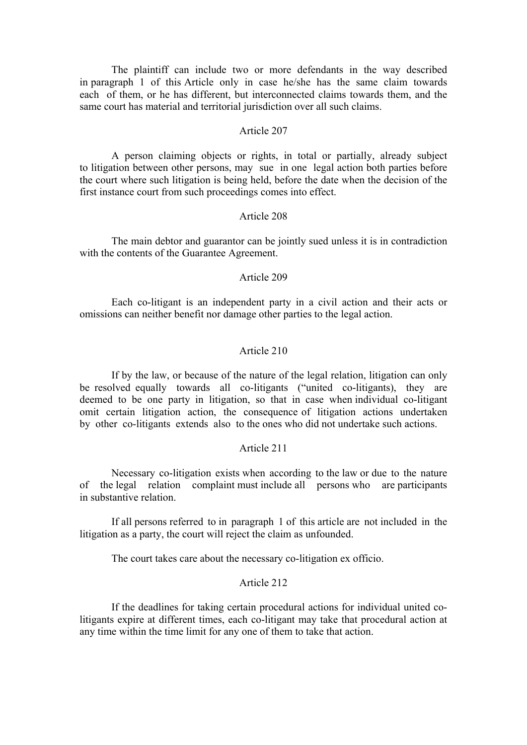The plaintiff can include two or more defendants in the way described in paragraph 1 of this Article only in case he/she has the same claim towards each of them, or he has different, but interconnected claims towards them, and the same court has material and territorial jurisdiction over all such claims.

## Article 207

 A person claiming objects or rights, in total or partially, already subject to litigation between other persons, may sue in one legal action both parties before the court where such litigation is being held, before the date when the decision of the first instance court from such proceedings comes into effect.

#### Article 208

 The main debtor and guarantor can be jointly sued unless it is in contradiction with the contents of the Guarantee Agreement.

## Article 209

 Each co-litigant is an independent party in a civil action and their acts or omissions can neither benefit nor damage other parties to the legal action.

#### Article 210

 If by the law, or because of the nature of the legal relation, litigation can only be resolved equally towards all co-litigants ("united co-litigants), they are deemed to be one party in litigation, so that in case when individual co-litigant omit certain litigation action, the consequence of litigation actions undertaken by other co-litigants extends also to the ones who did not undertake such actions.

### Article 211

 Necessary co-litigation exists when according to the law or due to the nature of the legal relation complaint must include all persons who are participants in substantive relation.

 If all persons referred to in paragraph 1 of this article are not included in the litigation as a party, the court will reject the claim as unfounded.

The court takes care about the necessary co-litigation ex officio.

#### Article 212

 If the deadlines for taking certain procedural actions for individual united colitigants expire at different times, each co-litigant may take that procedural action at any time within the time limit for any one of them to take that action.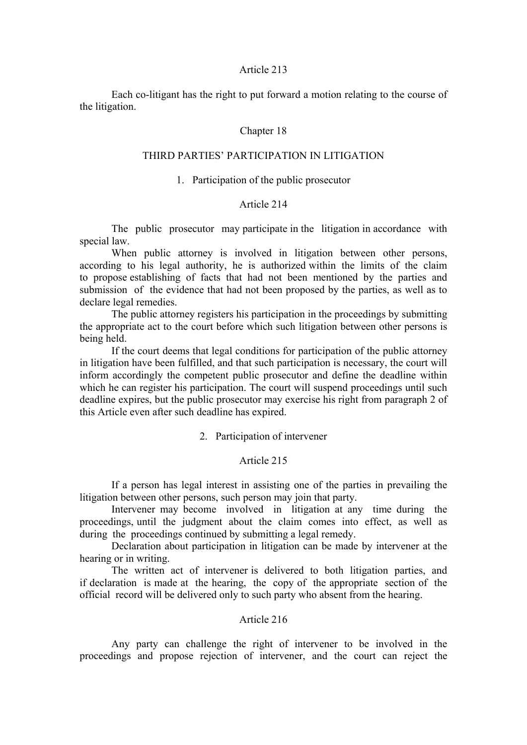Each co-litigant has the right to put forward a motion relating to the course of the litigation.

# Chapter 18

# THIRD PARTIES' PARTICIPATION IN LITIGATION

# 1. Participation of the public prosecutor

## Article 214

The public prosecutor may participate in the litigation in accordance with special law.

 When public attorney is involved in litigation between other persons, according to his legal authority, he is authorized within the limits of the claim to propose establishing of facts that had not been mentioned by the parties and submission of the evidence that had not been proposed by the parties, as well as to declare legal remedies.

 The public attorney registers his participation in the proceedings by submitting the appropriate act to the court before which such litigation between other persons is being held.

 If the court deems that legal conditions for participation of the public attorney in litigation have been fulfilled, and that such participation is necessary, the court will inform accordingly the competent public prosecutor and define the deadline within which he can register his participation. The court will suspend proceedings until such deadline expires, but the public prosecutor may exercise his right from paragraph 2 of this Article even after such deadline has expired.

## 2. Participation of intervener

## Article 215

 If a person has legal interest in assisting one of the parties in prevailing the litigation between other persons, such person may join that party.

 Intervener may become involved in litigation at any time during the proceedings, until the judgment about the claim comes into effect, as well as during the proceedings continued by submitting a legal remedy.

 Declaration about participation in litigation can be made by intervener at the hearing or in writing.

 The written act of intervener is delivered to both litigation parties, and if declaration is made at the hearing, the copy of the appropriate section of the official record will be delivered only to such party who absent from the hearing.

## Article 216

 Any party can challenge the right of intervener to be involved in the proceedings and propose rejection of intervener, and the court can reject the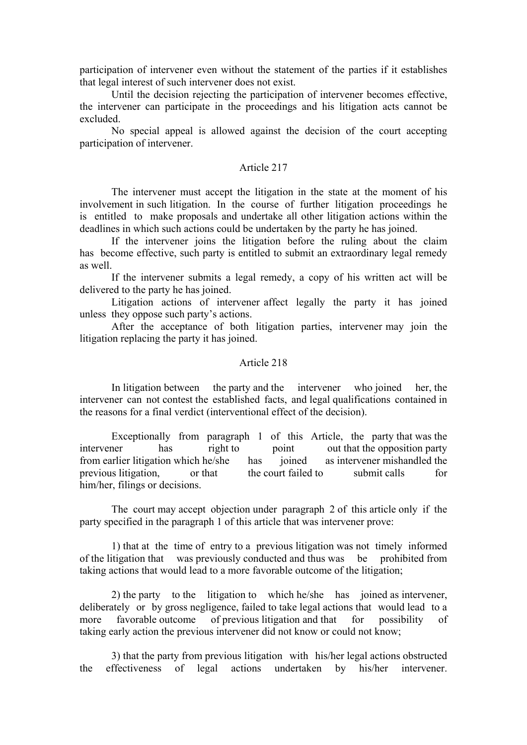participation of intervener even without the statement of the parties if it establishes that legal interest of such intervener does not exist.

 Until the decision rejecting the participation of intervener becomes effective, the intervener can participate in the proceedings and his litigation acts cannot be excluded.

 No special appeal is allowed against the decision of the court accepting participation of intervener.

### Article 217

 The intervener must accept the litigation in the state at the moment of his involvement in such litigation. In the course of further litigation proceedings he is entitled to make proposals and undertake all other litigation actions within the deadlines in which such actions could be undertaken by the party he has joined.

 If the intervener joins the litigation before the ruling about the claim has become effective, such party is entitled to submit an extraordinary legal remedy as well.

 If the intervener submits a legal remedy, a copy of his written act will be delivered to the party he has joined.

 Litigation actions of intervener affect legally the party it has joined unless they oppose such party's actions.

 After the acceptance of both litigation parties, intervener may join the litigation replacing the party it has joined.

# Article 218

In litigation between the party and the intervener who joined her, the intervener can not contest the established facts, and legal qualifications contained in the reasons for a final verdict (interventional effect of the decision).

 Exceptionally from paragraph 1 of this Article, the party that was the intervener has right to point out that the opposition party from earlier litigation which he/she has joined as intervener mishandled the previous litigation, or that the court failed to submit calls for him/her, filings or decisions.

 The court may accept objection under paragraph 2 of this article only if the party specified in the paragraph 1 of this article that was intervener prove:

 1) that at the time of entry to a previous litigation was not timely informed of the litigation that was previously conducted and thus was be prohibited from taking actions that would lead to a more favorable outcome of the litigation;

 2) the party to the litigation to which he/she has joined as intervener, deliberately or by gross negligence, failed to take legal actions that would lead to a more favorable outcome of previous litigation and that for possibility of taking early action the previous intervener did not know or could not know;

 3) that the party from previous litigation with his/her legal actions obstructed the effectiveness of legal actions undertaken by his/her intervener.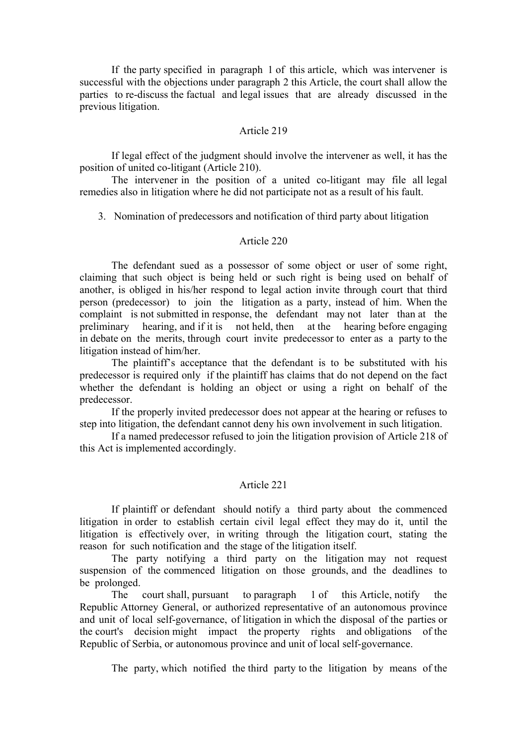If the party specified in paragraph 1 of this article, which was intervener is successful with the objections under paragraph 2 this Article, the court shall allow the parties to re-discuss the factual and legal issues that are already discussed in the previous litigation.

## Article 219

 If legal effect of the judgment should involve the intervener as well, it has the position of united co-litigant (Article 210).

 The intervener in the position of a united co-litigant may file all legal remedies also in litigation where he did not participate not as a result of his fault.

3. Nomination of predecessors and notification of third party about litigation

## Article 220

 The defendant sued as a possessor of some object or user of some right, claiming that such object is being held or such right is being used on behalf of another, is obliged in his/her respond to legal action invite through court that third person (predecessor) to join the litigation as a party, instead of him. When the complaint is not submitted in response, the defendant may not later than at the preliminary hearing, and if it is not held, then at the hearing before engaging in debate on the merits, through court invite predecessor to enter as a party to the litigation instead of him/her.

 The plaintiff's acceptance that the defendant is to be substituted with his predecessor is required only if the plaintiff has claims that do not depend on the fact whether the defendant is holding an object or using a right on behalf of the predecessor.

 If the properly invited predecessor does not appear at the hearing or refuses to step into litigation, the defendant cannot deny his own involvement in such litigation.

 If a named predecessor refused to join the litigation provision of Article 218 of this Act is implemented accordingly.

#### Article 221

 If plaintiff or defendant should notify a third party about the commenced litigation in order to establish certain civil legal effect they may do it, until the litigation is effectively over, in writing through the litigation court, stating the reason for such notification and the stage of the litigation itself.

 The party notifying a third party on the litigation may not request suspension of the commenced litigation on those grounds, and the deadlines to be prolonged.

 The court shall, pursuant to paragraph 1 of this Article, notify the Republic Attorney General, or authorized representative of an autonomous province and unit of local self-governance, of litigation in which the disposal of the parties or the court's decision might impact the property rights and obligations of the Republic of Serbia, or autonomous province and unit of local self-governance.

The party, which notified the third party to the litigation by means of the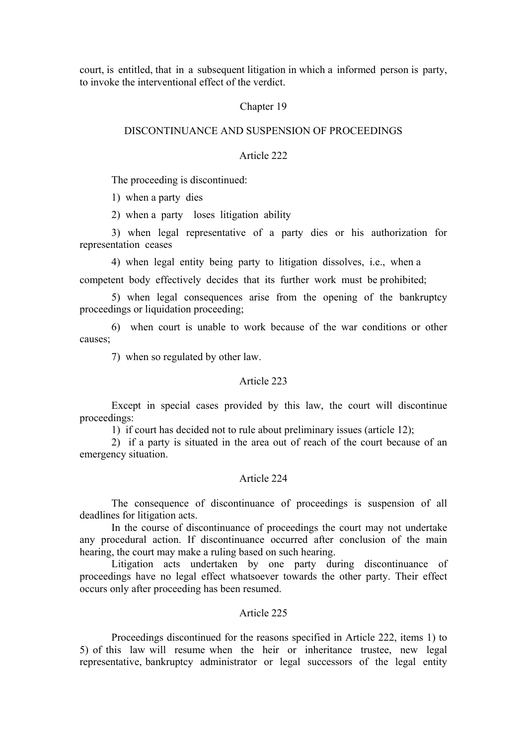court, is entitled, that in a subsequent litigation in which a informed person is party, to invoke the interventional effect of the verdict.

## Chapter 19

# DISCONTINUANCE AND SUSPENSION OF PROCEEDINGS

## Article 222

The proceeding is discontinued:

1) when a party dies

2) when a party loses litigation ability

 3) when legal representative of a party dies or his authorization for representation ceases

4) when legal entity being party to litigation dissolves, i.e., when a

competent body effectively decides that its further work must be prohibited;

 5) when legal consequences arise from the opening of the bankruptcy proceedings or liquidation proceeding;

 6) when court is unable to work because of the war conditions or other causes;

7) when so regulated by other law.

### Article 223

 Except in special cases provided by this law, the court will discontinue proceedings:

1) if court has decided not to rule about preliminary issues (article 12);

 2) if a party is situated in the area out of reach of the court because of an emergency situation.

## Article 224

 The consequence of discontinuance of proceedings is suspension of all deadlines for litigation acts.

 In the course of discontinuance of proceedings the court may not undertake any procedural action. If discontinuance occurred after conclusion of the main hearing, the court may make a ruling based on such hearing.

 Litigation acts undertaken by one party during discontinuance of proceedings have no legal effect whatsoever towards the other party. Their effect occurs only after proceeding has been resumed.

#### Article 225

 Proceedings discontinued for the reasons specified in Article 222, items 1) to 5) of this law will resume when the heir or inheritance trustee, new legal representative, bankruptcy administrator or legal successors of the legal entity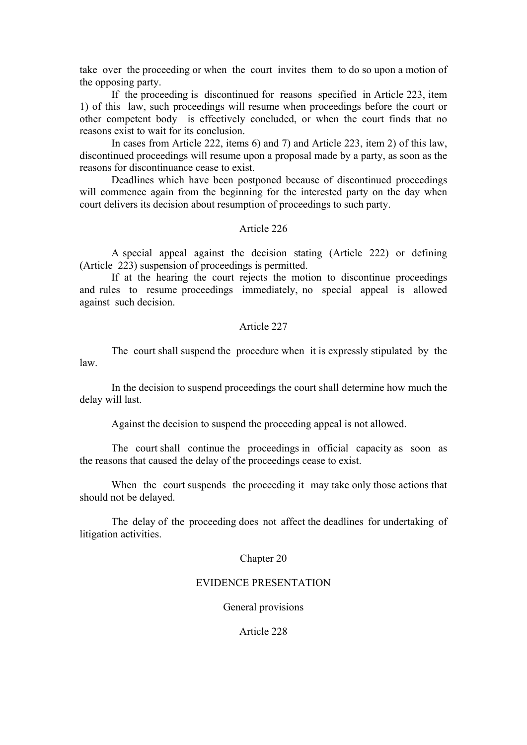take over the proceeding or when the court invites them to do so upon a motion of the opposing party.

 If the proceeding is discontinued for reasons specified in Article 223, item 1) of this law, such proceedings will resume when proceedings before the court or other competent body is effectively concluded, or when the court finds that no reasons exist to wait for its conclusion.

 In cases from Article 222, items 6) and 7) and Article 223, item 2) of this law, discontinued proceedings will resume upon a proposal made by a party, as soon as the reasons for discontinuance cease to exist.

Deadlines which have been postponed because of discontinued proceedings will commence again from the beginning for the interested party on the day when court delivers its decision about resumption of proceedings to such party.

# Article 226

 A special appeal against the decision stating (Article 222) or defining (Article 223) suspension of proceedings is permitted.

 If at the hearing the court rejects the motion to discontinue proceedings and rules to resume proceedings immediately, no special appeal is allowed against such decision.

## Article 227

The court shall suspend the procedure when it is expressly stipulated by the law.

 In the decision to suspend proceedings the court shall determine how much the delay will last.

Against the decision to suspend the proceeding appeal is not allowed.

 The court shall continue the proceedings in official capacity as soon as the reasons that caused the delay of the proceedings cease to exist.

When the court suspends the proceeding it may take only those actions that should not be delayed.

 The delay of the proceeding does not affect the deadlines for undertaking of litigation activities.

Chapter 20

## EVIDENCE PRESENTATION

General provisions

Article 228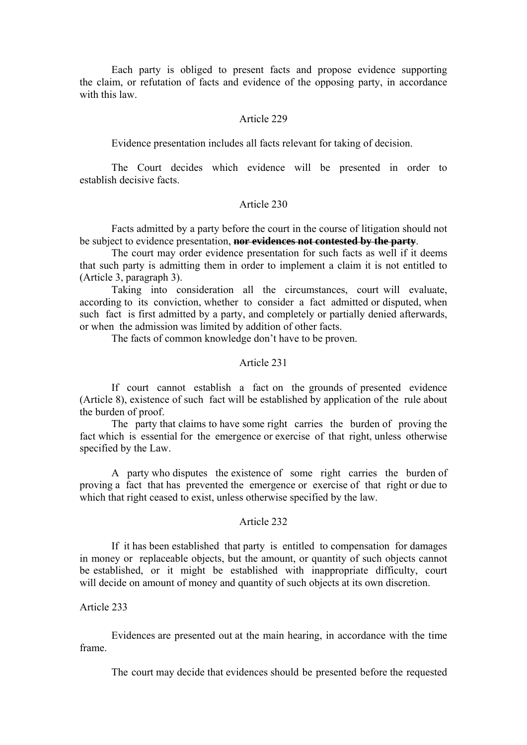Each party is obliged to present facts and propose evidence supporting the claim, or refutation of facts and evidence of the opposing party, in accordance with this law.

#### Article 229

Evidence presentation includes all facts relevant for taking of decision.

 The Court decides which evidence will be presented in order to establish decisive facts.

## Article 230

 Facts admitted by a party before the court in the course of litigation should not be subject to evidence presentation, **nor evidences not contested by the party**.

 The court may order evidence presentation for such facts as well if it deems that such party is admitting them in order to implement a claim it is not entitled to (Article 3, paragraph 3).

 Taking into consideration all the circumstances, court will evaluate, according to its conviction, whether to consider a fact admitted or disputed, when such fact is first admitted by a party, and completely or partially denied afterwards, or when the admission was limited by addition of other facts.

The facts of common knowledge don't have to be proven.

## Article 231

 If court cannot establish a fact on the grounds of presented evidence (Article 8), existence of such fact will be established by application of the rule about the burden of proof.

The party that claims to have some right carries the burden of proving the fact which is essential for the emergence or exercise of that right, unless otherwise specified by the Law.

 A party who disputes the existence of some right carries the burden of proving a fact that has prevented the emergence or exercise of that right or due to which that right ceased to exist, unless otherwise specified by the law.

#### Article 232

 If it has been established that party is entitled to compensation for damages in money or replaceable objects, but the amount, or quantity of such objects cannot be established, or it might be established with inappropriate difficulty, court will decide on amount of money and quantity of such objects at its own discretion.

# Article 233

Evidences are presented out at the main hearing, in accordance with the time frame.

The court may decide that evidences should be presented before the requested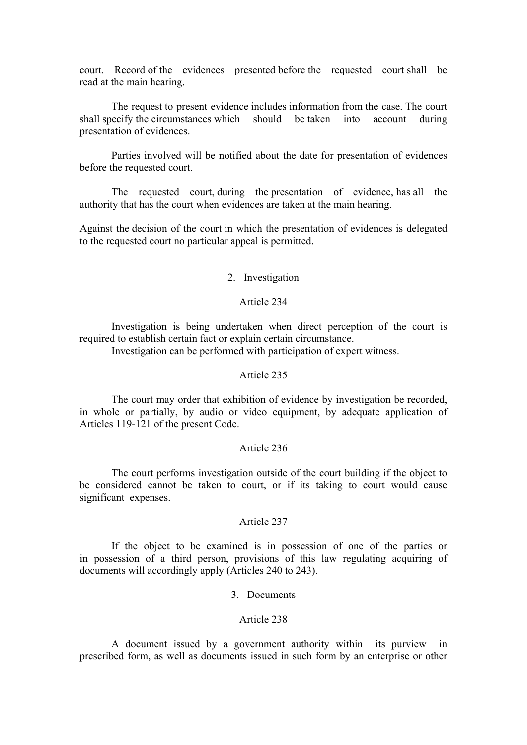court. Record of the evidences presented before the requested court shall be read at the main hearing.

 The request to present evidence includes information from the case. The court shall specify the circumstances which should be taken into account during presentation of evidences.

 Parties involved will be notified about the date for presentation of evidences before the requested court.

 The requested court, during the presentation of evidence, has all the authority that has the court when evidences are taken at the main hearing.

Against the decision of the court in which the presentation of evidences is delegated to the requested court no particular appeal is permitted.

# 2. Investigation

# Article 234

 Investigation is being undertaken when direct perception of the court is required to establish certain fact or explain certain circumstance.

Investigation can be performed with participation of expert witness.

## Article 235

 The court may order that exhibition of evidence by investigation be recorded, in whole or partially, by audio or video equipment, by adequate application of Articles 119-121 of the present Code.

#### Article 236

 The court performs investigation outside of the court building if the object to be considered cannot be taken to court, or if its taking to court would cause significant expenses.

## Article 237

 If the object to be examined is in possession of one of the parties or in possession of a third person, provisions of this law regulating acquiring of documents will accordingly apply (Articles 240 to 243).

# 3. Documents

### Article 238

 A document issued by a government authority within its purview in prescribed form, as well as documents issued in such form by an enterprise or other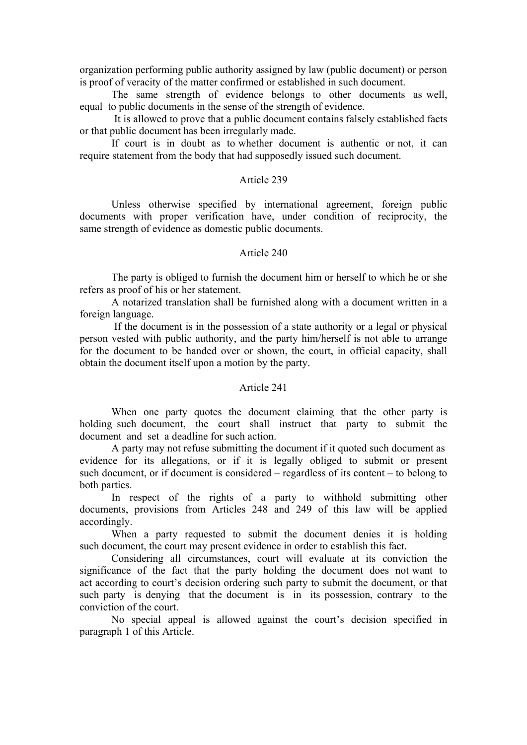organization performing public authority assigned by law (public document) or person is proof of veracity of the matter confirmed or established in such document.

 The same strength of evidence belongs to other documents as well, equal to public documents in the sense of the strength of evidence.

 It is allowed to prove that a public document contains falsely established facts or that public document has been irregularly made.

 If court is in doubt as to whether document is authentic or not, it can require statement from the body that had supposedly issued such document.

## Article 239

 Unless otherwise specified by international agreement, foreign public documents with proper verification have, under condition of reciprocity, the same strength of evidence as domestic public documents.

### Article 240

 The party is obliged to furnish the document him or herself to which he or she refers as proof of his or her statement.

 A notarized translation shall be furnished along with a document written in a foreign language.

 If the document is in the possession of a state authority or a legal or physical person vested with public authority, and the party him/herself is not able to arrange for the document to be handed over or shown, the court, in official capacity, shall obtain the document itself upon a motion by the party.

#### Article 241

 When one party quotes the document claiming that the other party is holding such document, the court shall instruct that party to submit the document and set a deadline for such action.

 A party may not refuse submitting the document if it quoted such document as evidence for its allegations, or if it is legally obliged to submit or present such document, or if document is considered – regardless of its content – to belong to both parties.

 In respect of the rights of a party to withhold submitting other documents, provisions from Articles 248 and 249 of this law will be applied accordingly.

 When a party requested to submit the document denies it is holding such document, the court may present evidence in order to establish this fact.

 Considering all circumstances, court will evaluate at its conviction the significance of the fact that the party holding the document does not want to act according to court's decision ordering such party to submit the document, or that such party is denying that the document is in its possession, contrary to the conviction of the court.

 No special appeal is allowed against the court's decision specified in paragraph 1 of this Article.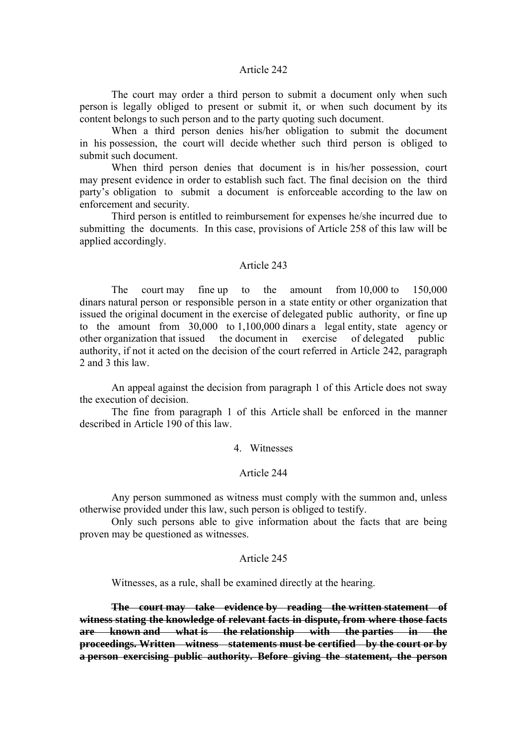The court may order a third person to submit a document only when such person is legally obliged to present or submit it, or when such document by its content belongs to such person and to the party quoting such document.

 When a third person denies his/her obligation to submit the document in his possession, the court will decide whether such third person is obliged to submit such document.

 When third person denies that document is in his/her possession, court may present evidence in order to establish such fact. The final decision on the third party's obligation to submit a document is enforceable according to the law on enforcement and security.

 Third person is entitled to reimbursement for expenses he/she incurred due to submitting the documents. In this case, provisions of Article 258 of this law will be applied accordingly.

#### Article 243

 The court may fine up to the amount from 10,000 to 150,000 dinars natural person or responsible person in a state entity or other organization that issued the original document in the exercise of delegated public authority, or fine up to the amount from 30,000 to 1,100,000 dinars a legal entity, state agency or other organization that issued the document in exercise of delegated public authority, if not it acted on the decision of the court referred in Article 242, paragraph 2 and 3 this law.

 An appeal against the decision from paragraph 1 of this Article does not sway the execution of decision.

 The fine from paragraph 1 of this Article shall be enforced in the manner described in Article 190 of this law.

4. Witnesses

# Article 244

 Any person summoned as witness must comply with the summon and, unless otherwise provided under this law, such person is obliged to testify.

 Only such persons able to give information about the facts that are being proven may be questioned as witnesses.

### Article 245

Witnesses, as a rule, shall be examined directly at the hearing.

**The court may take evidence by reading the written statement of witness stating the knowledge of relevant facts in dispute, from where those facts are known and what is the relationship with the parties in the proceedings. Written witness statements must be certified by the court or by a person exercising public authority. Before giving the statement, the person**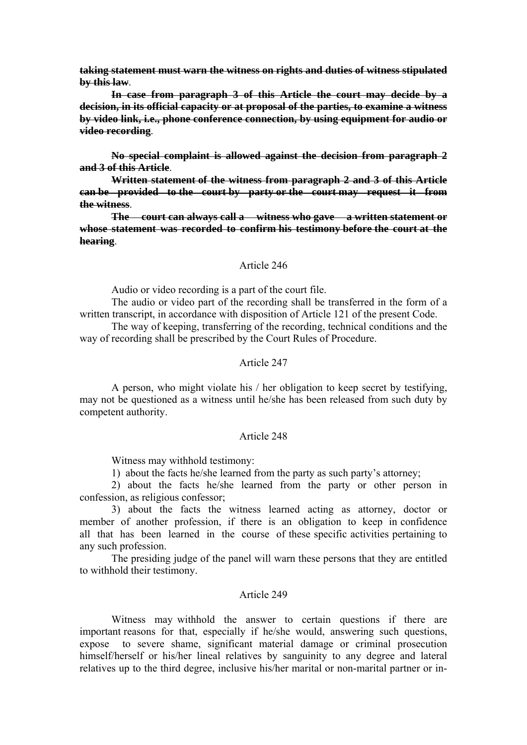**taking statement must warn the witness on rights and duties of witness stipulated by this law**.

**In case from paragraph 3 of this Article the court may decide by a decision, in its official capacity or at proposal of the parties, to examine a witness by video link, i.e., phone conference connection, by using equipment for audio or video recording**.

**No special complaint is allowed against the decision from paragraph 2 and 3 of this Article**.

**Written statement of the witness from paragraph 2 and 3 of this Article can be provided to the court by party or the court may request it from the witness**.

**The court can always call a witness who gave a written statement or whose statement was recorded to confirm his testimony before the court at the hearing**.

#### Article 246

Audio or video recording is a part of the court file.

 The audio or video part of the recording shall be transferred in the form of a written transcript, in accordance with disposition of Article 121 of the present Code.

 The way of keeping, transferring of the recording, technical conditions and the way of recording shall be prescribed by the Court Rules of Procedure.

## Article 247

 A person, who might violate his / her obligation to keep secret by testifying, may not be questioned as a witness until he/she has been released from such duty by competent authority.

#### Article 248

Witness may withhold testimony:

1) about the facts he/she learned from the party as such party's attorney;

 2) about the facts he/she learned from the party or other person in confession, as religious confessor;

 3) about the facts the witness learned acting as attorney, doctor or member of another profession, if there is an obligation to keep in confidence all that has been learned in the course of these specific activities pertaining to any such profession.

 The presiding judge of the panel will warn these persons that they are entitled to withhold their testimony.

## Article 249

 Witness may withhold the answer to certain questions if there are important reasons for that, especially if he/she would, answering such questions, expose to severe shame, significant material damage or criminal prosecution himself/herself or his/her lineal relatives by sanguinity to any degree and lateral relatives up to the third degree, inclusive his/her marital or non-marital partner or in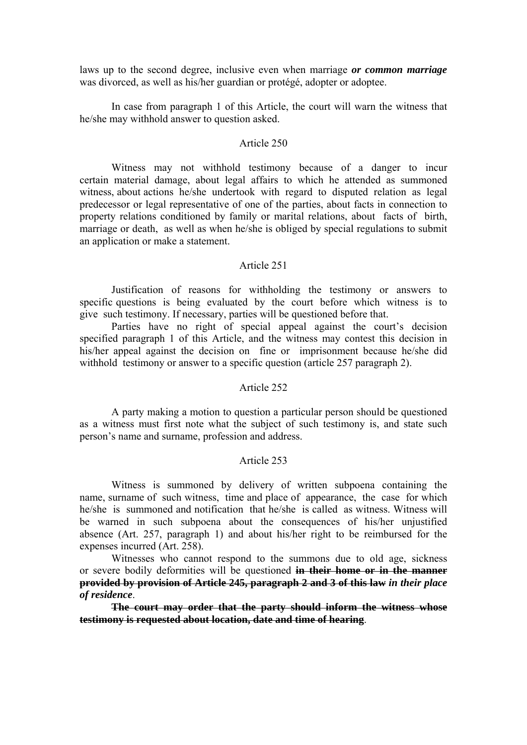laws up to the second degree, inclusive even when marriage *or common marriage* was divorced, as well as his/her guardian or protégé, adopter or adoptee.

 In case from paragraph 1 of this Article, the court will warn the witness that he/she may withhold answer to question asked.

## Article 250

 Witness may not withhold testimony because of a danger to incur certain material damage, about legal affairs to which he attended as summoned witness, about actions he/she undertook with regard to disputed relation as legal predecessor or legal representative of one of the parties, about facts in connection to property relations conditioned by family or marital relations, about facts of birth, marriage or death, as well as when he/she is obliged by special regulations to submit an application or make a statement.

#### Article 251

 Justification of reasons for withholding the testimony or answers to specific questions is being evaluated by the court before which witness is to give such testimony. If necessary, parties will be questioned before that.

 Parties have no right of special appeal against the court's decision specified paragraph 1 of this Article, and the witness may contest this decision in his/her appeal against the decision on fine or imprisonment because he/she did withhold testimony or answer to a specific question (article 257 paragraph 2).

#### Article 252

 A party making a motion to question a particular person should be questioned as a witness must first note what the subject of such testimony is, and state such person's name and surname, profession and address.

### Article 253

 Witness is summoned by delivery of written subpoena containing the name, surname of such witness, time and place of appearance, the case for which he/she is summoned and notification that he/she is called as witness. Witness will be warned in such subpoena about the consequences of his/her unjustified absence (Art. 257, paragraph 1) and about his/her right to be reimbursed for the expenses incurred (Art. 258).

 Witnesses who cannot respond to the summons due to old age, sickness or severe bodily deformities will be questioned **in their home or in the manner provided by provision of Article 245, paragraph 2 and 3 of this law** *in their place of residence*.

**The court may order that the party should inform the witness whose testimony is requested about location, date and time of hearing**.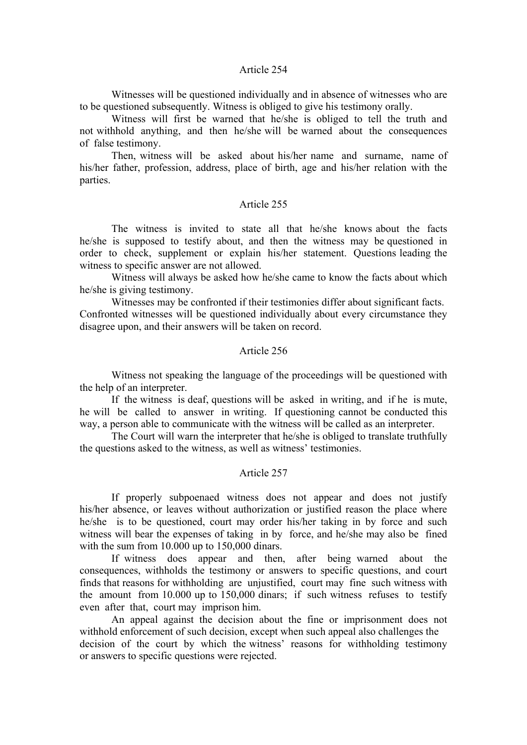Witnesses will be questioned individually and in absence of witnesses who are to be questioned subsequently. Witness is obliged to give his testimony orally.

 Witness will first be warned that he/she is obliged to tell the truth and not withhold anything, and then he/she will be warned about the consequences of false testimony.

 Then, witness will be asked about his/her name and surname, name of his/her father, profession, address, place of birth, age and his/her relation with the parties.

## Article 255

 The witness is invited to state all that he/she knows about the facts he/she is supposed to testify about, and then the witness may be questioned in order to check, supplement or explain his/her statement. Questions leading the witness to specific answer are not allowed.

 Witness will always be asked how he/she came to know the facts about which he/she is giving testimony.

 Witnesses may be confronted if their testimonies differ about significant facts. Confronted witnesses will be questioned individually about every circumstance they disagree upon, and their answers will be taken on record.

### Article 256

 Witness not speaking the language of the proceedings will be questioned with the help of an interpreter.

 If the witness is deaf, questions will be asked in writing, and if he is mute, he will be called to answer in writing. If questioning cannot be conducted this way, a person able to communicate with the witness will be called as an interpreter.

 The Court will warn the interpreter that he/she is obliged to translate truthfully the questions asked to the witness, as well as witness' testimonies.

## Article 257

 If properly subpoenaed witness does not appear and does not justify his/her absence, or leaves without authorization or justified reason the place where he/she is to be questioned, court may order his/her taking in by force and such witness will bear the expenses of taking in by force, and he/she may also be fined with the sum from 10.000 up to 150,000 dinars.

 If witness does appear and then, after being warned about the consequences, withholds the testimony or answers to specific questions, and court finds that reasons for withholding are unjustified, court may fine such witness with the amount from 10.000 up to 150,000 dinars; if such witness refuses to testify even after that, court may imprison him.

 An appeal against the decision about the fine or imprisonment does not withhold enforcement of such decision, except when such appeal also challenges the decision of the court by which the witness' reasons for withholding testimony or answers to specific questions were rejected.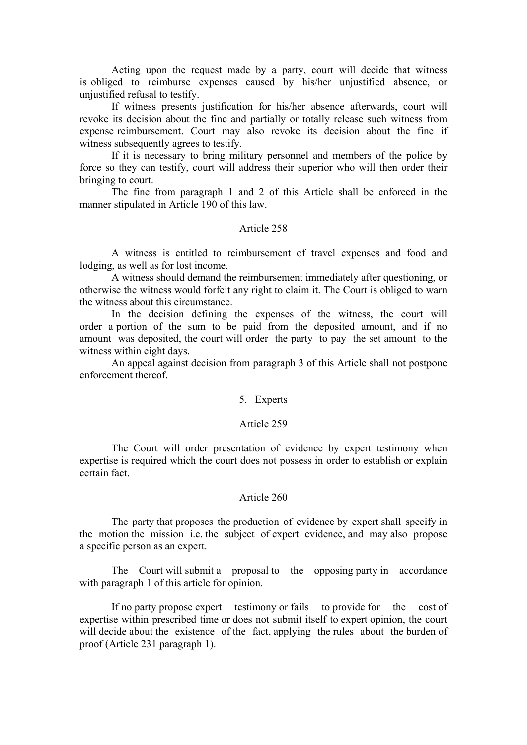Acting upon the request made by a party, court will decide that witness is obliged to reimburse expenses caused by his/her unjustified absence, or unjustified refusal to testify.

 If witness presents justification for his/her absence afterwards, court will revoke its decision about the fine and partially or totally release such witness from expense reimbursement. Court may also revoke its decision about the fine if witness subsequently agrees to testify.

 If it is necessary to bring military personnel and members of the police by force so they can testify, court will address their superior who will then order their bringing to court.

 The fine from paragraph 1 and 2 of this Article shall be enforced in the manner stipulated in Article 190 of this law.

## Article 258

 A witness is entitled to reimbursement of travel expenses and food and lodging, as well as for lost income.

 A witness should demand the reimbursement immediately after questioning, or otherwise the witness would forfeit any right to claim it. The Court is obliged to warn the witness about this circumstance.

 In the decision defining the expenses of the witness, the court will order a portion of the sum to be paid from the deposited amount, and if no amount was deposited, the court will order the party to pay the set amount to the witness within eight days.

 An appeal against decision from paragraph 3 of this Article shall not postpone enforcement thereof.

#### 5. Experts

#### Article 259

 The Court will order presentation of evidence by expert testimony when expertise is required which the court does not possess in order to establish or explain certain fact.

#### Article 260

The party that proposes the production of evidence by expert shall specify in the motion the mission i.e. the subject of expert evidence, and may also propose a specific person as an expert.

 The Court will submit a proposal to the opposing party in accordance with paragraph 1 of this article for opinion.

 If no party propose expert testimony or fails to provide for the cost of expertise within prescribed time or does not submit itself to expert opinion, the court will decide about the existence of the fact, applying the rules about the burden of proof (Article 231 paragraph 1).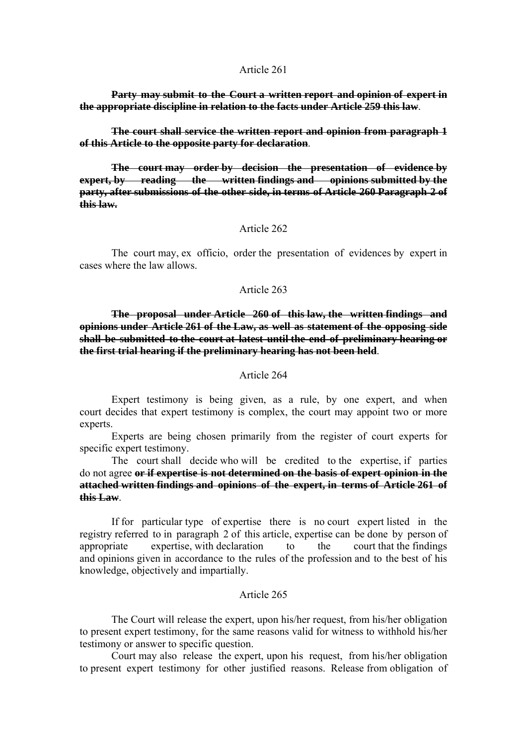**Party may submit to the Court a written report and opinion of expert in the appropriate discipline in relation to the facts under Article 259 this law**.

**The court shall service the written report and opinion from paragraph 1 of this Article to the opposite party for declaration**.

 **The court may order by decision the presentation of evidence by expert, by reading the written findings and opinions submitted by the party, after submissions of the other side, in terms of Article 260 Paragraph 2 of this law.**

### Article 262

 The court may, ex officio, order the presentation of evidences by expert in cases where the law allows.

## Article 263

**The proposal under Article 260 of this law, the written findings and opinions under Article 261 of the Law, as well as statement of the opposing side shall be submitted to the court at latest until the end of preliminary hearing or the first trial hearing if the preliminary hearing has not been held**.

## Article 264

 Expert testimony is being given, as a rule, by one expert, and when court decides that expert testimony is complex, the court may appoint two or more experts.

 Experts are being chosen primarily from the register of court experts for specific expert testimony.

 The court shall decide who will be credited to the expertise, if parties do not agree **or if expertise is not determined on the basis of expert opinion in the attached written findings and opinions of the expert, in terms of Article 261 of this Law**.

 If for particular type of expertise there is no court expert listed in the registry referred to in paragraph 2 of this article, expertise can be done by person of appropriate expertise, with declaration to the court that the findings and opinions given in accordance to the rules of the profession and to the best of his knowledge, objectively and impartially.

# Article 265

 The Court will release the expert, upon his/her request, from his/her obligation to present expert testimony, for the same reasons valid for witness to withhold his/her testimony or answer to specific question.

 Court may also release the expert, upon his request, from his/her obligation to present expert testimony for other justified reasons. Release from obligation of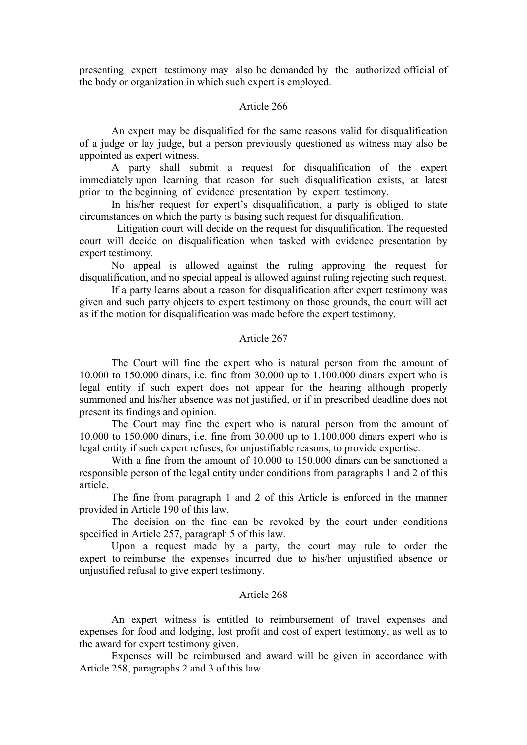presenting expert testimony may also be demanded by the authorized official of the body or organization in which such expert is employed.

#### Article 266

 An expert may be disqualified for the same reasons valid for disqualification of a judge or lay judge, but a person previously questioned as witness may also be appointed as expert witness.

 A party shall submit a request for disqualification of the expert immediately upon learning that reason for such disqualification exists, at latest prior to the beginning of evidence presentation by expert testimony.

 In his/her request for expert's disqualification, a party is obliged to state circumstances on which the party is basing such request for disqualification.

 Litigation court will decide on the request for disqualification. The requested court will decide on disqualification when tasked with evidence presentation by expert testimony.

 No appeal is allowed against the ruling approving the request for disqualification, and no special appeal is allowed against ruling rejecting such request.

 If a party learns about a reason for disqualification after expert testimony was given and such party objects to expert testimony on those grounds, the court will act as if the motion for disqualification was made before the expert testimony.

## Article 267

 The Court will fine the expert who is natural person from the amount of 10.000 to 150.000 dinars, i.e. fine from 30.000 up to 1.100.000 dinars expert who is legal entity if such expert does not appear for the hearing although properly summoned and his/her absence was not justified, or if in prescribed deadline does not present its findings and opinion.

 The Court may fine the expert who is natural person from the amount of 10.000 to 150.000 dinars, i.e. fine from 30.000 up to 1.100.000 dinars expert who is legal entity if such expert refuses, for unjustifiable reasons, to provide expertise.

 With a fine from the amount of 10.000 to 150.000 dinars can be sanctioned a responsible person of the legal entity under conditions from paragraphs 1 and 2 of this article.

 The fine from paragraph 1 and 2 of this Article is enforced in the manner provided in Article 190 of this law.

 The decision on the fine can be revoked by the court under conditions specified in Article 257, paragraph 5 of this law.

 Upon a request made by a party, the court may rule to order the expert to reimburse the expenses incurred due to his/her unjustified absence or unjustified refusal to give expert testimony.

# Article 268

 An expert witness is entitled to reimbursement of travel expenses and expenses for food and lodging, lost profit and cost of expert testimony, as well as to the award for expert testimony given.

 Expenses will be reimbursed and award will be given in accordance with Article 258, paragraphs 2 and 3 of this law.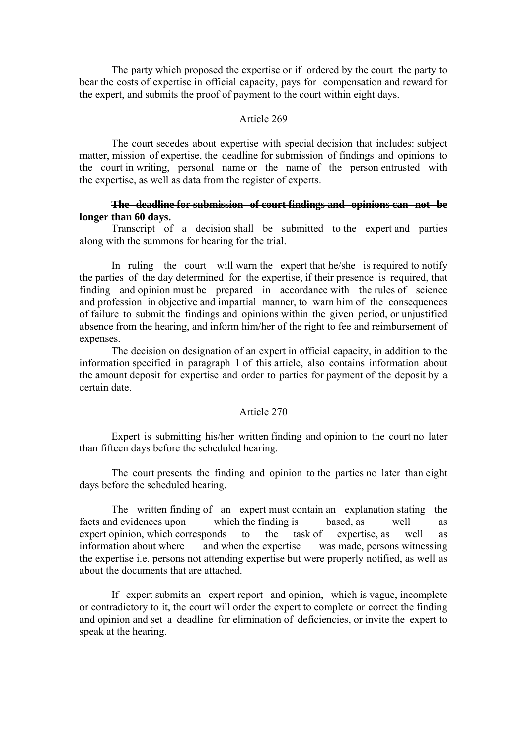The party which proposed the expertise or if ordered by the court the party to bear the costs of expertise in official capacity, pays for compensation and reward for the expert, and submits the proof of payment to the court within eight days.

# Article 269

The court secedes about expertise with special decision that includes: subject matter, mission of expertise, the deadline for submission of findings and opinions to the court in writing, personal name or the name of the person entrusted with the expertise, as well as data from the register of experts.

# **The deadline for submission of court findings and opinions can not be longer than 60 days.**

 Transcript of a decision shall be submitted to the expert and parties along with the summons for hearing for the trial.

 In ruling the court will warn the expert that he/she is required to notify the parties of the day determined for the expertise, if their presence is required, that finding and opinion must be prepared in accordance with the rules of science and profession in objective and impartial manner, to warn him of the consequences of failure to submit the findings and opinions within the given period, or unjustified absence from the hearing, and inform him/her of the right to fee and reimbursement of expenses.

 The decision on designation of an expert in official capacity, in addition to the information specified in paragraph 1 of this article, also contains information about the amount deposit for expertise and order to parties for payment of the deposit by a certain date.

## Article 270

Expert is submitting his/her written finding and opinion to the court no later than fifteen days before the scheduled hearing.

 The court presents the finding and opinion to the parties no later than eight days before the scheduled hearing.

 The written finding of an expert must contain an explanation stating the facts and evidences upon which the finding is based, as well as expert opinion, which corresponds to the task of expertise, as well as information about where and when the expertise was made, persons witnessing the expertise i.e. persons not attending expertise but were properly notified, as well as about the documents that are attached.

 If expert submits an expert report and opinion, which is vague, incomplete or contradictory to it, the court will order the expert to complete or correct the finding and opinion and set a deadline for elimination of deficiencies, or invite the expert to speak at the hearing.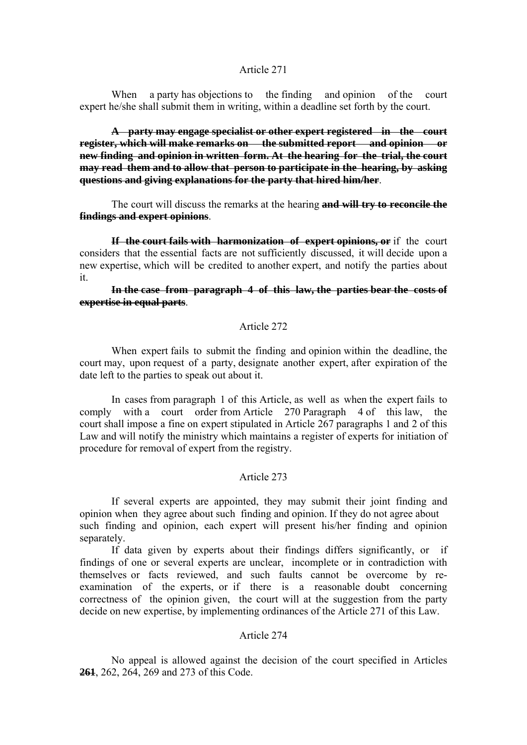When a party has objections to the finding and opinion of the court expert he/she shall submit them in writing, within a deadline set forth by the court.

**A party may engage specialist or other expert registered in the court register, which will make remarks on the submitted report and opinion or new finding and opinion in written form. At the hearing for the trial, the court may read them and to allow that person to participate in the hearing, by asking questions and giving explanations for the party that hired him/her**.

 The court will discuss the remarks at the hearing **and will try to reconcile the findings and expert opinions**.

**If the court fails with harmonization of expert opinions, or** if the court considers that the essential facts are not sufficiently discussed, it will decide upon a new expertise, which will be credited to another expert, and notify the parties about it.

# **In the case from paragraph 4 of this law, the parties bear the costs of expertise in equal parts**.

# Article 272

 When expert fails to submit the finding and opinion within the deadline, the court may, upon request of a party, designate another expert, after expiration of the date left to the parties to speak out about it.

 In cases from paragraph 1 of this Article, as well as when the expert fails to comply with a court order from Article 270 Paragraph 4 of this law, the court shall impose a fine on expert stipulated in Article 267 paragraphs 1 and 2 of this Law and will notify the ministry which maintains a register of experts for initiation of procedure for removal of expert from the registry.

#### Article 273

 If several experts are appointed, they may submit their joint finding and opinion when they agree about such finding and opinion. If they do not agree about such finding and opinion, each expert will present his/her finding and opinion separately.

 If data given by experts about their findings differs significantly, or if findings of one or several experts are unclear, incomplete or in contradiction with themselves or facts reviewed, and such faults cannot be overcome by reexamination of the experts, or if there is a reasonable doubt concerning correctness of the opinion given, the court will at the suggestion from the party decide on new expertise, by implementing ordinances of the Article 271 of this Law.

## Article 274

 No appeal is allowed against the decision of the court specified in Articles **261**, 262, 264, 269 and 273 of this Code.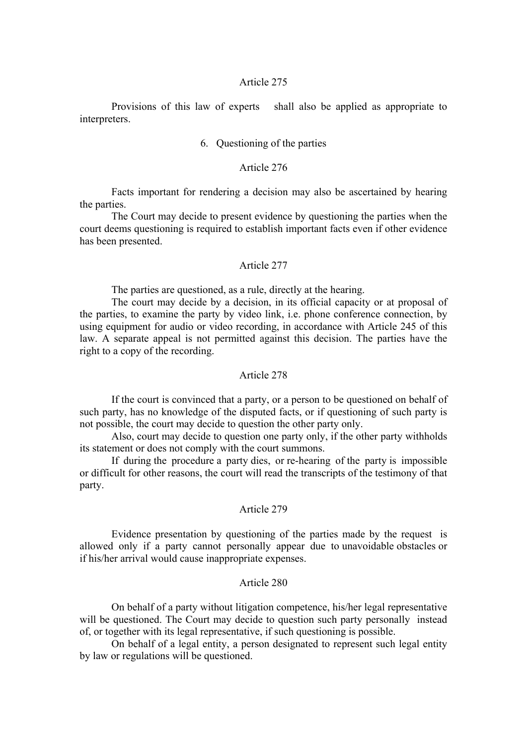Provisions of this law of experts shall also be applied as appropriate to interpreters.

# 6. Questioning of the parties

### Article 276

 Facts important for rendering a decision may also be ascertained by hearing the parties.

 The Court may decide to present evidence by questioning the parties when the court deems questioning is required to establish important facts even if other evidence has been presented.

#### Article 277

The parties are questioned, as a rule, directly at the hearing.

 The court may decide by a decision, in its official capacity or at proposal of the parties, to examine the party by video link, i.e. phone conference connection, by using equipment for audio or video recording, in accordance with Article 245 of this law. A separate appeal is not permitted against this decision. The parties have the right to a copy of the recording.

# Article 278

 If the court is convinced that a party, or a person to be questioned on behalf of such party, has no knowledge of the disputed facts, or if questioning of such party is not possible, the court may decide to question the other party only.

 Also, court may decide to question one party only, if the other party withholds its statement or does not comply with the court summons.

 If during the procedure a party dies, or re-hearing of the party is impossible or difficult for other reasons, the court will read the transcripts of the testimony of that party.

### Article 279

 Evidence presentation by questioning of the parties made by the request is allowed only if a party cannot personally appear due to unavoidable obstacles or if his/her arrival would cause inappropriate expenses.

### Article 280

 On behalf of a party without litigation competence, his/her legal representative will be questioned. The Court may decide to question such party personally instead of, or together with its legal representative, if such questioning is possible.

 On behalf of a legal entity, a person designated to represent such legal entity by law or regulations will be questioned.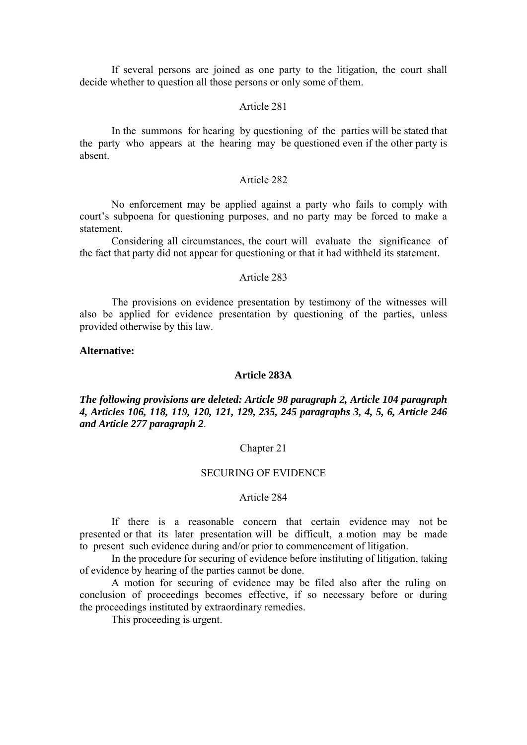If several persons are joined as one party to the litigation, the court shall decide whether to question all those persons or only some of them.

### Article 281

 In the summons for hearing by questioning of the parties will be stated that the party who appears at the hearing may be questioned even if the other party is absent.

## Article 282

 No enforcement may be applied against a party who fails to comply with court's subpoena for questioning purposes, and no party may be forced to make a statement.

 Considering all circumstances, the court will evaluate the significance of the fact that party did not appear for questioning or that it had withheld its statement.

### Article 283

 The provisions on evidence presentation by testimony of the witnesses will also be applied for evidence presentation by questioning of the parties, unless provided otherwise by this law.

### **Alternative:**

### **Article 283A**

*The following provisions are deleted: Article 98 paragraph 2, Article 104 paragraph 4, Articles 106, 118, 119, 120, 121, 129, 235, 245 paragraphs 3, 4, 5, 6, Article 246 and Article 277 paragraph 2*.

### Chapter 21

### SECURING OF EVIDENCE

### Article 284

 If there is a reasonable concern that certain evidence may not be presented or that its later presentation will be difficult, a motion may be made to present such evidence during and/or prior to commencement of litigation.

 In the procedure for securing of evidence before instituting of litigation, taking of evidence by hearing of the parties cannot be done.

 A motion for securing of evidence may be filed also after the ruling on conclusion of proceedings becomes effective, if so necessary before or during the proceedings instituted by extraordinary remedies.

This proceeding is urgent.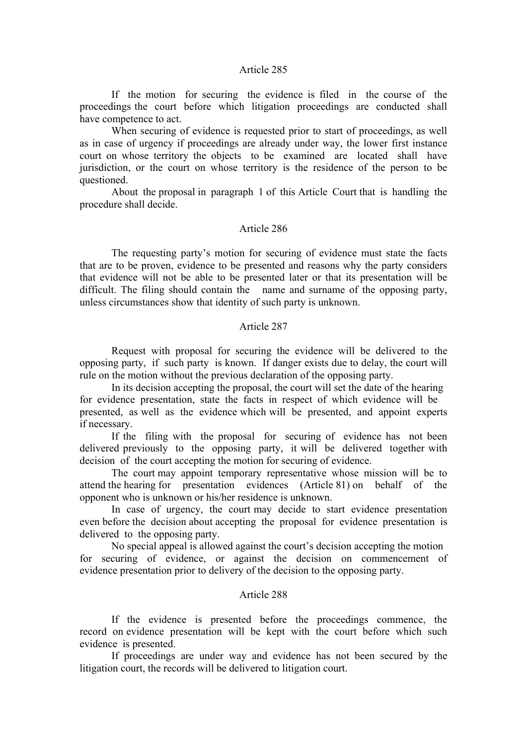If the motion for securing the evidence is filed in the course of the proceedings the court before which litigation proceedings are conducted shall have competence to act.

 When securing of evidence is requested prior to start of proceedings, as well as in case of urgency if proceedings are already under way, the lower first instance court on whose territory the objects to be examined are located shall have jurisdiction, or the court on whose territory is the residence of the person to be questioned.

 About the proposal in paragraph 1 of this Article Court that is handling the procedure shall decide.

# Article 286

 The requesting party's motion for securing of evidence must state the facts that are to be proven, evidence to be presented and reasons why the party considers that evidence will not be able to be presented later or that its presentation will be difficult. The filing should contain the name and surname of the opposing party, unless circumstances show that identity of such party is unknown.

# Article 287

 Request with proposal for securing the evidence will be delivered to the opposing party, if such party is known. If danger exists due to delay, the court will rule on the motion without the previous declaration of the opposing party.

 In its decision accepting the proposal, the court will set the date of the hearing for evidence presentation, state the facts in respect of which evidence will be presented, as well as the evidence which will be presented, and appoint experts if necessary.

 If the filing with the proposal for securing of evidence has not been delivered previously to the opposing party, it will be delivered together with decision of the court accepting the motion for securing of evidence.

 The court may appoint temporary representative whose mission will be to attend the hearing for presentation evidences (Article 81) on behalf of the opponent who is unknown or his/her residence is unknown.

 In case of urgency, the court may decide to start evidence presentation even before the decision about accepting the proposal for evidence presentation is delivered to the opposing party.

 No special appeal is allowed against the court's decision accepting the motion for securing of evidence, or against the decision on commencement of evidence presentation prior to delivery of the decision to the opposing party.

# Article 288

 If the evidence is presented before the proceedings commence, the record on evidence presentation will be kept with the court before which such evidence is presented.

 If proceedings are under way and evidence has not been secured by the litigation court, the records will be delivered to litigation court.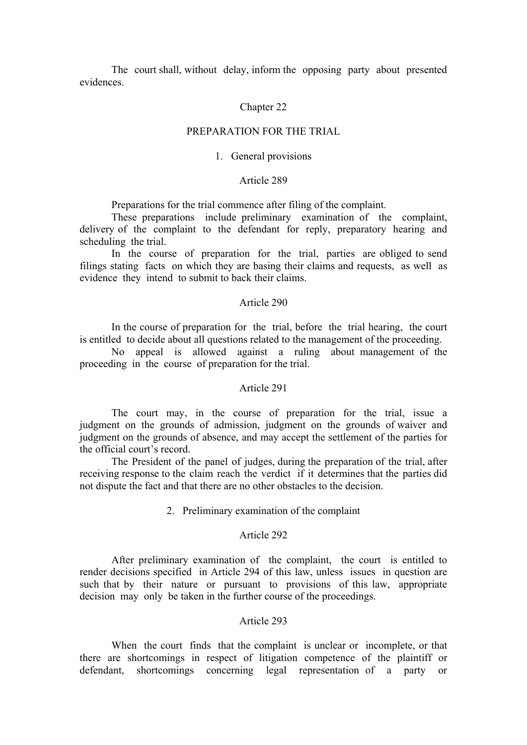The court shall, without delay, inform the opposing party about presented evidences.

### Chapter 22

# PREPARATION FOR THE TRIAL

### 1. General provisions

### Article 289

Preparations for the trial commence after filing of the complaint.

 These preparations include preliminary examination of the complaint, delivery of the complaint to the defendant for reply, preparatory hearing and scheduling the trial.

 In the course of preparation for the trial, parties are obliged to send filings stating facts on which they are basing their claims and requests, as well as evidence they intend to submit to back their claims.

#### Article 290

 In the course of preparation for the trial, before the trial hearing, the court is entitled to decide about all questions related to the management of the proceeding.

 No appeal is allowed against a ruling about management of the proceeding in the course of preparation for the trial.

### Article 291

 The court may, in the course of preparation for the trial, issue a judgment on the grounds of admission, judgment on the grounds of waiver and judgment on the grounds of absence, and may accept the settlement of the parties for the official court's record.

 The President of the panel of judges, during the preparation of the trial, after receiving response to the claim reach the verdict if it determines that the parties did not dispute the fact and that there are no other obstacles to the decision.

2. Preliminary examination of the complaint

### Article 292

 After preliminary examination of the complaint, the court is entitled to render decisions specified in Article 294 of this law, unless issues in question are such that by their nature or pursuant to provisions of this law, appropriate decision may only be taken in the further course of the proceedings.

# Article 293

When the court finds that the complaint is unclear or incomplete, or that there are shortcomings in respect of litigation competence of the plaintiff or defendant, shortcomings concerning legal representation of a party or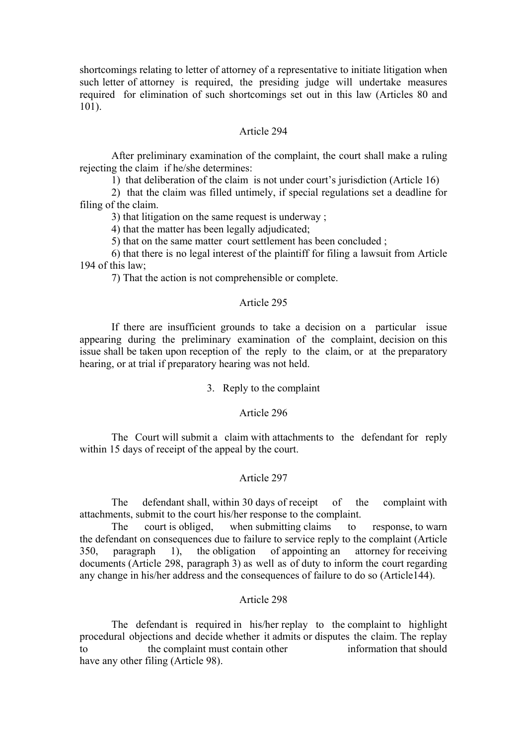shortcomings relating to letter of attorney of a representative to initiate litigation when such letter of attorney is required, the presiding judge will undertake measures required for elimination of such shortcomings set out in this law (Articles 80 and 101).

# Article 294

 After preliminary examination of the complaint, the court shall make a ruling rejecting the claim if he/she determines:

1) that deliberation of the claim is not under court's jurisdiction (Article 16)

 2) that the claim was filled untimely, if special regulations set a deadline for filing of the claim.

3) that litigation on the same request is underway ;

4) that the matter has been legally adjudicated;

5) that on the same matter court settlement has been concluded ;

 6) that there is no legal interest of the plaintiff for filing a lawsuit from Article 194 of this law;

7) That the action is not comprehensible or complete.

# Article 295

 If there are insufficient grounds to take a decision on a particular issue appearing during the preliminary examination of the complaint, decision on this issue shall be taken upon reception of the reply to the claim, or at the preparatory hearing, or at trial if preparatory hearing was not held.

3. Reply to the complaint

# Article 296

The Court will submit a claim with attachments to the defendant for reply within 15 days of receipt of the appeal by the court.

### Article 297

The defendant shall, within 30 days of receipt of the complaint with attachments, submit to the court his/her response to the complaint.

The court is obliged, when submitting claims to response, to warn the defendant on consequences due to failure to service reply to the complaint (Article 350, paragraph 1), the obligation of appointing an attorney for receiving documents (Article 298, paragraph 3) as well as of duty to inform the court regarding any change in his/her address and the consequences of failure to do so (Article144).

# Article 298

 The defendant is required in his/her replay to the complaint to highlight procedural objections and decide whether it admits or disputes the claim. The replay to the complaint must contain other information that should have any other filing (Article 98).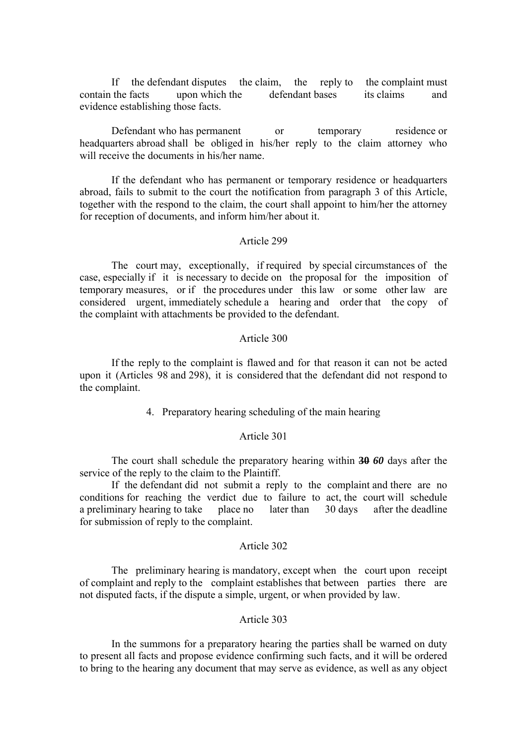If the defendant disputes the claim, the reply to the complaint must contain the facts upon which the defendant bases its claims and evidence establishing those facts.

 Defendant who has permanent or temporary residence or headquarters abroad shall be obliged in his/her reply to the claim attorney who will receive the documents in his/her name.

If the defendant who has permanent or temporary residence or headquarters abroad, fails to submit to the court the notification from paragraph 3 of this Article, together with the respond to the claim, the court shall appoint to him/her the attorney for reception of documents, and inform him/her about it.

## Article 299

The court may, exceptionally, if required by special circumstances of the case, especially if it is necessary to decide on the proposal for the imposition of temporary measures, or if the procedures under this law or some other law are considered urgent, immediately schedule a hearing and order that the copy of the complaint with attachments be provided to the defendant.

# Article 300

 If the reply to the complaint is flawed and for that reason it can not be acted upon it (Articles 98 and 298), it is considered that the defendant did not respond to the complaint.

4. Preparatory hearing scheduling of the main hearing

# Article 301

 The court shall schedule the preparatory hearing within **30** *60* days after the service of the reply to the claim to the Plaintiff.

 If the defendant did not submit a reply to the complaint and there are no conditions for reaching the verdict due to failure to act, the court will schedule a preliminary hearing to take place no later than 30 days after the deadline for submission of reply to the complaint.

### Article 302

 The preliminary hearing is mandatory, except when the court upon receipt of complaint and reply to the complaint establishes that between parties there are not disputed facts, if the dispute a simple, urgent, or when provided by law.

# Article 303

 In the summons for a preparatory hearing the parties shall be warned on duty to present all facts and propose evidence confirming such facts, and it will be ordered to bring to the hearing any document that may serve as evidence, as well as any object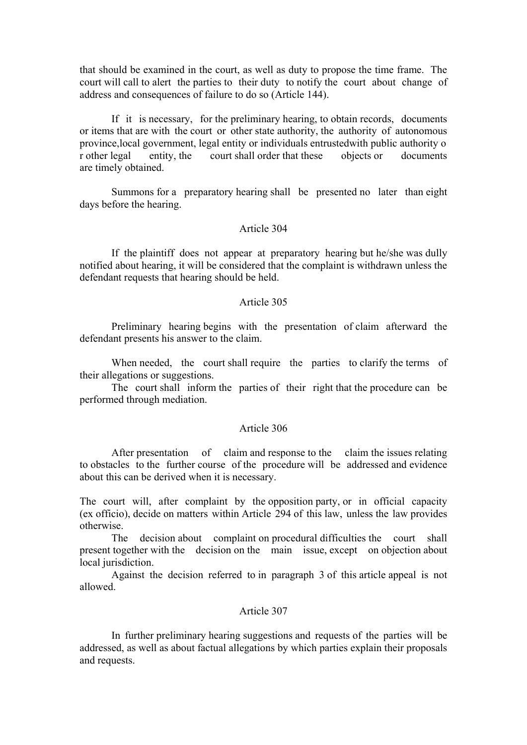that should be examined in the court, as well as duty to propose the time frame. The court will call to alert the parties to their duty to notify the court about change of address and consequences of failure to do so (Article 144).

 If it is necessary, for the preliminary hearing, to obtain records, documents or items that are with the court or other state authority, the authority of autonomous province,local government, legal entity or individuals entrustedwith public authority o r other legal entity, the court shall order that these objects or documents are timely obtained.

 Summons for a preparatory hearing shall be presented no later than eight days before the hearing.

# Article 304

If the plaintiff does not appear at preparatory hearing but he/she was dully notified about hearing, it will be considered that the complaint is withdrawn unless the defendant requests that hearing should be held.

# Article 305

 Preliminary hearing begins with the presentation of claim afterward the defendant presents his answer to the claim.

When needed, the court shall require the parties to clarify the terms of their allegations or suggestions.

 The court shall inform the parties of their right that the procedure can be performed through mediation.

# Article 306

After presentation of claim and response to the claim the issues relating to obstacles to the further course of the procedure will be addressed and evidence about this can be derived when it is necessary.

The court will, after complaint by the opposition party, or in official capacity (ex officio), decide on matters within Article 294 of this law, unless the law provides otherwise.

 The decision about complaint on procedural difficulties the court shall present together with the decision on the main issue, except on objection about local jurisdiction.

 Against the decision referred to in paragraph 3 of this article appeal is not allowed.

#### Article 307

In further preliminary hearing suggestions and requests of the parties will be addressed, as well as about factual allegations by which parties explain their proposals and requests.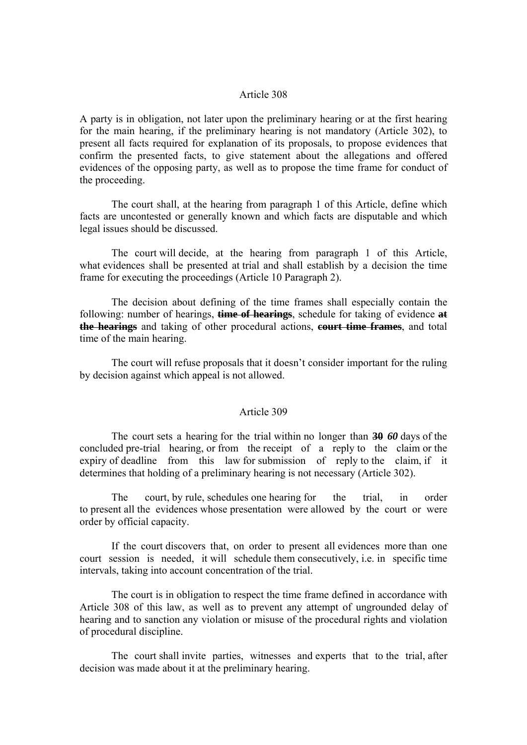A party is in obligation, not later upon the preliminary hearing or at the first hearing for the main hearing, if the preliminary hearing is not mandatory (Article 302), to present all facts required for explanation of its proposals, to propose evidences that confirm the presented facts, to give statement about the allegations and offered evidences of the opposing party, as well as to propose the time frame for conduct of the proceeding.

The court shall, at the hearing from paragraph 1 of this Article, define which facts are uncontested or generally known and which facts are disputable and which legal issues should be discussed.

The court will decide, at the hearing from paragraph 1 of this Article, what evidences shall be presented at trial and shall establish by a decision the time frame for executing the proceedings (Article 10 Paragraph 2).

The decision about defining of the time frames shall especially contain the following: number of hearings, **time of hearings**, schedule for taking of evidence **at the hearings** and taking of other procedural actions, **court time frames**, and total time of the main hearing.

 The court will refuse proposals that it doesn't consider important for the ruling by decision against which appeal is not allowed.

# Article 309

 The court sets a hearing for the trial within no longer than **30** *60* days of the concluded pre-trial hearing, or from the receipt of a reply to the claim or the expiry of deadline from this law for submission of reply to the claim, if it determines that holding of a preliminary hearing is not necessary (Article 302).

 The court, by rule, schedules one hearing for the trial, in order to present all the evidences whose presentation were allowed by the court or were order by official capacity.

 If the court discovers that, on order to present all evidences more than one court session is needed, it will schedule them consecutively, i.e. in specific time intervals, taking into account concentration of the trial.

The court is in obligation to respect the time frame defined in accordance with Article 308 of this law, as well as to prevent any attempt of ungrounded delay of hearing and to sanction any violation or misuse of the procedural rights and violation of procedural discipline.

 The court shall invite parties, witnesses and experts that to the trial, after decision was made about it at the preliminary hearing.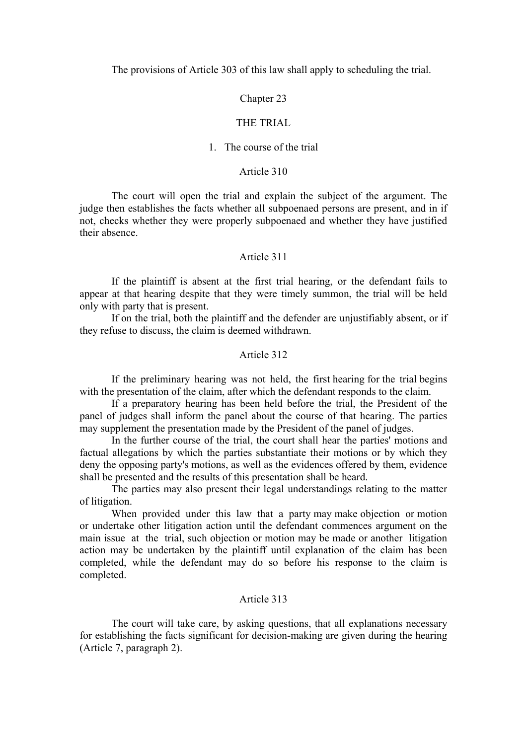The provisions of Article 303 of this law shall apply to scheduling the trial.

### Chapter 23

# THE TRIAL

## 1. The course of the trial

# Article 310

The court will open the trial and explain the subject of the argument. The judge then establishes the facts whether all subpoenaed persons are present, and in if not, checks whether they were properly subpoenaed and whether they have justified their absence.

# Article 311

 If the plaintiff is absent at the first trial hearing, or the defendant fails to appear at that hearing despite that they were timely summon, the trial will be held only with party that is present.

 If on the trial, both the plaintiff and the defender are unjustifiably absent, or if they refuse to discuss, the claim is deemed withdrawn.

# Article 312

If the preliminary hearing was not held, the first hearing for the trial begins with the presentation of the claim, after which the defendant responds to the claim.

If a preparatory hearing has been held before the trial, the President of the panel of judges shall inform the panel about the course of that hearing. The parties may supplement the presentation made by the President of the panel of judges.

In the further course of the trial, the court shall hear the parties' motions and factual allegations by which the parties substantiate their motions or by which they deny the opposing party's motions, as well as the evidences offered by them, evidence shall be presented and the results of this presentation shall be heard.

The parties may also present their legal understandings relating to the matter of litigation.

 When provided under this law that a party may make objection or motion or undertake other litigation action until the defendant commences argument on the main issue at the trial, such objection or motion may be made or another litigation action may be undertaken by the plaintiff until explanation of the claim has been completed, while the defendant may do so before his response to the claim is completed.

# Article 313

 The court will take care, by asking questions, that all explanations necessary for establishing the facts significant for decision-making are given during the hearing (Article 7, paragraph 2).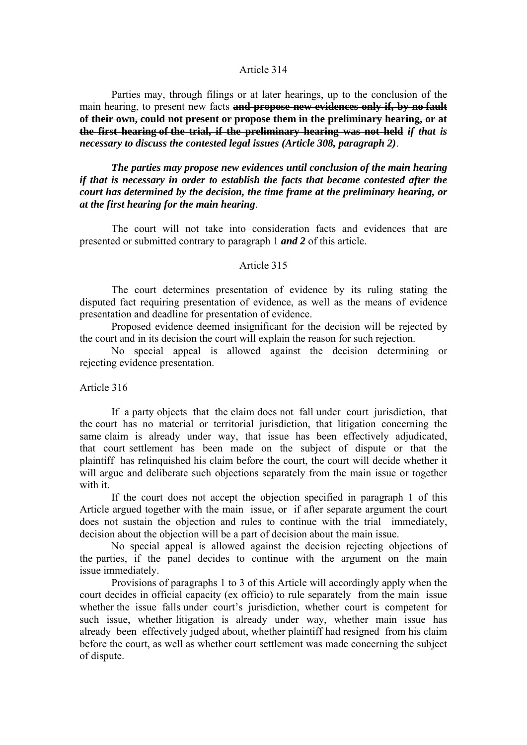Parties may, through filings or at later hearings, up to the conclusion of the main hearing, to present new facts **and propose new evidences only if, by no fault of their own, could not present or propose them in the preliminary hearing, or at the first hearing of the trial, if the preliminary hearing was not held** *if that is necessary to discuss the contested legal issues (Article 308, paragraph 2)*.

*The parties may propose new evidences until conclusion of the main hearing if that is necessary in order to establish the facts that became contested after the court has determined by the decision, the time frame at the preliminary hearing, or at the first hearing for the main hearing*.

The court will not take into consideration facts and evidences that are presented or submitted contrary to paragraph 1 *and 2* of this article.

#### Article 315

 The court determines presentation of evidence by its ruling stating the disputed fact requiring presentation of evidence, as well as the means of evidence presentation and deadline for presentation of evidence.

 Proposed evidence deemed insignificant for the decision will be rejected by the court and in its decision the court will explain the reason for such rejection.

 No special appeal is allowed against the decision determining or rejecting evidence presentation.

Article 316

 If a party objects that the claim does not fall under court jurisdiction, that the court has no material or territorial jurisdiction, that litigation concerning the same claim is already under way, that issue has been effectively adjudicated, that court settlement has been made on the subject of dispute or that the plaintiff has relinquished his claim before the court, the court will decide whether it will argue and deliberate such objections separately from the main issue or together with it.

 If the court does not accept the objection specified in paragraph 1 of this Article argued together with the main issue, or if after separate argument the court does not sustain the objection and rules to continue with the trial immediately, decision about the objection will be a part of decision about the main issue.

 No special appeal is allowed against the decision rejecting objections of the parties, if the panel decides to continue with the argument on the main issue immediately.

 Provisions of paragraphs 1 to 3 of this Article will accordingly apply when the court decides in official capacity (ex officio) to rule separately from the main issue whether the issue falls under court's jurisdiction, whether court is competent for such issue, whether litigation is already under way, whether main issue has already been effectively judged about, whether plaintiff had resigned from his claim before the court, as well as whether court settlement was made concerning the subject of dispute.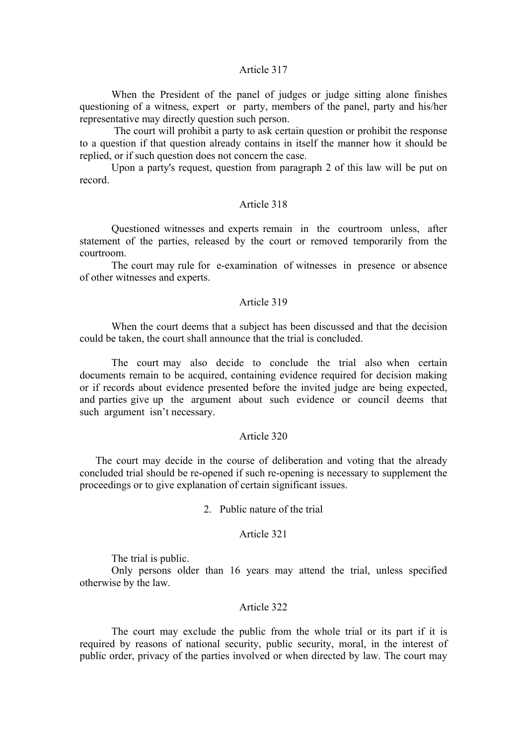When the President of the panel of judges or judge sitting alone finishes questioning of a witness, expert or party, members of the panel, party and his/her representative may directly question such person.

 The court will prohibit a party to ask certain question or prohibit the response to a question if that question already contains in itself the manner how it should be replied, or if such question does not concern the case.

 Upon a party's request, question from paragraph 2 of this law will be put on record.

### Article 318

 Questioned witnesses and experts remain in the courtroom unless, after statement of the parties, released by the court or removed temporarily from the courtroom.

 The court may rule for e-examination of witnesses in presence or absence of other witnesses and experts.

# Article 319

When the court deems that a subject has been discussed and that the decision could be taken, the court shall announce that the trial is concluded.

 The court may also decide to conclude the trial also when certain documents remain to be acquired, containing evidence required for decision making or if records about evidence presented before the invited judge are being expected, and parties give up the argument about such evidence or council deems that such argument isn't necessary.

# Article 320

The court may decide in the course of deliberation and voting that the already concluded trial should be re-opened if such re-opening is necessary to supplement the proceedings or to give explanation of certain significant issues.

2. Public nature of the trial

### Article 321

The trial is public.

 Only persons older than 16 years may attend the trial, unless specified otherwise by the law.

# Article 322

The court may exclude the public from the whole trial or its part if it is required by reasons of national security, public security, moral, in the interest of public order, privacy of the parties involved or when directed by law. The court may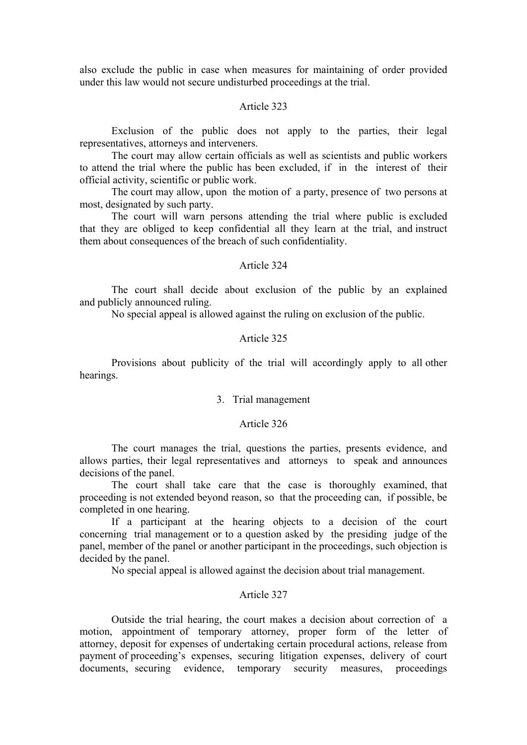also exclude the public in case when measures for maintaining of order provided under this law would not secure undisturbed proceedings at the trial.

# Article 323

 Exclusion of the public does not apply to the parties, their legal representatives, attorneys and interveners.

 The court may allow certain officials as well as scientists and public workers to attend the trial where the public has been excluded, if in the interest of their official activity, scientific or public work.

 The court may allow, upon the motion of a party, presence of two persons at most, designated by such party.

 The court will warn persons attending the trial where public is excluded that they are obliged to keep confidential all they learn at the trial, and instruct them about consequences of the breach of such confidentiality.

#### Article 324

 The court shall decide about exclusion of the public by an explained and publicly announced ruling.

No special appeal is allowed against the ruling on exclusion of the public.

# Article 325

 Provisions about publicity of the trial will accordingly apply to all other hearings.

### 3. Trial management

### Article 326

 The court manages the trial, questions the parties, presents evidence, and allows parties, their legal representatives and attorneys to speak and announces decisions of the panel.

 The court shall take care that the case is thoroughly examined, that proceeding is not extended beyond reason, so that the proceeding can, if possible, be completed in one hearing.

 If a participant at the hearing objects to a decision of the court concerning trial management or to a question asked by the presiding judge of the panel, member of the panel or another participant in the proceedings, such objection is decided by the panel.

No special appeal is allowed against the decision about trial management.

# Article 327

Outside the trial hearing, the court makes a decision about correction of a motion, appointment of temporary attorney, proper form of the letter of attorney, deposit for expenses of undertaking certain procedural actions, release from payment of proceeding's expenses, securing litigation expenses, delivery of court documents, securing evidence, temporary security measures, proceedings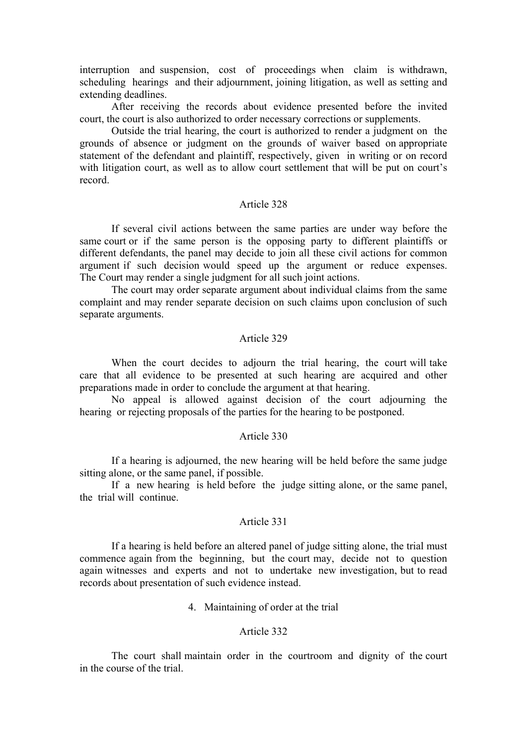interruption and suspension, cost of proceedings when claim is withdrawn, scheduling hearings and their adjournment, joining litigation, as well as setting and extending deadlines.

 After receiving the records about evidence presented before the invited court, the court is also authorized to order necessary corrections or supplements.

 Outside the trial hearing, the court is authorized to render a judgment on the grounds of absence or judgment on the grounds of waiver based on appropriate statement of the defendant and plaintiff, respectively, given in writing or on record with litigation court, as well as to allow court settlement that will be put on court's record.

# Article 328

 If several civil actions between the same parties are under way before the same court or if the same person is the opposing party to different plaintiffs or different defendants, the panel may decide to join all these civil actions for common argument if such decision would speed up the argument or reduce expenses. The Court may render a single judgment for all such joint actions.

 The court may order separate argument about individual claims from the same complaint and may render separate decision on such claims upon conclusion of such separate arguments.

# Article 329

 When the court decides to adjourn the trial hearing, the court will take care that all evidence to be presented at such hearing are acquired and other preparations made in order to conclude the argument at that hearing.

 No appeal is allowed against decision of the court adjourning the hearing or rejecting proposals of the parties for the hearing to be postponed.

# Article 330

 If a hearing is adjourned, the new hearing will be held before the same judge sitting alone, or the same panel, if possible.

 If a new hearing is held before the judge sitting alone, or the same panel, the trial will continue.

# Article 331

 If a hearing is held before an altered panel of judge sitting alone, the trial must commence again from the beginning, but the court may, decide not to question again witnesses and experts and not to undertake new investigation, but to read records about presentation of such evidence instead.

# 4. Maintaining of order at the trial

### Article 332

 The court shall maintain order in the courtroom and dignity of the court in the course of the trial.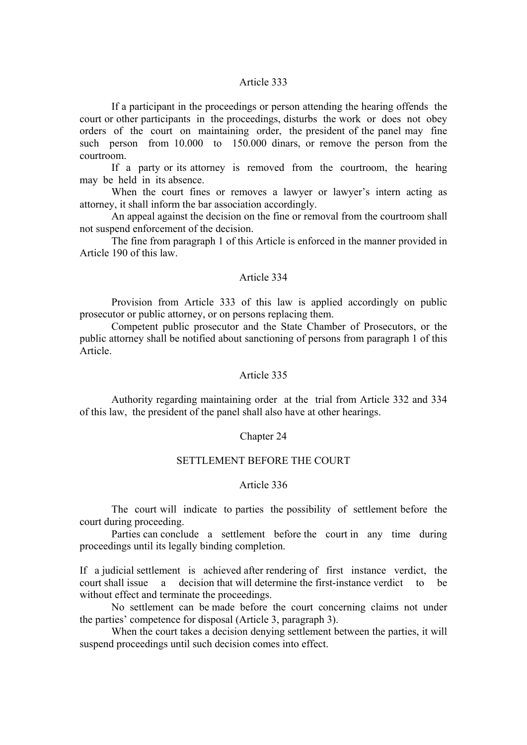If a participant in the proceedings or person attending the hearing offends the court or other participants in the proceedings, disturbs the work or does not obey orders of the court on maintaining order, the president of the panel may fine such person from 10.000 to 150.000 dinars, or remove the person from the courtroom.

 If a party or its attorney is removed from the courtroom, the hearing may be held in its absence.

 When the court fines or removes a lawyer or lawyer's intern acting as attorney, it shall inform the bar association accordingly.

 An appeal against the decision on the fine or removal from the courtroom shall not suspend enforcement of the decision.

The fine from paragraph 1 of this Article is enforced in the manner provided in Article 190 of this law.

### Article 334

 Provision from Article 333 of this law is applied accordingly on public prosecutor or public attorney, or on persons replacing them.

Competent public prosecutor and the State Chamber of Prosecutors, or the public attorney shall be notified about sanctioning of persons from paragraph 1 of this Article.

# Article 335

 Authority regarding maintaining order at the trial from Article 332 and 334 of this law, the president of the panel shall also have at other hearings.

## Chapter 24

# SETTLEMENT BEFORE THE COURT

#### Article 336

 The court will indicate to parties the possibility of settlement before the court during proceeding.

 Parties can conclude a settlement before the court in any time during proceedings until its legally binding completion.

If a judicial settlement is achieved after rendering of first instance verdict, the court shall issue a decision that will determine the first-instance verdict to be without effect and terminate the proceedings.

 No settlement can be made before the court concerning claims not under the parties' competence for disposal (Article 3, paragraph 3).

 When the court takes a decision denying settlement between the parties, it will suspend proceedings until such decision comes into effect.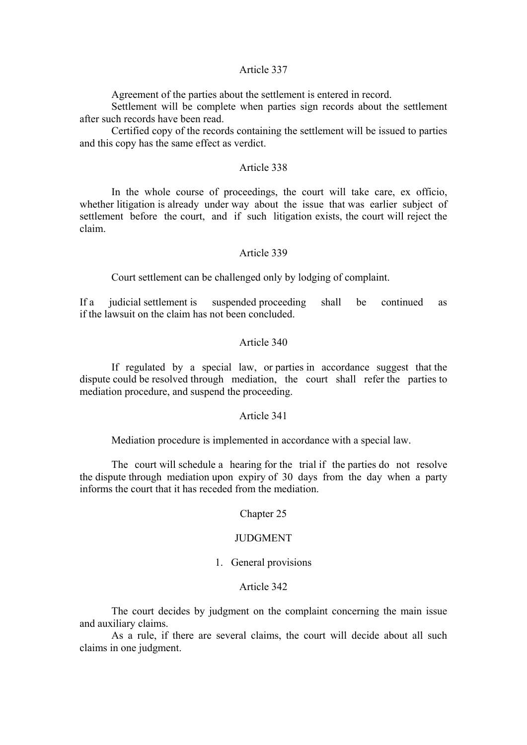Agreement of the parties about the settlement is entered in record.

 Settlement will be complete when parties sign records about the settlement after such records have been read.

 Certified copy of the records containing the settlement will be issued to parties and this copy has the same effect as verdict.

### Article 338

 In the whole course of proceedings, the court will take care, ex officio, whether litigation is already under way about the issue that was earlier subject of settlement before the court, and if such litigation exists, the court will reject the claim.

# Article 339

Court settlement can be challenged only by lodging of complaint.

If a judicial settlement is suspended proceeding shall be continued as if the lawsuit on the claim has not been concluded.

### Article 340

If regulated by a special law, or parties in accordance suggest that the dispute could be resolved through mediation, the court shall refer the parties to mediation procedure, and suspend the proceeding.

# Article 341

Mediation procedure is implemented in accordance with a special law.

The court will schedule a hearing for the trial if the parties do not resolve the dispute through mediation upon expiry of 30 days from the day when a party informs the court that it has receded from the mediation.

### Chapter 25

# JUDGMENT

### 1. General provisions

# Article 342

 The court decides by judgment on the complaint concerning the main issue and auxiliary claims.

 As a rule, if there are several claims, the court will decide about all such claims in one judgment.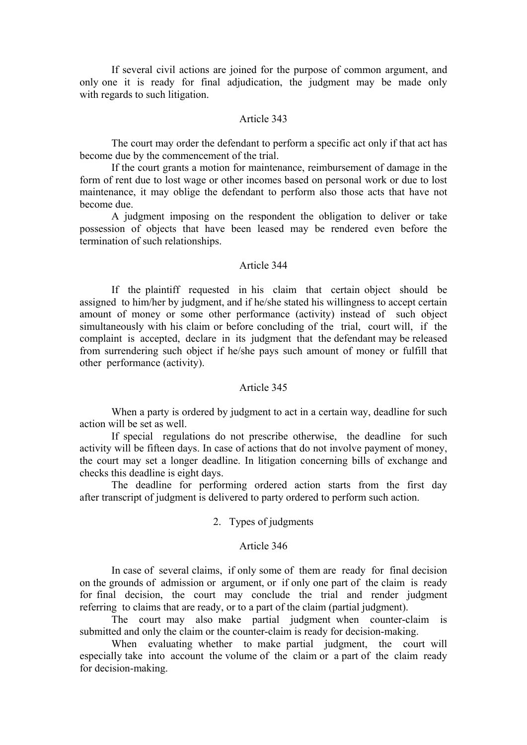If several civil actions are joined for the purpose of common argument, and only one it is ready for final adjudication, the judgment may be made only with regards to such litigation.

### Article 343

The court may order the defendant to perform a specific act only if that act has become due by the commencement of the trial.

 If the court grants a motion for maintenance, reimbursement of damage in the form of rent due to lost wage or other incomes based on personal work or due to lost maintenance, it may oblige the defendant to perform also those acts that have not become due.

 A judgment imposing on the respondent the obligation to deliver or take possession of objects that have been leased may be rendered even before the termination of such relationships.

## Article 344

 If the plaintiff requested in his claim that certain object should be assigned to him/her by judgment, and if he/she stated his willingness to accept certain amount of money or some other performance (activity) instead of such object simultaneously with his claim or before concluding of the trial, court will, if the complaint is accepted, declare in its judgment that the defendant may be released from surrendering such object if he/she pays such amount of money or fulfill that other performance (activity).

# Article 345

When a party is ordered by judgment to act in a certain way, deadline for such action will be set as well.

 If special regulations do not prescribe otherwise, the deadline for such activity will be fifteen days. In case of actions that do not involve payment of money, the court may set a longer deadline. In litigation concerning bills of exchange and checks this deadline is eight days.

 The deadline for performing ordered action starts from the first day after transcript of judgment is delivered to party ordered to perform such action.

# 2. Types of judgments

#### Article 346

 In case of several claims, if only some of them are ready for final decision on the grounds of admission or argument, or if only one part of the claim is ready for final decision, the court may conclude the trial and render judgment referring to claims that are ready, or to a part of the claim (partial judgment).

 The court may also make partial judgment when counter-claim is submitted and only the claim or the counter-claim is ready for decision-making.

When evaluating whether to make partial judgment, the court will especially take into account the volume of the claim or a part of the claim ready for decision-making.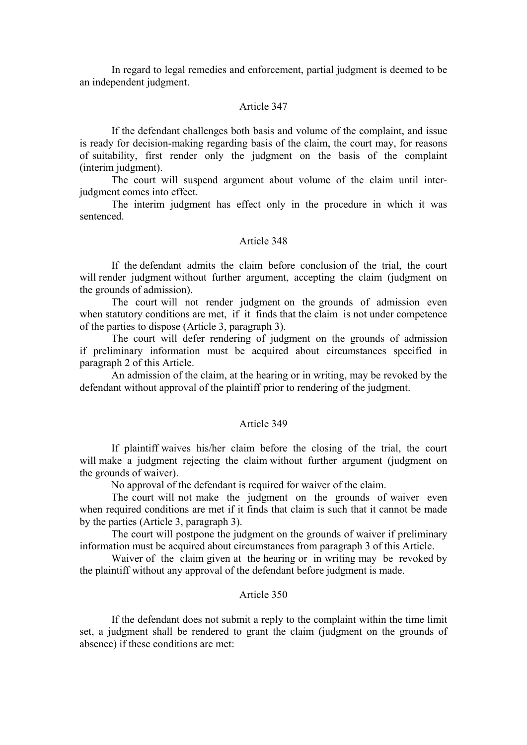In regard to legal remedies and enforcement, partial judgment is deemed to be an independent judgment.

# Article 347

 If the defendant challenges both basis and volume of the complaint, and issue is ready for decision-making regarding basis of the claim, the court may, for reasons of suitability, first render only the judgment on the basis of the complaint (interim judgment).

 The court will suspend argument about volume of the claim until interjudgment comes into effect.

The interim judgment has effect only in the procedure in which it was sentenced.

# Article 348

 If the defendant admits the claim before conclusion of the trial, the court will render judgment without further argument, accepting the claim (judgment on the grounds of admission).

 The court will not render judgment on the grounds of admission even when statutory conditions are met, if it finds that the claim is not under competence of the parties to dispose (Article 3, paragraph 3).

 The court will defer rendering of judgment on the grounds of admission if preliminary information must be acquired about circumstances specified in paragraph 2 of this Article.

 An admission of the claim, at the hearing or in writing, may be revoked by the defendant without approval of the plaintiff prior to rendering of the judgment.

### Article 349

 If plaintiff waives his/her claim before the closing of the trial, the court will make a judgment rejecting the claim without further argument (judgment on the grounds of waiver).

No approval of the defendant is required for waiver of the claim.

 The court will not make the judgment on the grounds of waiver even when required conditions are met if it finds that claim is such that it cannot be made by the parties (Article 3, paragraph 3).

 The court will postpone the judgment on the grounds of waiver if preliminary information must be acquired about circumstances from paragraph 3 of this Article.

 Waiver of the claim given at the hearing or in writing may be revoked by the plaintiff without any approval of the defendant before judgment is made.

# Article 350

If the defendant does not submit a reply to the complaint within the time limit set, a judgment shall be rendered to grant the claim (judgment on the grounds of absence) if these conditions are met: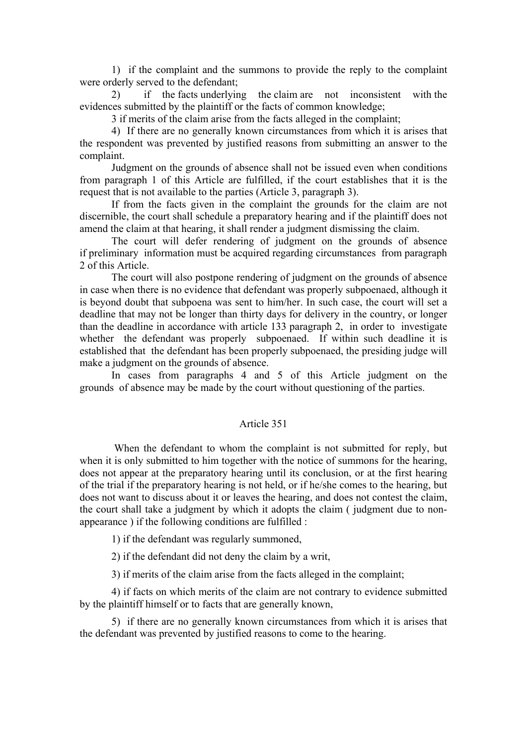1) if the complaint and the summons to provide the reply to the complaint were orderly served to the defendant;

 2) if the facts underlying the claim are not inconsistent with the evidences submitted by the plaintiff or the facts of common knowledge;

3 if merits of the claim arise from the facts alleged in the complaint;

 4) If there are no generally known circumstances from which it is arises that the respondent was prevented by justified reasons from submitting an answer to the complaint.

Judgment on the grounds of absence shall not be issued even when conditions from paragraph 1 of this Article are fulfilled, if the court establishes that it is the request that is not available to the parties (Article 3, paragraph 3).

 If from the facts given in the complaint the grounds for the claim are not discernible, the court shall schedule a preparatory hearing and if the plaintiff does not amend the claim at that hearing, it shall render a judgment dismissing the claim.

 The court will defer rendering of judgment on the grounds of absence if preliminary information must be acquired regarding circumstances from paragraph 2 of this Article.

 The court will also postpone rendering of judgment on the grounds of absence in case when there is no evidence that defendant was properly subpoenaed, although it is beyond doubt that subpoena was sent to him/her. In such case, the court will set a deadline that may not be longer than thirty days for delivery in the country, or longer than the deadline in accordance with article 133 paragraph 2, in order to investigate whether the defendant was properly subpoenaed. If within such deadline it is established that the defendant has been properly subpoenaed, the presiding judge will make a judgment on the grounds of absence.

 In cases from paragraphs 4 and 5 of this Article judgment on the grounds of absence may be made by the court without questioning of the parties.

# Article 351

 When the defendant to whom the complaint is not submitted for reply, but when it is only submitted to him together with the notice of summons for the hearing, does not appear at the preparatory hearing until its conclusion, or at the first hearing of the trial if the preparatory hearing is not held, or if he/she comes to the hearing, but does not want to discuss about it or leaves the hearing, and does not contest the claim, the court shall take a judgment by which it adopts the claim ( judgment due to nonappearance ) if the following conditions are fulfilled :

1) if the defendant was regularly summoned,

2) if the defendant did not deny the claim by a writ,

3) if merits of the claim arise from the facts alleged in the complaint;

 4) if facts on which merits of the claim are not contrary to evidence submitted by the plaintiff himself or to facts that are generally known,

 5) if there are no generally known circumstances from which it is arises that the defendant was prevented by justified reasons to come to the hearing.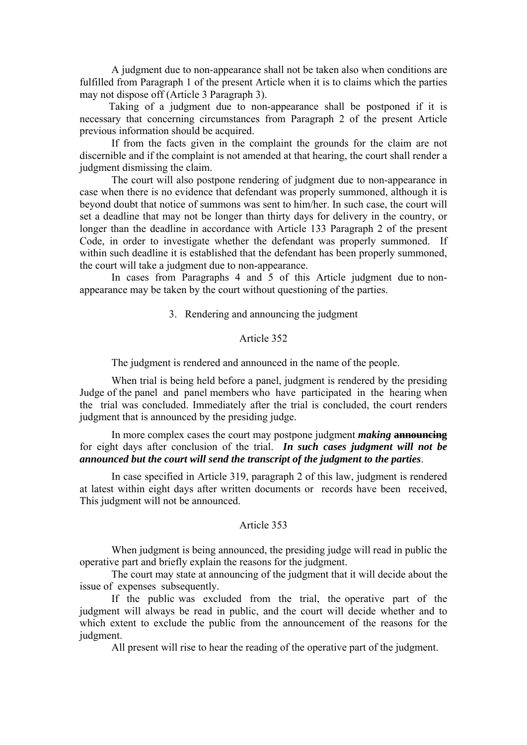A judgment due to non-appearance shall not be taken also when conditions are fulfilled from Paragraph 1 of the present Article when it is to claims which the parties may not dispose off (Article 3 Paragraph 3).

 Taking of a judgment due to non-appearance shall be postponed if it is necessary that concerning circumstances from Paragraph 2 of the present Article previous information should be acquired.

 If from the facts given in the complaint the grounds for the claim are not discernible and if the complaint is not amended at that hearing, the court shall render a judgment dismissing the claim.

 The court will also postpone rendering of judgment due to non-appearance in case when there is no evidence that defendant was properly summoned, although it is beyond doubt that notice of summons was sent to him/her. In such case, the court will set a deadline that may not be longer than thirty days for delivery in the country, or longer than the deadline in accordance with Article 133 Paragraph 2 of the present Code, in order to investigate whether the defendant was properly summoned. If within such deadline it is established that the defendant has been properly summoned, the court will take a judgment due to non-appearance.

 In cases from Paragraphs 4 and 5 of this Article judgment due to nonappearance may be taken by the court without questioning of the parties.

# 3. Rendering and announcing the judgment

# Article 352

The judgment is rendered and announced in the name of the people.

 When trial is being held before a panel, judgment is rendered by the presiding Judge of the panel and panel members who have participated in the hearing when the trial was concluded. Immediately after the trial is concluded, the court renders judgment that is announced by the presiding judge.

 In more complex cases the court may postpone judgment *making* **announcing** for eight days after conclusion of the trial. *In such cases judgment will not be announced but the court will send the transcript of the judgment to the parties*.

 In case specified in Article 319, paragraph 2 of this law, judgment is rendered at latest within eight days after written documents or records have been received, This judgment will not be announced.

#### Article 353

 When judgment is being announced, the presiding judge will read in public the operative part and briefly explain the reasons for the judgment.

 The court may state at announcing of the judgment that it will decide about the issue of expenses subsequently.

 If the public was excluded from the trial, the operative part of the judgment will always be read in public, and the court will decide whether and to which extent to exclude the public from the announcement of the reasons for the judgment.

All present will rise to hear the reading of the operative part of the judgment.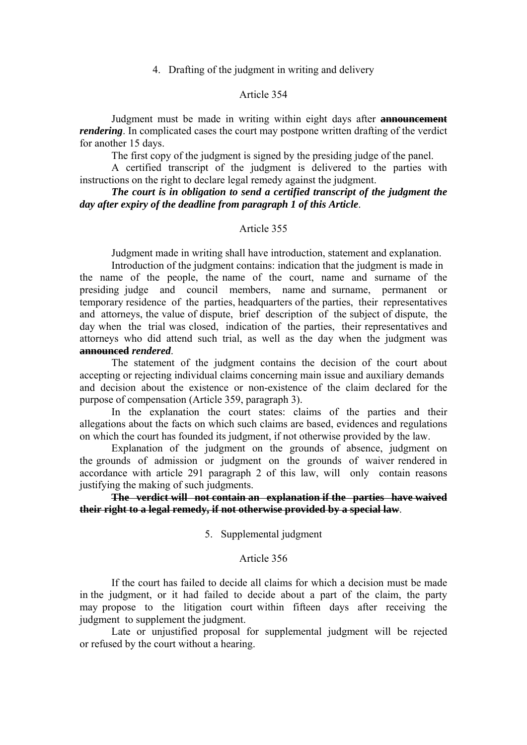4. Drafting of the judgment in writing and delivery

### Article 354

 Judgment must be made in writing within eight days after **announcement** *rendering*. In complicated cases the court may postpone written drafting of the verdict for another 15 days.

The first copy of the judgment is signed by the presiding judge of the panel.

 A certified transcript of the judgment is delivered to the parties with instructions on the right to declare legal remedy against the judgment.

# *The court is in obligation to send a certified transcript of the judgment the day after expiry of the deadline from paragraph 1 of this Article*.

# Article 355

Judgment made in writing shall have introduction, statement and explanation.

 Introduction of the judgment contains: indication that the judgment is made in the name of the people, the name of the court, name and surname of the presiding judge and council members, name and surname, permanent or temporary residence of the parties, headquarters of the parties, their representatives and attorneys, the value of dispute, brief description of the subject of dispute, the day when the trial was closed, indication of the parties, their representatives and attorneys who did attend such trial, as well as the day when the judgment was **announced** *rendered*.

 The statement of the judgment contains the decision of the court about accepting or rejecting individual claims concerning main issue and auxiliary demands and decision about the existence or non-existence of the claim declared for the purpose of compensation (Article 359, paragraph 3).

 In the explanation the court states: claims of the parties and their allegations about the facts on which such claims are based, evidences and regulations on which the court has founded its judgment, if not otherwise provided by the law.

 Explanation of the judgment on the grounds of absence, judgment on the grounds of admission or judgment on the grounds of waiver rendered in accordance with article 291 paragraph 2 of this law, will only contain reasons justifying the making of such judgments.

# **The verdict will not contain an explanation if the parties have waived their right to a legal remedy, if not otherwise provided by a special law**.

## 5. Supplemental judgment

# Article 356

 If the court has failed to decide all claims for which a decision must be made in the judgment, or it had failed to decide about a part of the claim, the party may propose to the litigation court within fifteen days after receiving the judgment to supplement the judgment.

 Late or unjustified proposal for supplemental judgment will be rejected or refused by the court without a hearing.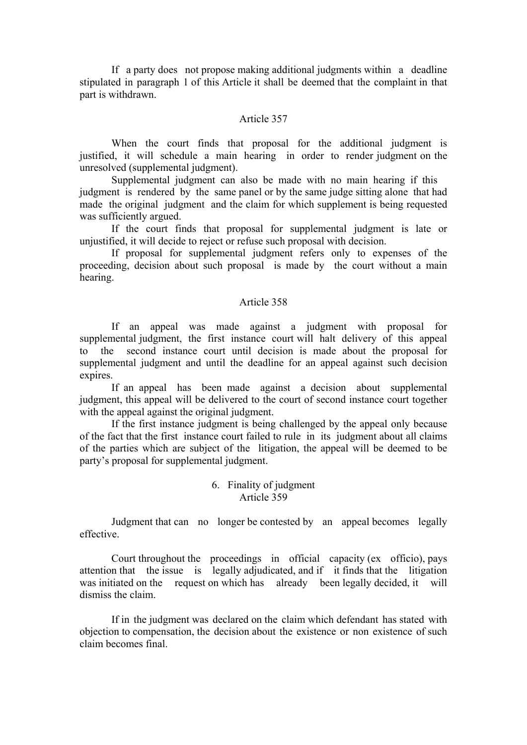If a party does not propose making additional judgments within a deadline stipulated in paragraph 1 of this Article it shall be deemed that the complaint in that part is withdrawn.

### Article 357

 When the court finds that proposal for the additional judgment is justified, it will schedule a main hearing in order to render judgment on the unresolved (supplemental judgment).

 Supplemental judgment can also be made with no main hearing if this judgment is rendered by the same panel or by the same judge sitting alone that had made the original judgment and the claim for which supplement is being requested was sufficiently argued.

 If the court finds that proposal for supplemental judgment is late or unjustified, it will decide to reject or refuse such proposal with decision.

 If proposal for supplemental judgment refers only to expenses of the proceeding, decision about such proposal is made by the court without a main hearing.

# Article 358

 If an appeal was made against a judgment with proposal for supplemental judgment, the first instance court will halt delivery of this appeal to the second instance court until decision is made about the proposal for supplemental judgment and until the deadline for an appeal against such decision expires.

 If an appeal has been made against a decision about supplemental judgment, this appeal will be delivered to the court of second instance court together with the appeal against the original judgment.

 If the first instance judgment is being challenged by the appeal only because of the fact that the first instance court failed to rule in its judgment about all claims of the parties which are subject of the litigation, the appeal will be deemed to be party's proposal for supplemental judgment.

## 6. Finality of judgment Article 359

Judgment that can no longer be contested by an appeal becomes legally effective.

 Court throughout the proceedings in official capacity (ex officio), pays attention that the issue is legally adjudicated, and if it finds that the litigation was initiated on the request on which has already been legally decided, it will dismiss the claim.

 If in the judgment was declared on the claim which defendant has stated with objection to compensation, the decision about the existence or non existence of such claim becomes final.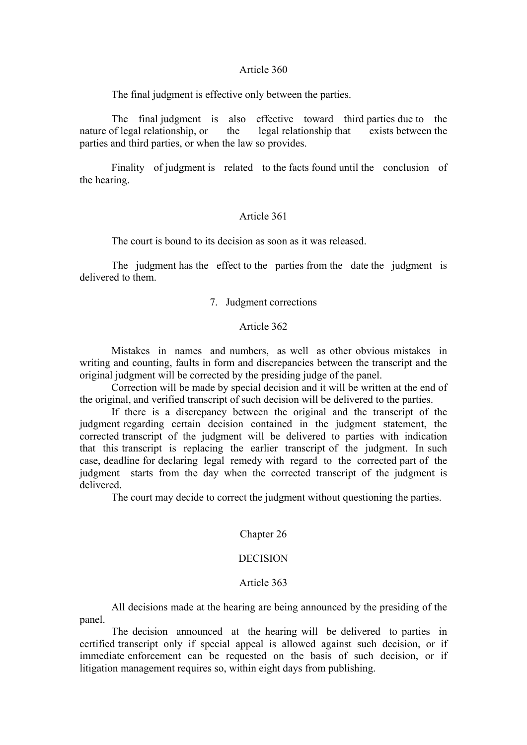The final judgment is effective only between the parties.

 The final judgment is also effective toward third parties due to the nature of legal relationship, or the legal relationship that exists between the parties and third parties, or when the law so provides.

 Finality of judgment is related to the facts found until the conclusion of the hearing.

### Article 361

The court is bound to its decision as soon as it was released.

 The judgment has the effect to the parties from the date the judgment is delivered to them.

# 7. Judgment corrections

# Article 362

 Mistakes in names and numbers, as well as other obvious mistakes in writing and counting, faults in form and discrepancies between the transcript and the original judgment will be corrected by the presiding judge of the panel.

 Correction will be made by special decision and it will be written at the end of the original, and verified transcript of such decision will be delivered to the parties.

 If there is a discrepancy between the original and the transcript of the judgment regarding certain decision contained in the judgment statement, the corrected transcript of the judgment will be delivered to parties with indication that this transcript is replacing the earlier transcript of the judgment. In such case, deadline for declaring legal remedy with regard to the corrected part of the judgment starts from the day when the corrected transcript of the judgment is delivered.

The court may decide to correct the judgment without questioning the parties.

### Chapter 26

# DECISION

### Article 363

 All decisions made at the hearing are being announced by the presiding of the panel.

 The decision announced at the hearing will be delivered to parties in certified transcript only if special appeal is allowed against such decision, or if immediate enforcement can be requested on the basis of such decision, or if litigation management requires so, within eight days from publishing.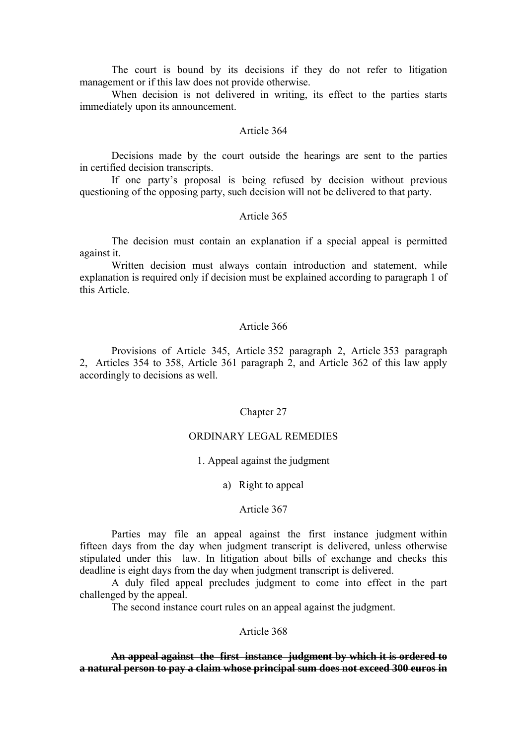The court is bound by its decisions if they do not refer to litigation management or if this law does not provide otherwise.

 When decision is not delivered in writing, its effect to the parties starts immediately upon its announcement.

# Article 364

 Decisions made by the court outside the hearings are sent to the parties in certified decision transcripts.

 If one party's proposal is being refused by decision without previous questioning of the opposing party, such decision will not be delivered to that party.

#### Article 365

 The decision must contain an explanation if a special appeal is permitted against it.

 Written decision must always contain introduction and statement, while explanation is required only if decision must be explained according to paragraph 1 of this Article.

## Article 366

 Provisions of Article 345, Article 352 paragraph 2, Article 353 paragraph 2, Articles 354 to 358, Article 361 paragraph 2, and Article 362 of this law apply accordingly to decisions as well.

#### Chapter 27

# ORDINARY LEGAL REMEDIES

# 1. Appeal against the judgment

a) Right to appeal

# Article 367

 Parties may file an appeal against the first instance judgment within fifteen days from the day when judgment transcript is delivered, unless otherwise stipulated under this law. In litigation about bills of exchange and checks this deadline is eight days from the day when judgment transcript is delivered.

 A duly filed appeal precludes judgment to come into effect in the part challenged by the appeal.

The second instance court rules on an appeal against the judgment.

#### Article 368

 **An appeal against the first instance judgment by which it is ordered to a natural person to pay a claim whose principal sum does not exceed 300 euros in**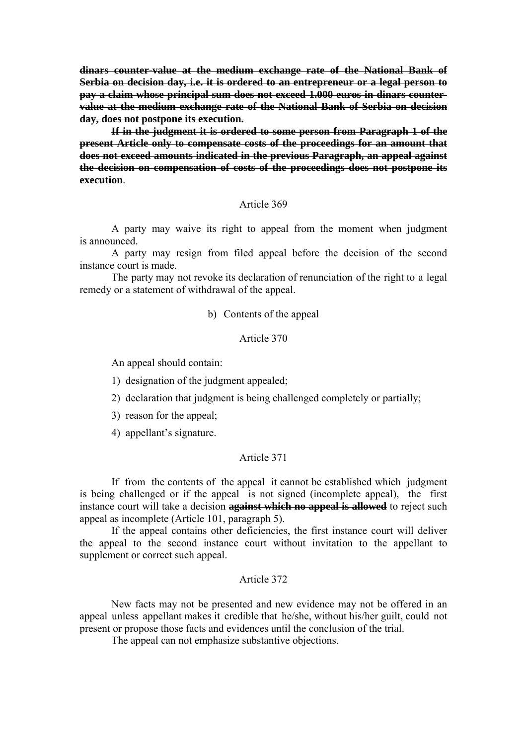**dinars counter-value at the medium exchange rate of the National Bank of Serbia on decision day, i.e. it is ordered to an entrepreneur or a legal person to pay a claim whose principal sum does not exceed 1.000 euros in dinars countervalue at the medium exchange rate of the National Bank of Serbia on decision day, does not postpone its execution.** 

 **If in the judgment it is ordered to some person from Paragraph 1 of the present Article only to compensate costs of the proceedings for an amount that does not exceed amounts indicated in the previous Paragraph, an appeal against the decision on compensation of costs of the proceedings does not postpone its execution**.

### Article 369

 A party may waive its right to appeal from the moment when judgment is announced.

 A party may resign from filed appeal before the decision of the second instance court is made.

 The party may not revoke its declaration of renunciation of the right to a legal remedy or a statement of withdrawal of the appeal.

# b) Contents of the appeal

# Article 370

An appeal should contain:

- 1) designation of the judgment appealed;
- 2) declaration that judgment is being challenged completely or partially;
- 3) reason for the appeal;
- 4) appellant's signature.

### Article 371

 If from the contents of the appeal it cannot be established which judgment is being challenged or if the appeal is not signed (incomplete appeal), the first instance court will take a decision **against which no appeal is allowed** to reject such appeal as incomplete (Article 101, paragraph 5).

 If the appeal contains other deficiencies, the first instance court will deliver the appeal to the second instance court without invitation to the appellant to supplement or correct such appeal.

# Article 372

 New facts may not be presented and new evidence may not be offered in an appeal unless appellant makes it credible that he/she, without his/her guilt, could not present or propose those facts and evidences until the conclusion of the trial.

The appeal can not emphasize substantive objections.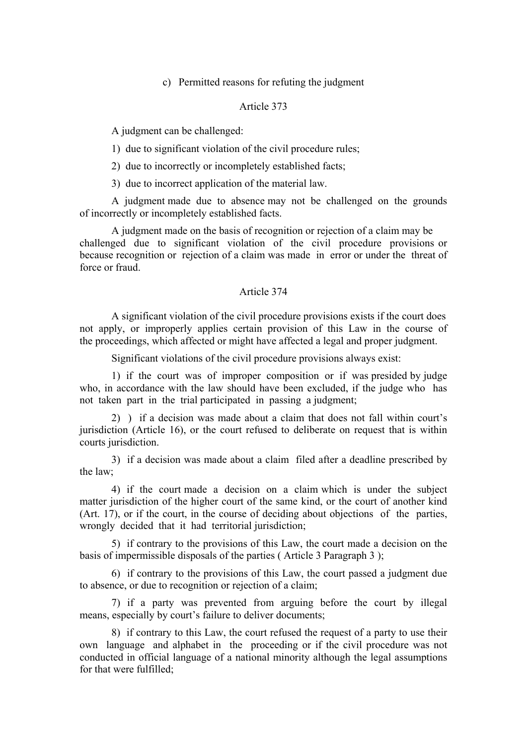# c) Permitted reasons for refuting the judgment

# Article 373

A judgment can be challenged:

1) due to significant violation of the civil procedure rules;

2) due to incorrectly or incompletely established facts;

3) due to incorrect application of the material law.

 A judgment made due to absence may not be challenged on the grounds of incorrectly or incompletely established facts.

 A judgment made on the basis of recognition or rejection of a claim may be challenged due to significant violation of the civil procedure provisions or because recognition or rejection of a claim was made in error or under the threat of force or fraud.

# Article 374

 A significant violation of the civil procedure provisions exists if the court does not apply, or improperly applies certain provision of this Law in the course of the proceedings, which affected or might have affected a legal and proper judgment.

Significant violations of the civil procedure provisions always exist:

 1) if the court was of improper composition or if was presided by judge who, in accordance with the law should have been excluded, if the judge who has not taken part in the trial participated in passing a judgment;

 2) ) if a decision was made about a claim that does not fall within court's jurisdiction (Article 16), or the court refused to deliberate on request that is within courts jurisdiction.

 3) if a decision was made about a claim filed after a deadline prescribed by the law;

 4) if the court made a decision on a claim which is under the subject matter jurisdiction of the higher court of the same kind, or the court of another kind (Art. 17), or if the court, in the course of deciding about objections of the parties, wrongly decided that it had territorial jurisdiction;

 5) if contrary to the provisions of this Law, the court made a decision on the basis of impermissible disposals of the parties ( Article 3 Paragraph 3 );

 6) if contrary to the provisions of this Law, the court passed a judgment due to absence, or due to recognition or rejection of a claim;

 7) if a party was prevented from arguing before the court by illegal means, especially by court's failure to deliver documents;

 8) if contrary to this Law, the court refused the request of a party to use their own language and alphabet in the proceeding or if the civil procedure was not conducted in official language of a national minority although the legal assumptions for that were fulfilled;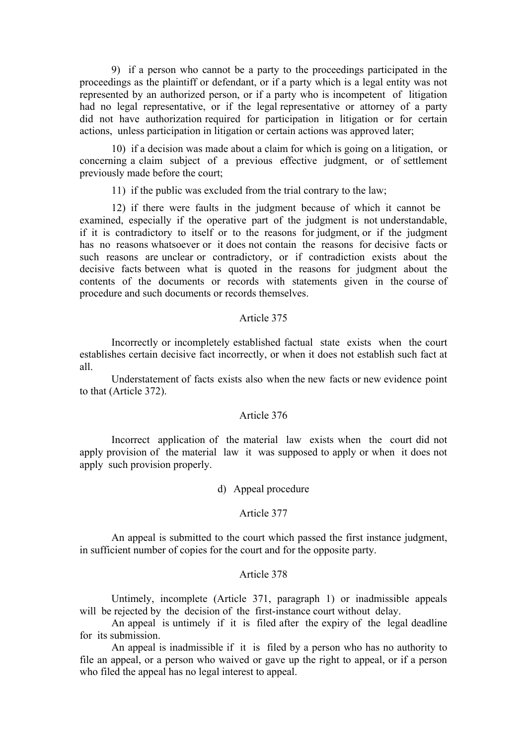9) if a person who cannot be a party to the proceedings participated in the proceedings as the plaintiff or defendant, or if a party which is a legal entity was not represented by an authorized person, or if a party who is incompetent of litigation had no legal representative, or if the legal representative or attorney of a party did not have authorization required for participation in litigation or for certain actions, unless participation in litigation or certain actions was approved later;

10) if a decision was made about a claim for which is going on a litigation, or concerning a claim subject of a previous effective judgment, or of settlement previously made before the court;

11) if the public was excluded from the trial contrary to the law;

 12) if there were faults in the judgment because of which it cannot be examined, especially if the operative part of the judgment is not understandable, if it is contradictory to itself or to the reasons for judgment, or if the judgment has no reasons whatsoever or it does not contain the reasons for decisive facts or such reasons are unclear or contradictory, or if contradiction exists about the decisive facts between what is quoted in the reasons for judgment about the contents of the documents or records with statements given in the course of procedure and such documents or records themselves.

# Article 375

Incorrectly or incompletely established factual state exists when the court establishes certain decisive fact incorrectly, or when it does not establish such fact at all.

 Understatement of facts exists also when the new facts or new evidence point to that (Article 372).

### Article 376

 Incorrect application of the material law exists when the court did not apply provision of the material law it was supposed to apply or when it does not apply such provision properly.

# d) Appeal procedure

### Article 377

 An appeal is submitted to the court which passed the first instance judgment, in sufficient number of copies for the court and for the opposite party.

### Article 378

 Untimely, incomplete (Article 371, paragraph 1) or inadmissible appeals will be rejected by the decision of the first-instance court without delay.

 An appeal is untimely if it is filed after the expiry of the legal deadline for its submission.

 An appeal is inadmissible if it is filed by a person who has no authority to file an appeal, or a person who waived or gave up the right to appeal, or if a person who filed the appeal has no legal interest to appeal.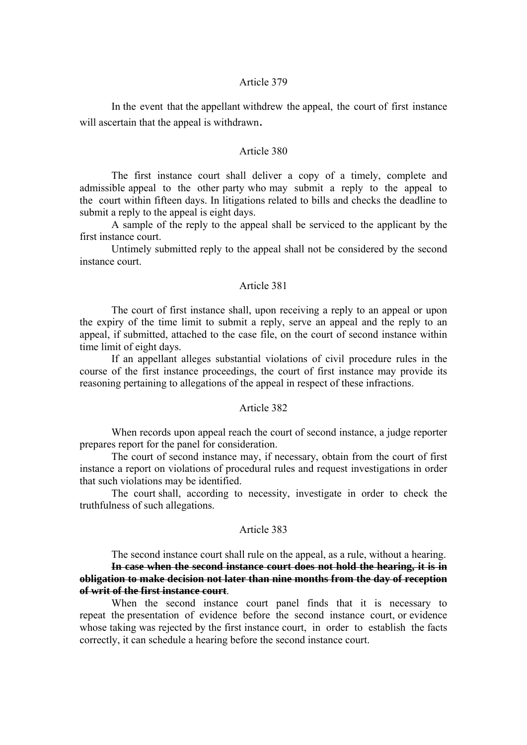In the event that the appellant withdrew the appeal, the court of first instance will ascertain that the appeal is withdrawn.

### Article 380

 The first instance court shall deliver a copy of a timely, complete and admissible appeal to the other party who may submit a reply to the appeal to the court within fifteen days. In litigations related to bills and checks the deadline to submit a reply to the appeal is eight days.

 A sample of the reply to the appeal shall be serviced to the applicant by the first instance court.

Untimely submitted reply to the appeal shall not be considered by the second instance court.

## Article 381

 The court of first instance shall, upon receiving a reply to an appeal or upon the expiry of the time limit to submit a reply, serve an appeal and the reply to an appeal, if submitted, attached to the case file, on the court of second instance within time limit of eight days.

 If an appellant alleges substantial violations of civil procedure rules in the course of the first instance proceedings, the court of first instance may provide its reasoning pertaining to allegations of the appeal in respect of these infractions.

#### Article 382

 When records upon appeal reach the court of second instance, a judge reporter prepares report for the panel for consideration.

 The court of second instance may, if necessary, obtain from the court of first instance a report on violations of procedural rules and request investigations in order that such violations may be identified.

 The court shall, according to necessity, investigate in order to check the truthfulness of such allegations.

### Article 383

The second instance court shall rule on the appeal, as a rule, without a hearing.

# **In case when the second instance court does not hold the hearing, it is in obligation to make decision not later than nine months from the day of reception of writ of the first instance court**.

 When the second instance court panel finds that it is necessary to repeat the presentation of evidence before the second instance court, or evidence whose taking was rejected by the first instance court, in order to establish the facts correctly, it can schedule a hearing before the second instance court.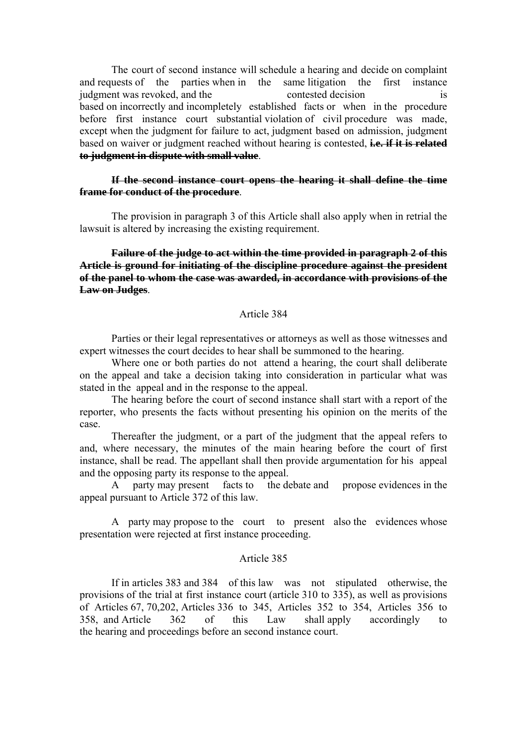The court of second instance will schedule a hearing and decide on complaint and requests of the parties when in the same litigation the first instance judgment was revoked, and the contested decision is based on incorrectly and incompletely established facts or when in the procedure before first instance court substantial violation of civil procedure was made, except when the judgment for failure to act, judgment based on admission, judgment based on waiver or judgment reached without hearing is contested, **i.e. if it is related to judgment in dispute with small value**.

# **If the second instance court opens the hearing it shall define the time frame for conduct of the procedure**.

 The provision in paragraph 3 of this Article shall also apply when in retrial the lawsuit is altered by increasing the existing requirement.

# **Failure of the judge to act within the time provided in paragraph 2 of this Article is ground for initiating of the discipline procedure against the president of the panel to whom the case was awarded, in accordance with provisions of the Law on Judges**.

# Article 384

 Parties or their legal representatives or attorneys as well as those witnesses and expert witnesses the court decides to hear shall be summoned to the hearing.

 Where one or both parties do not attend a hearing, the court shall deliberate on the appeal and take a decision taking into consideration in particular what was stated in the appeal and in the response to the appeal.

 The hearing before the court of second instance shall start with a report of the reporter, who presents the facts without presenting his opinion on the merits of the case.

Thereafter the judgment, or a part of the judgment that the appeal refers to and, where necessary, the minutes of the main hearing before the court of first instance, shall be read. The appellant shall then provide argumentation for his appeal and the opposing party its response to the appeal.

 A party may present facts to the debate and propose evidences in the appeal pursuant to Article 372 of this law.

 A party may propose to the court to present also the evidences whose presentation were rejected at first instance proceeding.

### Article 385

 If in articles 383 and 384 of this law was not stipulated otherwise, the provisions of the trial at first instance court (article 310 to 335), as well as provisions of Articles 67, 70,202, Articles 336 to 345, Articles 352 to 354, Articles 356 to 358, and Article 362 of this Law shall apply accordingly to the hearing and proceedings before an second instance court.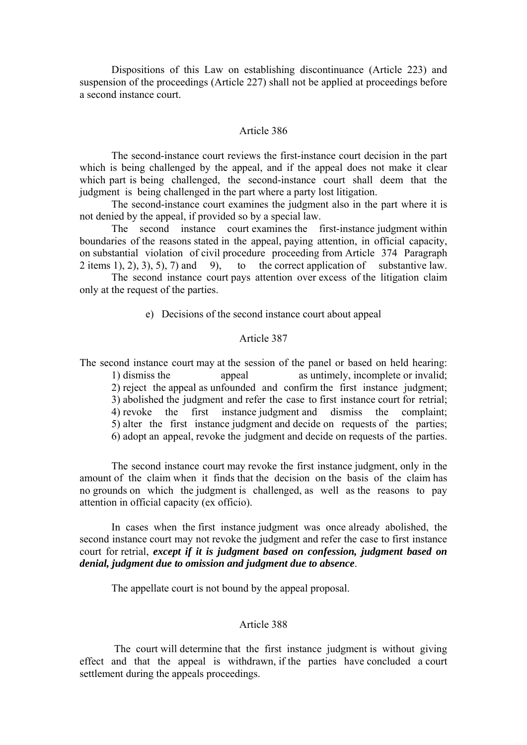Dispositions of this Law on establishing discontinuance (Article 223) and suspension of the proceedings (Article 227) shall not be applied at proceedings before a second instance court.

# Article 386

 The second-instance court reviews the first-instance court decision in the part which is being challenged by the appeal, and if the appeal does not make it clear which part is being challenged, the second-instance court shall deem that the judgment is being challenged in the part where a party lost litigation.

 The second-instance court examines the judgment also in the part where it is not denied by the appeal, if provided so by a special law.

The second instance court examines the first-instance judgment within boundaries of the reasons stated in the appeal, paying attention, in official capacity, on substantial violation of civil procedure proceeding from Article 374 Paragraph 2 items 1), 2), 3), 5), 7) and 9), to the correct application of substantive law.

 The second instance court pays attention over excess of the litigation claim only at the request of the parties.

e) Decisions of the second instance court about appeal

# Article 387

The second instance court may at the session of the panel or based on held hearing: 1) dismiss the appeal as untimely, incomplete or invalid; 2) reject the appeal as unfounded and confirm the first instance judgment; 3) abolished the judgment and refer the case to first instance court for retrial; 4) revoke the first instance judgment and dismiss the complaint; 5) alter the first instance judgment and decide on requests of the parties; 6) adopt an appeal, revoke the judgment and decide on requests of the parties.

 The second instance court may revoke the first instance judgment, only in the amount of the claim when it finds that the decision on the basis of the claim has no grounds on which the judgment is challenged, as well as the reasons to pay attention in official capacity (ex officio).

 In cases when the first instance judgment was once already abolished, the second instance court may not revoke the judgment and refer the case to first instance court for retrial, *except if it is judgment based on confession, judgment based on denial, judgment due to omission and judgment due to absence*.

The appellate court is not bound by the appeal proposal.

# Article 388

 The court will determine that the first instance judgment is without giving effect and that the appeal is withdrawn, if the parties have concluded a court settlement during the appeals proceedings.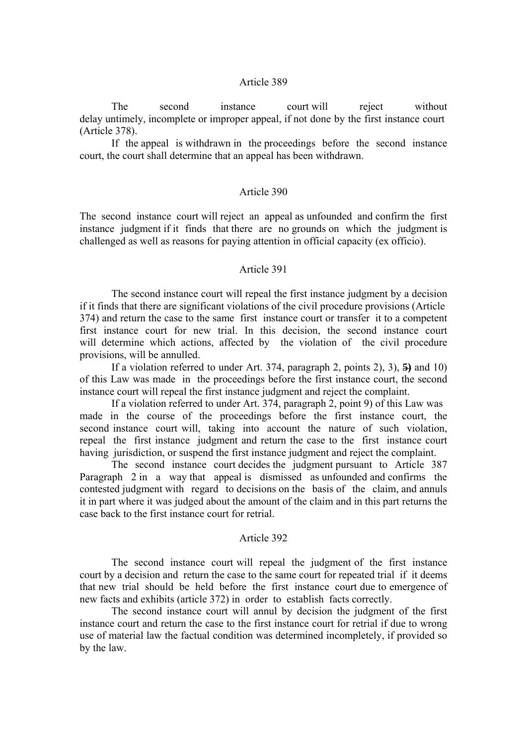The second instance court will reject without delay untimely, incomplete or improper appeal, if not done by the first instance court (Article 378).

 If the appeal is withdrawn in the proceedings before the second instance court, the court shall determine that an appeal has been withdrawn.

# Article 390

The second instance court will reject an appeal as unfounded and confirm the first instance judgment if it finds that there are no grounds on which the judgment is challenged as well as reasons for paying attention in official capacity (ex officio).

### Article 391

 The second instance court will repeal the first instance judgment by a decision if it finds that there are significant violations of the civil procedure provisions (Article 374) and return the case to the same first instance court or transfer it to a competent first instance court for new trial. In this decision, the second instance court will determine which actions, affected by the violation of the civil procedure provisions, will be annulled.

 If a violation referred to under Art. 374, paragraph 2, points 2), 3), **5)** and 10) of this Law was made in the proceedings before the first instance court, the second instance court will repeal the first instance judgment and reject the complaint.

 If a violation referred to under Art. 374, paragraph 2, point 9) of this Law was made in the course of the proceedings before the first instance court, the second instance court will, taking into account the nature of such violation, repeal the first instance judgment and return the case to the first instance court having jurisdiction, or suspend the first instance judgment and reject the complaint.

 The second instance court decides the judgment pursuant to Article 387 Paragraph 2 in a way that appeal is dismissed as unfounded and confirms the contested judgment with regard to decisions on the basis of the claim, and annuls it in part where it was judged about the amount of the claim and in this part returns the case back to the first instance court for retrial.

## Article 392

 The second instance court will repeal the judgment of the first instance court by a decision and return the case to the same court for repeated trial if it deems that new trial should be held before the first instance court due to emergence of new facts and exhibits (article 372) in order to establish facts correctly.

 The second instance court will annul by decision the judgment of the first instance court and return the case to the first instance court for retrial if due to wrong use of material law the factual condition was determined incompletely, if provided so by the law.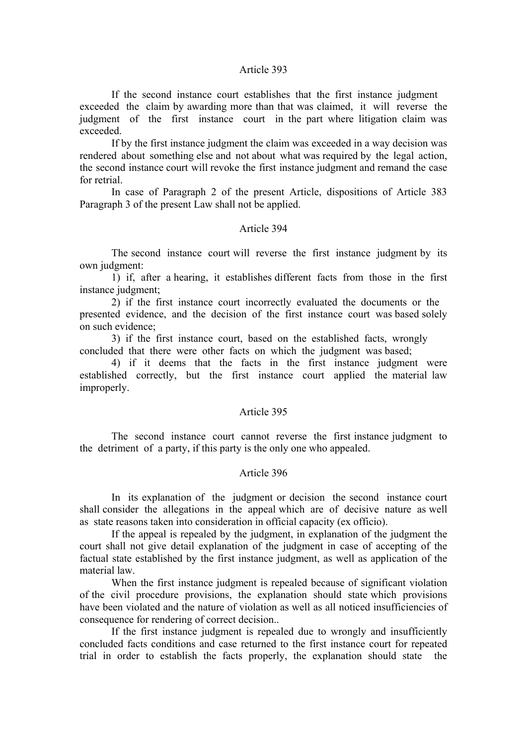If the second instance court establishes that the first instance judgment exceeded the claim by awarding more than that was claimed, it will reverse the judgment of the first instance court in the part where litigation claim was exceeded.

 If by the first instance judgment the claim was exceeded in a way decision was rendered about something else and not about what was required by the legal action, the second instance court will revoke the first instance judgment and remand the case for retrial

 In case of Paragraph 2 of the present Article, dispositions of Article 383 Paragraph 3 of the present Law shall not be applied.

### Article 394

 The second instance court will reverse the first instance judgment by its own judgment:

 1) if, after a hearing, it establishes different facts from those in the first instance judgment;

 2) if the first instance court incorrectly evaluated the documents or the presented evidence, and the decision of the first instance court was based solely on such evidence;

 3) if the first instance court, based on the established facts, wrongly concluded that there were other facts on which the judgment was based;

 4) if it deems that the facts in the first instance judgment were established correctly, but the first instance court applied the material law improperly.

### Article 395

 The second instance court cannot reverse the first instance judgment to the detriment of a party, if this party is the only one who appealed.

### Article 396

 In its explanation of the judgment or decision the second instance court shall consider the allegations in the appeal which are of decisive nature as well as state reasons taken into consideration in official capacity (ex officio).

If the appeal is repealed by the judgment, in explanation of the judgment the court shall not give detail explanation of the judgment in case of accepting of the factual state established by the first instance judgment, as well as application of the material law.

 When the first instance judgment is repealed because of significant violation of the civil procedure provisions, the explanation should state which provisions have been violated and the nature of violation as well as all noticed insufficiencies of consequence for rendering of correct decision..

 If the first instance judgment is repealed due to wrongly and insufficiently concluded facts conditions and case returned to the first instance court for repeated trial in order to establish the facts properly, the explanation should state the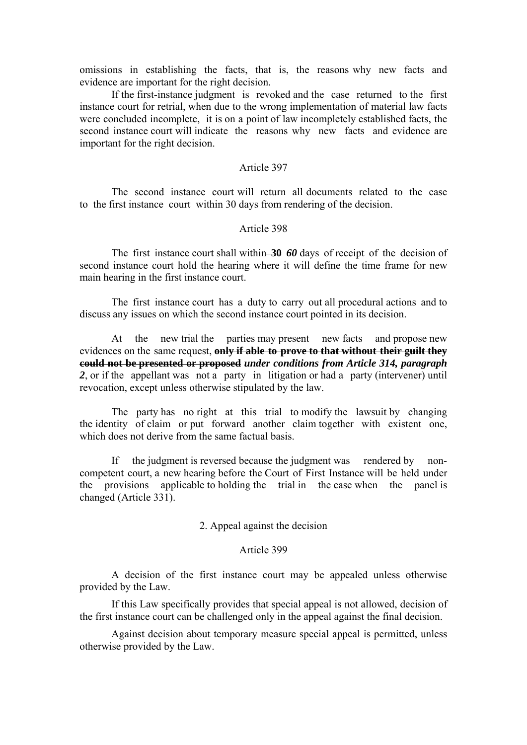omissions in establishing the facts, that is, the reasons why new facts and evidence are important for the right decision.

 If the first-instance judgment is revoked and the case returned to the first instance court for retrial, when due to the wrong implementation of material law facts were concluded incomplete, it is on a point of law incompletely established facts, the second instance court will indicate the reasons why new facts and evidence are important for the right decision.

# Article 397

The second instance court will return all documents related to the case to the first instance court within 30 days from rendering of the decision.

### Article 398

 The first instance court shall within **30** *60* days of receipt of the decision of second instance court hold the hearing where it will define the time frame for new main hearing in the first instance court.

 The first instance court has a duty to carry out all procedural actions and to discuss any issues on which the second instance court pointed in its decision.

 At the new trial the parties may present new facts and propose new evidences on the same request, **only if able to prove to that without their guilt they could not be presented or proposed** *under conditions from Article 314, paragraph 2*, or if the appellant was not a party in litigation or had a party (intervener) until revocation, except unless otherwise stipulated by the law.

 The party has no right at this trial to modify the lawsuit by changing the identity of claim or put forward another claim together with existent one, which does not derive from the same factual basis.

 If the judgment is reversed because the judgment was rendered by noncompetent court, a new hearing before the Court of First Instance will be held under the provisions applicable to holding the trial in the case when the panel is changed (Article 331).

#### 2. Appeal against the decision

# Article 399

 A decision of the first instance court may be appealed unless otherwise provided by the Law.

 If this Law specifically provides that special appeal is not allowed, decision of the first instance court can be challenged only in the appeal against the final decision.

 Against decision about temporary measure special appeal is permitted, unless otherwise provided by the Law.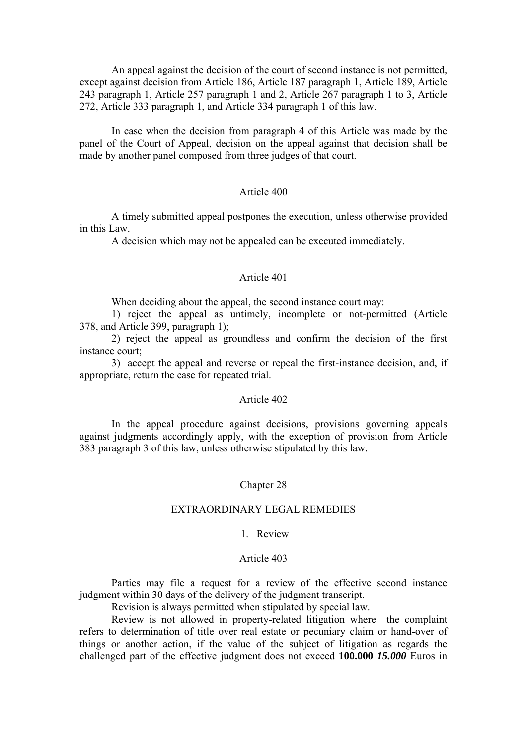An appeal against the decision of the court of second instance is not permitted, except against decision from Article 186, Article 187 paragraph 1, Article 189, Article 243 paragraph 1, Article 257 paragraph 1 and 2, Article 267 paragraph 1 to 3, Article 272, Article 333 paragraph 1, and Article 334 paragraph 1 of this law.

In case when the decision from paragraph 4 of this Article was made by the panel of the Court of Appeal, decision on the appeal against that decision shall be made by another panel composed from three judges of that court.

# Article 400

 A timely submitted appeal postpones the execution, unless otherwise provided in this Law.

A decision which may not be appealed can be executed immediately.

# Article 401

When deciding about the appeal, the second instance court may:

 1) reject the appeal as untimely, incomplete or not-permitted (Article 378, and Article 399, paragraph 1);

 2) reject the appeal as groundless and confirm the decision of the first instance court;

 3) accept the appeal and reverse or repeal the first-instance decision, and, if appropriate, return the case for repeated trial.

#### Article 402

 In the appeal procedure against decisions, provisions governing appeals against judgments accordingly apply, with the exception of provision from Article 383 paragraph 3 of this law, unless otherwise stipulated by this law.

### Chapter 28

# EXTRAORDINARY LEGAL REMEDIES

### 1. Review

### Article 403

 Parties may file a request for a review of the effective second instance judgment within 30 days of the delivery of the judgment transcript.

Revision is always permitted when stipulated by special law.

 Review is not allowed in property-related litigation where the complaint refers to determination of title over real estate or pecuniary claim or hand-over of things or another action, if the value of the subject of litigation as regards the challenged part of the effective judgment does not exceed **100.000** *15.000* Euros in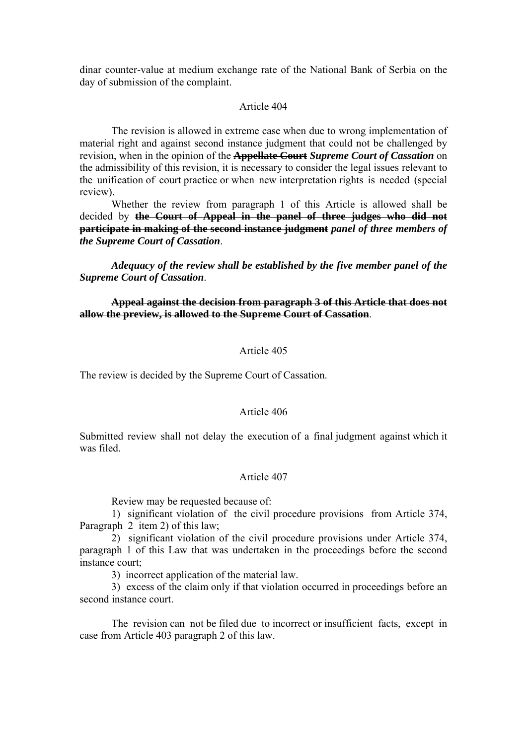dinar counter-value at medium exchange rate of the National Bank of Serbia on the day of submission of the complaint.

# Article 404

The revision is allowed in extreme case when due to wrong implementation of material right and against second instance judgment that could not be challenged by revision, when in the opinion of the **Appellate Court** *Supreme Court of Cassation* on the admissibility of this revision, it is necessary to consider the legal issues relevant to the unification of court practice or when new interpretation rights is needed (special review).

Whether the review from paragraph 1 of this Article is allowed shall be decided by **the Court of Appeal in the panel of three judges who did not participate in making of the second instance judgment** *panel of three members of the Supreme Court of Cassation*.

*Adequacy of the review shall be established by the five member panel of the Supreme Court of Cassation*.

# **Appeal against the decision from paragraph 3 of this Article that does not allow the preview, is allowed to the Supreme Court of Cassation**.

### Article 405

The review is decided by the Supreme Court of Cassation.

# Article 406

Submitted review shall not delay the execution of a final judgment against which it was filed.

#### Article 407

Review may be requested because of:

 1) significant violation of the civil procedure provisions from Article 374, Paragraph 2 item 2) of this law;

 2) significant violation of the civil procedure provisions under Article 374, paragraph 1 of this Law that was undertaken in the proceedings before the second instance court;

3) incorrect application of the material law.

 3) excess of the claim only if that violation occurred in proceedings before an second instance court.

 The revision can not be filed due to incorrect or insufficient facts, except in case from Article 403 paragraph 2 of this law.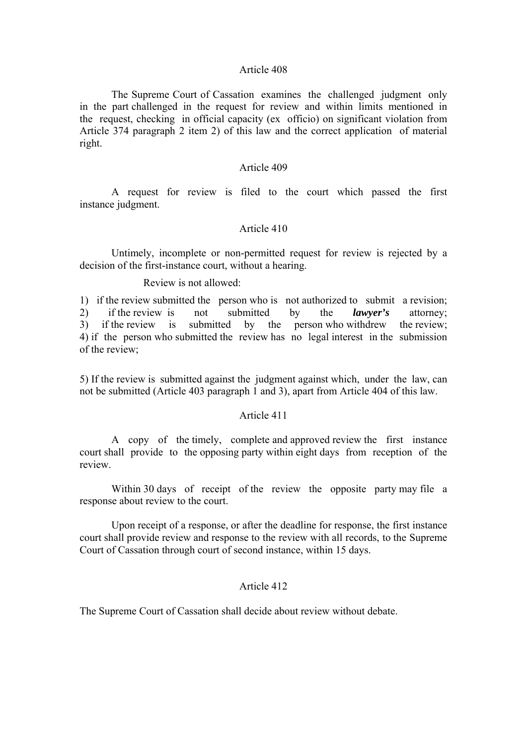The Supreme Court of Cassation examines the challenged judgment only in the part challenged in the request for review and within limits mentioned in the request, checking in official capacity (ex officio) on significant violation from Article 374 paragraph 2 item 2) of this law and the correct application of material right.

### Article 409

 A request for review is filed to the court which passed the first instance judgment.

# Article 410

 Untimely, incomplete or non-permitted request for review is rejected by a decision of the first-instance court, without a hearing.

### Review is not allowed:

1) if the review submitted the person who is not authorized to submit a revision; 2) if the review is not submitted by the *lawyer's* attorney; 3) if the review is submitted by the person who withdrew the review; 4) if the person who submitted the review has no legal interest in the submission of the review;

5) If the review is submitted against the judgment against which, under the law, can not be submitted (Article 403 paragraph 1 and 3), apart from Article 404 of this law.

### Article 411

 A copy of the timely, complete and approved review the first instance court shall provide to the opposing party within eight days from reception of the review.

Within 30 days of receipt of the review the opposite party may file a response about review to the court.

 Upon receipt of a response, or after the deadline for response, the first instance court shall provide review and response to the review with all records, to the Supreme Court of Cassation through court of second instance, within 15 days.

# Article 412

The Supreme Court of Cassation shall decide about review without debate.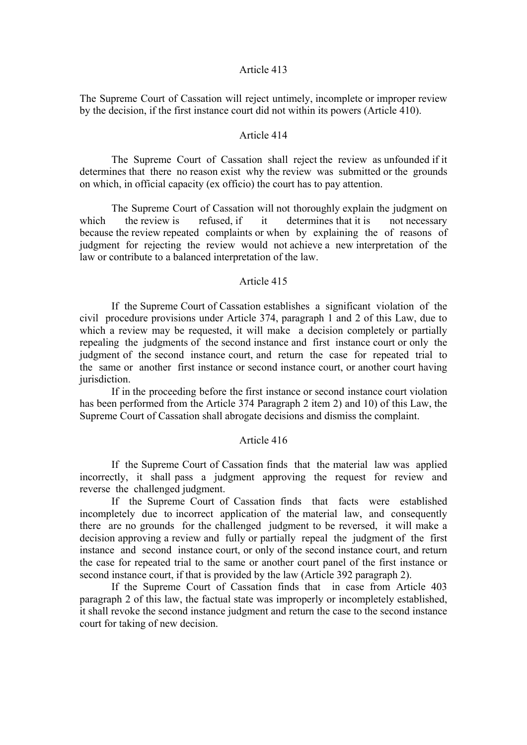The Supreme Court of Cassation will reject untimely, incomplete or improper review by the decision, if the first instance court did not within its powers (Article 410).

### Article 414

The Supreme Court of Cassation shall reject the review as unfounded if it determines that there no reason exist why the review was submitted or the grounds on which, in official capacity (ex officio) the court has to pay attention.

 The Supreme Court of Cassation will not thoroughly explain the judgment on which the review is refused, if it determines that it is not necessary because the review repeated complaints or when by explaining the of reasons of judgment for rejecting the review would not achieve a new interpretation of the law or contribute to a balanced interpretation of the law.

#### Article 415

 If the Supreme Court of Cassation establishes a significant violation of the civil procedure provisions under Article 374, paragraph 1 and 2 of this Law, due to which a review may be requested, it will make a decision completely or partially repealing the judgments of the second instance and first instance court or only the judgment of the second instance court, and return the case for repeated trial to the same or another first instance or second instance court, or another court having jurisdiction.

 If in the proceeding before the first instance or second instance court violation has been performed from the Article 374 Paragraph 2 item 2) and 10) of this Law, the Supreme Court of Cassation shall abrogate decisions and dismiss the complaint.

## Article 416

 If the Supreme Court of Cassation finds that the material law was applied incorrectly, it shall pass a judgment approving the request for review and reverse the challenged judgment.

 If the Supreme Court of Cassation finds that facts were established incompletely due to incorrect application of the material law, and consequently there are no grounds for the challenged judgment to be reversed, it will make a decision approving a review and fully or partially repeal the judgment of the first instance and second instance court, or only of the second instance court, and return the case for repeated trial to the same or another court panel of the first instance or second instance court, if that is provided by the law (Article 392 paragraph 2).

If the Supreme Court of Cassation finds that in case from Article 403 paragraph 2 of this law, the factual state was improperly or incompletely established, it shall revoke the second instance judgment and return the case to the second instance court for taking of new decision.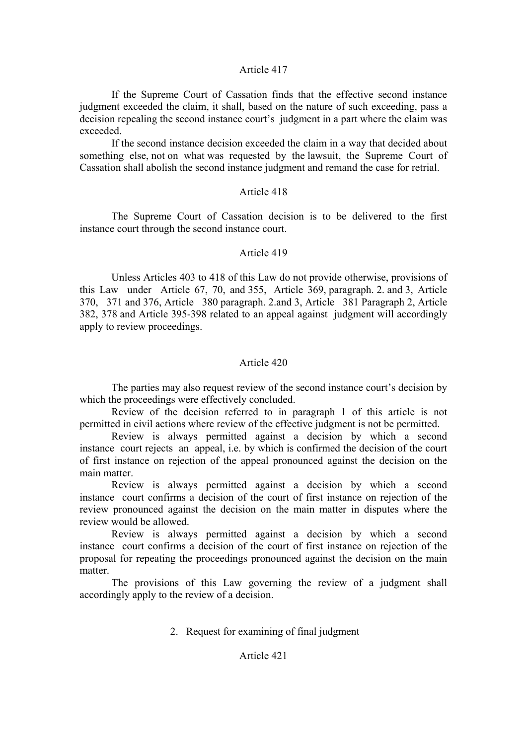If the Supreme Court of Cassation finds that the effective second instance judgment exceeded the claim, it shall, based on the nature of such exceeding, pass a decision repealing the second instance court's judgment in a part where the claim was exceeded.

 If the second instance decision exceeded the claim in a way that decided about something else, not on what was requested by the lawsuit, the Supreme Court of Cassation shall abolish the second instance judgment and remand the case for retrial.

# Article 418

 The Supreme Court of Cassation decision is to be delivered to the first instance court through the second instance court.

#### Article 419

Unless Articles 403 to 418 of this Law do not provide otherwise, provisions of this Law under Article 67, 70, and 355, Article 369, paragraph. 2. and 3, Article 370, 371 and 376, Article 380 paragraph. 2.and 3, Article 381 Paragraph 2, Article 382, 378 and Article 395-398 related to an appeal against judgment will accordingly apply to review proceedings.

## Article 420

 The parties may also request review of the second instance court's decision by which the proceedings were effectively concluded.

 Review of the decision referred to in paragraph 1 of this article is not permitted in civil actions where review of the effective judgment is not be permitted.

 Review is always permitted against a decision by which a second instance court rejects an appeal, i.e. by which is confirmed the decision of the court of first instance on rejection of the appeal pronounced against the decision on the main matter

 Review is always permitted against a decision by which a second instance court confirms a decision of the court of first instance on rejection of the review pronounced against the decision on the main matter in disputes where the review would be allowed.

 Review is always permitted against a decision by which a second instance court confirms a decision of the court of first instance on rejection of the proposal for repeating the proceedings pronounced against the decision on the main matter.

 The provisions of this Law governing the review of a judgment shall accordingly apply to the review of a decision.

2. Request for examining of final judgment

## Article 421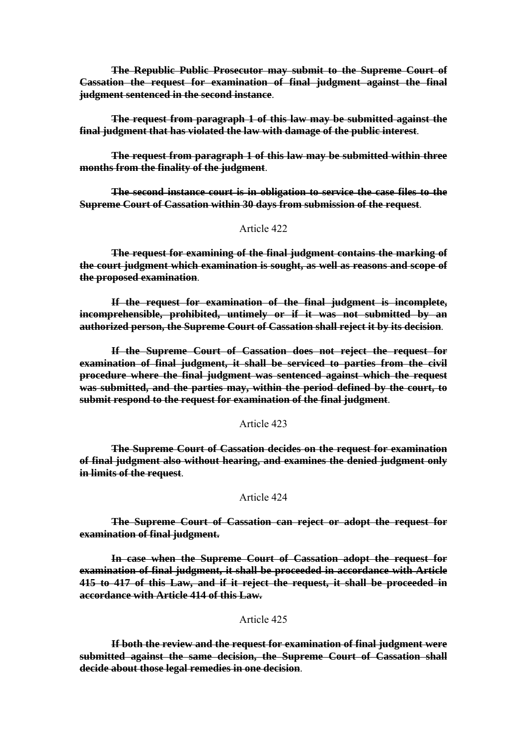**The Republic Public Prosecutor may submit to the Supreme Court of Cassation the request for examination of final judgment against the final judgment sentenced in the second instance**.

**The request from paragraph 1 of this law may be submitted against the final judgment that has violated the law with damage of the public interest**.

**The request from paragraph 1 of this law may be submitted within three months from the finality of the judgment**.

**The second instance court is in obligation to service the case files to the Supreme Court of Cassation within 30 days from submission of the request**.

#### Article 422

**The request for examining of the final judgment contains the marking of the court judgment which examination is sought, as well as reasons and scope of the proposed examination**.

**If the request for examination of the final judgment is incomplete, incomprehensible, prohibited, untimely or if it was not submitted by an authorized person, the Supreme Court of Cassation shall reject it by its decision**.

**If the Supreme Court of Cassation does not reject the request for examination of final judgment, it shall be serviced to parties from the civil procedure where the final judgment was sentenced against which the request was submitted, and the parties may, within the period defined by the court, to submit respond to the request for examination of the final judgment**.

### Article 423

**The Supreme Court of Cassation decides on the request for examination of final judgment also without hearing, and examines the denied judgment only in limits of the request**.

#### Article 424

**The Supreme Court of Cassation can reject or adopt the request for examination of final judgment.**

**In case when the Supreme Court of Cassation adopt the request for examination of final judgment, it shall be proceeded in accordance with Article 415 to 417 of this Law, and if it reject the request, it shall be proceeded in accordance with Article 414 of this Law.**

### Article 425

**If both the review and the request for examination of final judgment were submitted against the same decision, the Supreme Court of Cassation shall decide about those legal remedies in one decision**.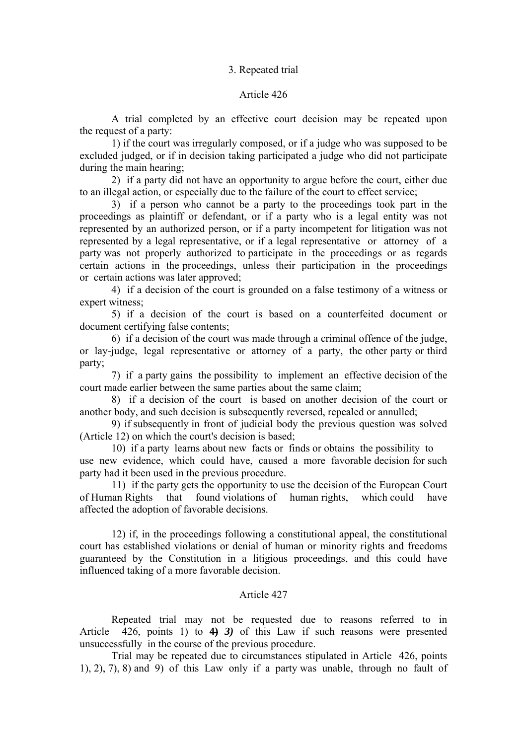## 3. Repeated trial

### Article 426

 A trial completed by an effective court decision may be repeated upon the request of a party:

 1) if the court was irregularly composed, or if a judge who was supposed to be excluded judged, or if in decision taking participated a judge who did not participate during the main hearing;

 2) if a party did not have an opportunity to argue before the court, either due to an illegal action, or especially due to the failure of the court to effect service;

 3) if a person who cannot be a party to the proceedings took part in the proceedings as plaintiff or defendant, or if a party who is a legal entity was not represented by an authorized person, or if a party incompetent for litigation was not represented by a legal representative, or if a legal representative or attorney of a party was not properly authorized to participate in the proceedings or as regards certain actions in the proceedings, unless their participation in the proceedings or certain actions was later approved;

 4) if a decision of the court is grounded on a false testimony of a witness or expert witness;

 5) if a decision of the court is based on a counterfeited document or document certifying false contents;

 6) if a decision of the court was made through a criminal offence of the judge, or lay-judge, legal representative or attorney of a party, the other party or third party;

 7) if a party gains the possibility to implement an effective decision of the court made earlier between the same parties about the same claim;

 8) if a decision of the court is based on another decision of the court or another body, and such decision is subsequently reversed, repealed or annulled;

 9) if subsequently in front of judicial body the previous question was solved (Article 12) on which the court's decision is based;

 10) if a party learns about new facts or finds or obtains the possibility to use new evidence, which could have, caused a more favorable decision for such party had it been used in the previous procedure.

 11) if the party gets the opportunity to use the decision of the European Court of Human Rights that found violations of human rights, which could have affected the adoption of favorable decisions.

12) if, in the proceedings following a constitutional appeal, the constitutional court has established violations or denial of human or minority rights and freedoms guaranteed by the Constitution in a litigious proceedings, and this could have influenced taking of a more favorable decision.

## Article 427

 Repeated trial may not be requested due to reasons referred to in Article 426, points 1) to **4)** *3)* of this Law if such reasons were presented unsuccessfully in the course of the previous procedure.

 Trial may be repeated due to circumstances stipulated in Article 426, points 1), 2), 7), 8) and 9) of this Law only if a party was unable, through no fault of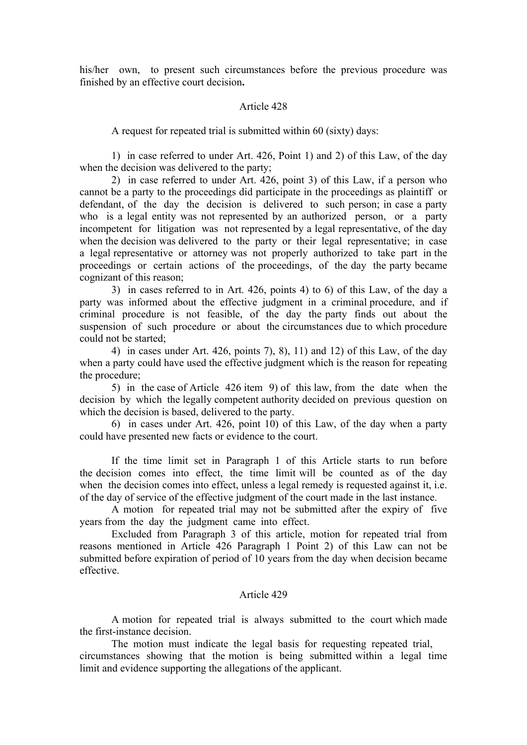his/her own, to present such circumstances before the previous procedure was finished by an effective court decision**.**

### Article 428

A request for repeated trial is submitted within 60 (sixty) days:

 1) in case referred to under Art. 426, Point 1) and 2) of this Law, of the day when the decision was delivered to the party;

 2) in case referred to under Art. 426, point 3) of this Law, if a person who cannot be a party to the proceedings did participate in the proceedings as plaintiff or defendant, of the day the decision is delivered to such person; in case a party who is a legal entity was not represented by an authorized person, or a party incompetent for litigation was not represented by a legal representative, of the day when the decision was delivered to the party or their legal representative; in case a legal representative or attorney was not properly authorized to take part in the proceedings or certain actions of the proceedings, of the day the party became cognizant of this reason;

 3) in cases referred to in Art. 426, points 4) to 6) of this Law, of the day a party was informed about the effective judgment in a criminal procedure, and if criminal procedure is not feasible, of the day the party finds out about the suspension of such procedure or about the circumstances due to which procedure could not be started;

 4) in cases under Art. 426, points 7), 8), 11) and 12) of this Law, of the day when a party could have used the effective judgment which is the reason for repeating the procedure;

 5) in the case of Article 426 item 9) of this law, from the date when the decision by which the legally competent authority decided on previous question on which the decision is based, delivered to the party.

 6) in cases under Art. 426, point 10) of this Law, of the day when a party could have presented new facts or evidence to the court.

 If the time limit set in Paragraph 1 of this Article starts to run before the decision comes into effect, the time limit will be counted as of the day when the decision comes into effect, unless a legal remedy is requested against it, i.e. of the day of service of the effective judgment of the court made in the last instance.

 A motion for repeated trial may not be submitted after the expiry of five years from the day the judgment came into effect.

 Excluded from Paragraph 3 of this article, motion for repeated trial from reasons mentioned in Article 426 Paragraph 1 Point 2) of this Law can not be submitted before expiration of period of 10 years from the day when decision became effective.

## Article 429

 A motion for repeated trial is always submitted to the court which made the first-instance decision.

 The motion must indicate the legal basis for requesting repeated trial, circumstances showing that the motion is being submitted within a legal time limit and evidence supporting the allegations of the applicant.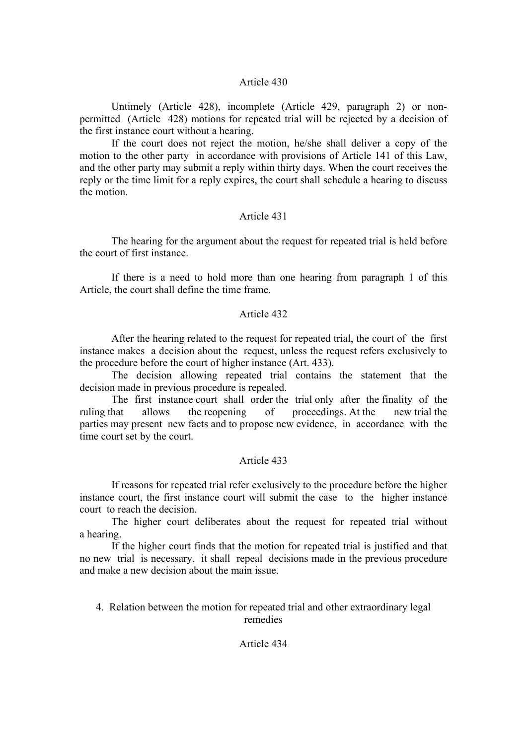Untimely (Article 428), incomplete (Article 429, paragraph 2) or nonpermitted (Article 428) motions for repeated trial will be rejected by a decision of the first instance court without a hearing.

 If the court does not reject the motion, he/she shall deliver a copy of the motion to the other party in accordance with provisions of Article 141 of this Law, and the other party may submit a reply within thirty days. When the court receives the reply or the time limit for a reply expires, the court shall schedule a hearing to discuss the motion.

#### Article 431

The hearing for the argument about the request for repeated trial is held before the court of first instance.

If there is a need to hold more than one hearing from paragraph 1 of this Article, the court shall define the time frame.

## Article 432

 After the hearing related to the request for repeated trial, the court of the first instance makes a decision about the request, unless the request refers exclusively to the procedure before the court of higher instance (Art. 433).

 The decision allowing repeated trial contains the statement that the decision made in previous procedure is repealed.

 The first instance court shall order the trial only after the finality of the ruling that allows the reopening of proceedings. At the new trial the parties may present new facts and to propose new evidence, in accordance with the time court set by the court.

# Article 433

 If reasons for repeated trial refer exclusively to the procedure before the higher instance court, the first instance court will submit the case to the higher instance court to reach the decision.

 The higher court deliberates about the request for repeated trial without a hearing.

 If the higher court finds that the motion for repeated trial is justified and that no new trial is necessary, it shall repeal decisions made in the previous procedure and make a new decision about the main issue.

4. Relation between the motion for repeated trial and other extraordinary legal remedies

## Article 434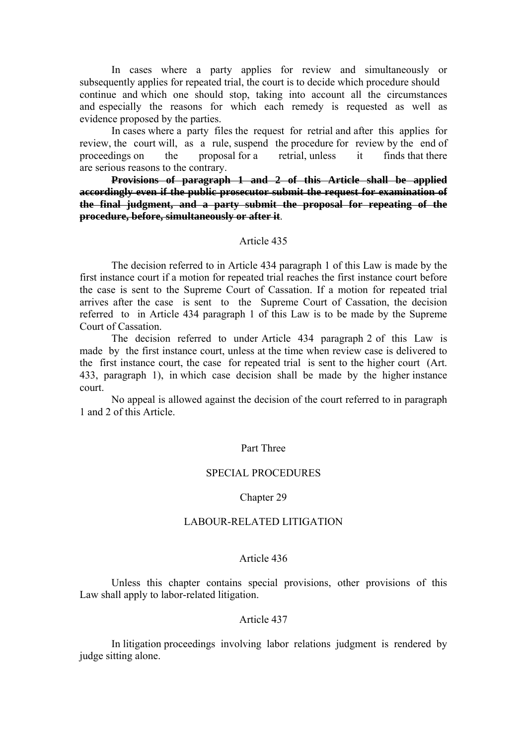In cases where a party applies for review and simultaneously or subsequently applies for repeated trial, the court is to decide which procedure should continue and which one should stop, taking into account all the circumstances and especially the reasons for which each remedy is requested as well as evidence proposed by the parties.

 In cases where a party files the request for retrial and after this applies for review, the court will, as a rule, suspend the procedure for review by the end of proceedings on the proposal for a retrial, unless it finds that there are serious reasons to the contrary.

**Provisions of paragraph 1 and 2 of this Article shall be applied accordingly even if the public prosecutor submit the request for examination of the final judgment, and a party submit the proposal for repeating of the procedure, before, simultaneously or after it**.

## Article 435

 The decision referred to in Article 434 paragraph 1 of this Law is made by the first instance court if a motion for repeated trial reaches the first instance court before the case is sent to the Supreme Court of Cassation. If a motion for repeated trial arrives after the case is sent to the Supreme Court of Cassation, the decision referred to in Article 434 paragraph 1 of this Law is to be made by the Supreme Court of Cassation.

 The decision referred to under Article 434 paragraph 2 of this Law is made by the first instance court, unless at the time when review case is delivered to the first instance court, the case for repeated trial is sent to the higher court (Art. 433, paragraph 1), in which case decision shall be made by the higher instance court.

 No appeal is allowed against the decision of the court referred to in paragraph 1 and 2 of this Article.

#### Part Three

## SPECIAL PROCEDURES

#### Chapter 29

## LABOUR-RELATED LITIGATION

#### Article 436

 Unless this chapter contains special provisions, other provisions of this Law shall apply to labor-related litigation.

### Article 437

In litigation proceedings involving labor relations judgment is rendered by judge sitting alone.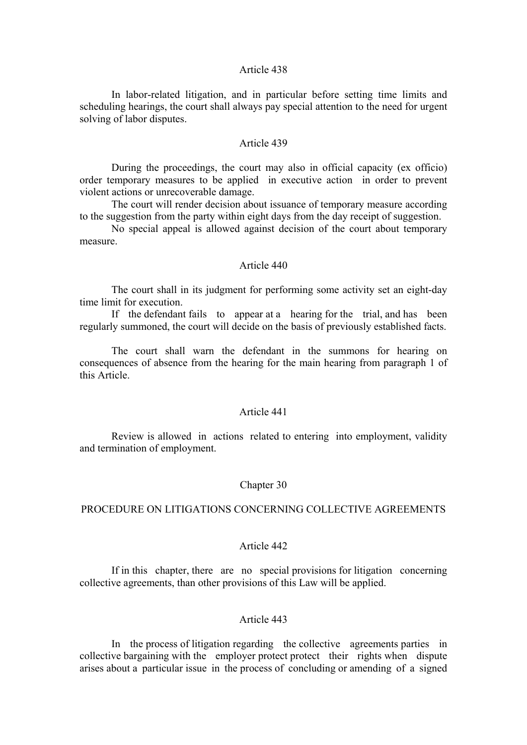In labor-related litigation, and in particular before setting time limits and scheduling hearings, the court shall always pay special attention to the need for urgent solving of labor disputes.

# Article 439

 During the proceedings, the court may also in official capacity (ex officio) order temporary measures to be applied in executive action in order to prevent violent actions or unrecoverable damage.

 The court will render decision about issuance of temporary measure according to the suggestion from the party within eight days from the day receipt of suggestion.

 No special appeal is allowed against decision of the court about temporary measure.

### Article 440

 The court shall in its judgment for performing some activity set an eight-day time limit for execution.

 If the defendant fails to appear at a hearing for the trial, and has been regularly summoned, the court will decide on the basis of previously established facts.

The court shall warn the defendant in the summons for hearing on consequences of absence from the hearing for the main hearing from paragraph 1 of this Article.

### Article 441

 Review is allowed in actions related to entering into employment, validity and termination of employment.

#### Chapter 30

# PROCEDURE ON LITIGATIONS CONCERNING COLLECTIVE AGREEMENTS

#### Article 442

 If in this chapter, there are no special provisions for litigation concerning collective agreements, than other provisions of this Law will be applied.

## Article 443

 In the process of litigation regarding the collective agreements parties in collective bargaining with the employer protect protect their rights when dispute arises about a particular issue in the process of concluding or amending of a signed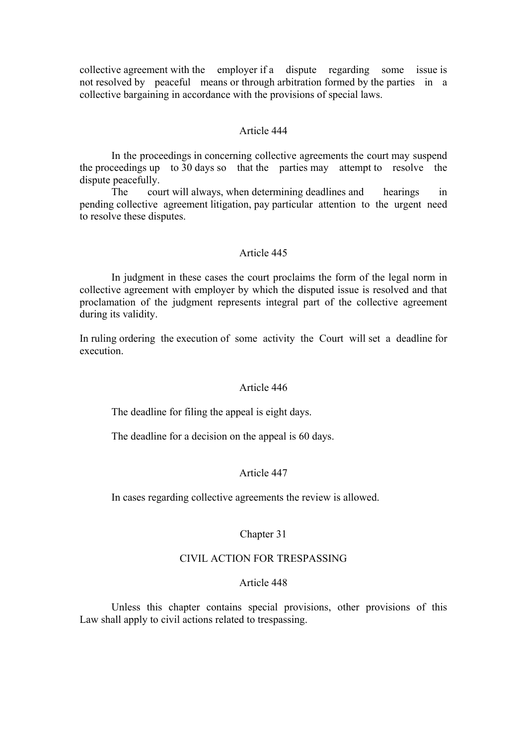collective agreement with the employer if a dispute regarding some issue is not resolved by peaceful means or through arbitration formed by the parties in a collective bargaining in accordance with the provisions of special laws.

## Article 444

 In the proceedings in concerning collective agreements the court may suspend the proceedings up to 30 days so that the parties may attempt to resolve the dispute peacefully.

The court will always, when determining deadlines and hearings in pending collective agreement litigation, pay particular attention to the urgent need to resolve these disputes.

#### Article 445

 In judgment in these cases the court proclaims the form of the legal norm in collective agreement with employer by which the disputed issue is resolved and that proclamation of the judgment represents integral part of the collective agreement during its validity.

In ruling ordering the execution of some activity the Court will set a deadline for execution.

### Article 446

The deadline for filing the appeal is eight days.

The deadline for a decision on the appeal is 60 days.

## Article 447

In cases regarding collective agreements the review is allowed.

### Chapter 31

# CIVIL ACTION FOR TRESPASSING

## Article 448

 Unless this chapter contains special provisions, other provisions of this Law shall apply to civil actions related to trespassing.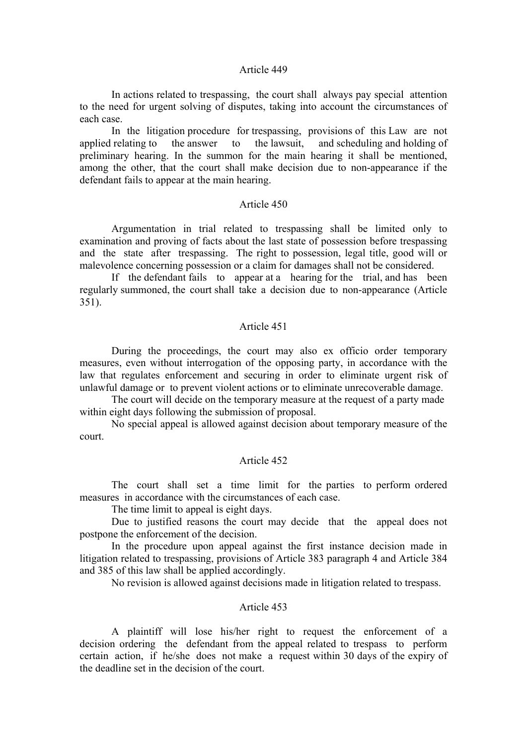In actions related to trespassing, the court shall always pay special attention to the need for urgent solving of disputes, taking into account the circumstances of each case.

 In the litigation procedure for trespassing, provisions of this Law are not applied relating to the answer to the lawsuit, and scheduling and holding of preliminary hearing. In the summon for the main hearing it shall be mentioned, among the other, that the court shall make decision due to non-appearance if the defendant fails to appear at the main hearing.

#### Article 450

 Argumentation in trial related to trespassing shall be limited only to examination and proving of facts about the last state of possession before trespassing and the state after trespassing. The right to possession, legal title, good will or malevolence concerning possession or a claim for damages shall not be considered.

 If the defendant fails to appear at a hearing for the trial, and has been regularly summoned, the court shall take a decision due to non-appearance (Article 351).

### Article 451

 During the proceedings, the court may also ex officio order temporary measures, even without interrogation of the opposing party, in accordance with the law that regulates enforcement and securing in order to eliminate urgent risk of unlawful damage or to prevent violent actions or to eliminate unrecoverable damage.

 The court will decide on the temporary measure at the request of a party made within eight days following the submission of proposal.

 No special appeal is allowed against decision about temporary measure of the court.

### Article 452

 The court shall set a time limit for the parties to perform ordered measures in accordance with the circumstances of each case.

The time limit to appeal is eight days.

 Due to justified reasons the court may decide that the appeal does not postpone the enforcement of the decision.

In the procedure upon appeal against the first instance decision made in litigation related to trespassing, provisions of Article 383 paragraph 4 and Article 384 and 385 of this law shall be applied accordingly.

No revision is allowed against decisions made in litigation related to trespass.

# Article 453

 A plaintiff will lose his/her right to request the enforcement of a decision ordering the defendant from the appeal related to trespass to perform certain action, if he/she does not make a request within 30 days of the expiry of the deadline set in the decision of the court.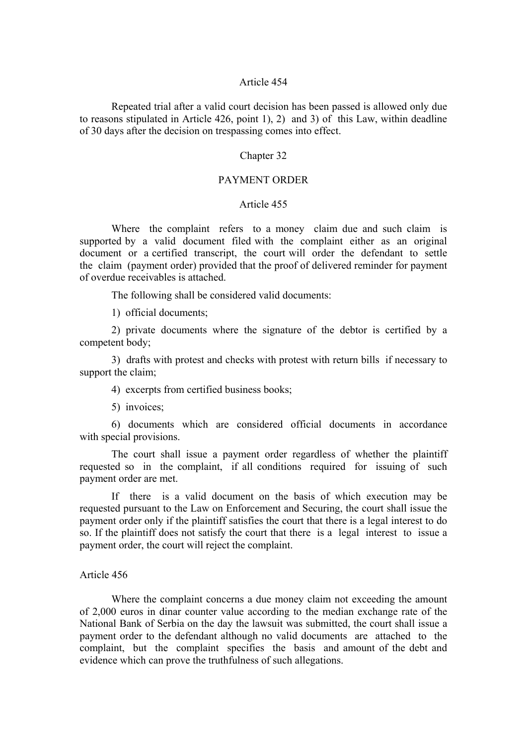Repeated trial after a valid court decision has been passed is allowed only due to reasons stipulated in Article 426, point 1), 2) and 3) of this Law, within deadline of 30 days after the decision on trespassing comes into effect.

#### Chapter 32

## PAYMENT ORDER

### Article 455

Where the complaint refers to a money claim due and such claim is supported by a valid document filed with the complaint either as an original document or a certified transcript, the court will order the defendant to settle the claim (payment order) provided that the proof of delivered reminder for payment of overdue receivables is attached.

The following shall be considered valid documents:

1) official documents;

 2) private documents where the signature of the debtor is certified by a competent body;

 3) drafts with protest and checks with protest with return bills if necessary to support the claim;

4) excerpts from certified business books;

5) invoices;

 6) documents which are considered official documents in accordance with special provisions.

 The court shall issue a payment order regardless of whether the plaintiff requested so in the complaint, if all conditions required for issuing of such payment order are met.

 If there is a valid document on the basis of which execution may be requested pursuant to the Law on Enforcement and Securing, the court shall issue the payment order only if the plaintiff satisfies the court that there is a legal interest to do so. If the plaintiff does not satisfy the court that there is a legal interest to issue a payment order, the court will reject the complaint.

### Article 456

 Where the complaint concerns a due money claim not exceeding the amount of 2,000 euros in dinar counter value according to the median exchange rate of the National Bank of Serbia on the day the lawsuit was submitted, the court shall issue a payment order to the defendant although no valid documents are attached to the complaint, but the complaint specifies the basis and amount of the debt and evidence which can prove the truthfulness of such allegations.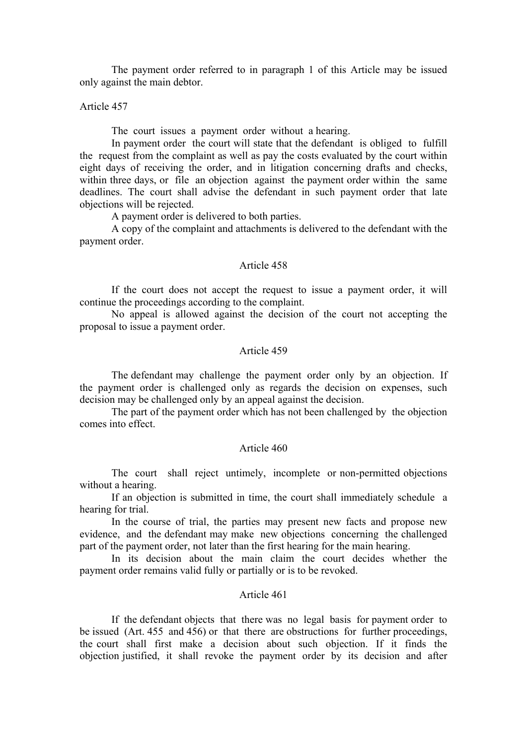The payment order referred to in paragraph 1 of this Article may be issued only against the main debtor.

Article 457

The court issues a payment order without a hearing.

 In payment order the court will state that the defendant is obliged to fulfill the request from the complaint as well as pay the costs evaluated by the court within eight days of receiving the order, and in litigation concerning drafts and checks, within three days, or file an objection against the payment order within the same deadlines. The court shall advise the defendant in such payment order that late objections will be rejected.

A payment order is delivered to both parties.

 A copy of the complaint and attachments is delivered to the defendant with the payment order.

#### Article 458

 If the court does not accept the request to issue a payment order, it will continue the proceedings according to the complaint.

 No appeal is allowed against the decision of the court not accepting the proposal to issue a payment order.

#### Article 459

 The defendant may challenge the payment order only by an objection. If the payment order is challenged only as regards the decision on expenses, such decision may be challenged only by an appeal against the decision.

 The part of the payment order which has not been challenged by the objection comes into effect.

#### Article 460

 The court shall reject untimely, incomplete or non-permitted objections without a hearing.

 If an objection is submitted in time, the court shall immediately schedule a hearing for trial.

 In the course of trial, the parties may present new facts and propose new evidence, and the defendant may make new objections concerning the challenged part of the payment order, not later than the first hearing for the main hearing.

 In its decision about the main claim the court decides whether the payment order remains valid fully or partially or is to be revoked.

## Article 461

 If the defendant objects that there was no legal basis for payment order to be issued (Art. 455 and 456) or that there are obstructions for further proceedings, the court shall first make a decision about such objection. If it finds the objection justified, it shall revoke the payment order by its decision and after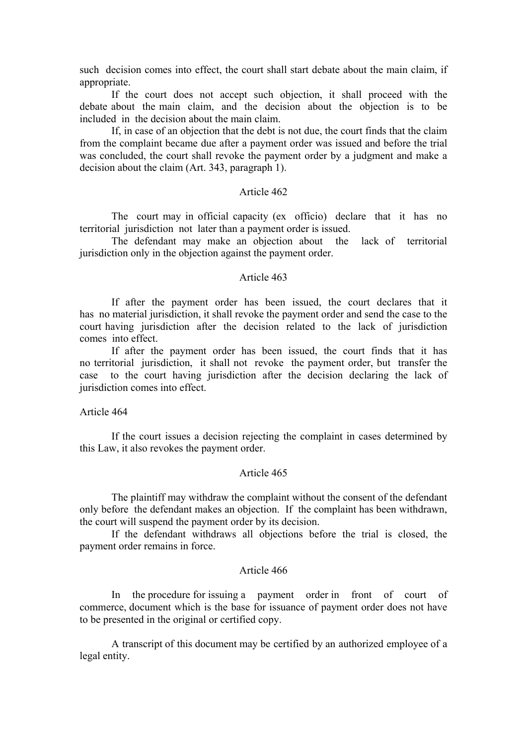such decision comes into effect, the court shall start debate about the main claim, if appropriate.

 If the court does not accept such objection, it shall proceed with the debate about the main claim, and the decision about the objection is to be included in the decision about the main claim.

 If, in case of an objection that the debt is not due, the court finds that the claim from the complaint became due after a payment order was issued and before the trial was concluded, the court shall revoke the payment order by a judgment and make a decision about the claim (Art. 343, paragraph 1).

## Article 462

 The court may in official capacity (ex officio) declare that it has no territorial jurisdiction not later than a payment order is issued.

 The defendant may make an objection about the lack of territorial jurisdiction only in the objection against the payment order.

## Article 463

 If after the payment order has been issued, the court declares that it has no material jurisdiction, it shall revoke the payment order and send the case to the court having jurisdiction after the decision related to the lack of jurisdiction comes into effect.

 If after the payment order has been issued, the court finds that it has no territorial jurisdiction, it shall not revoke the payment order, but transfer the case to the court having jurisdiction after the decision declaring the lack of jurisdiction comes into effect.

## Article 464

 If the court issues a decision rejecting the complaint in cases determined by this Law, it also revokes the payment order.

## Article 465

 The plaintiff may withdraw the complaint without the consent of the defendant only before the defendant makes an objection. If the complaint has been withdrawn, the court will suspend the payment order by its decision.

 If the defendant withdraws all objections before the trial is closed, the payment order remains in force.

## Article 466

In the procedure for issuing a payment order in front of court of commerce, document which is the base for issuance of payment order does not have to be presented in the original or certified copy.

 A transcript of this document may be certified by an authorized employee of a legal entity.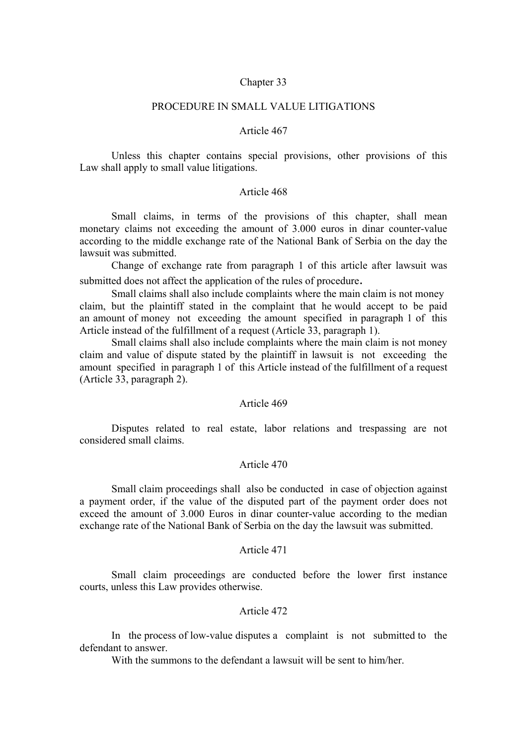### Chapter 33

### PROCEDURE IN SMALL VALUE LITIGATIONS

### Article 467

 Unless this chapter contains special provisions, other provisions of this Law shall apply to small value litigations.

## Article 468

 Small claims, in terms of the provisions of this chapter, shall mean monetary claims not exceeding the amount of 3.000 euros in dinar counter-value according to the middle exchange rate of the National Bank of Serbia on the day the lawsuit was submitted.

 Change of exchange rate from paragraph 1 of this article after lawsuit was submitted does not affect the application of the rules of procedure.

Small claims shall also include complaints where the main claim is not money claim, but the plaintiff stated in the complaint that he would accept to be paid an amount of money not exceeding the amount specified in paragraph 1 of this Article instead of the fulfillment of a request (Article 33, paragraph 1).

 Small claims shall also include complaints where the main claim is not money claim and value of dispute stated by the plaintiff in lawsuit is not exceeding the amount specified in paragraph 1 of this Article instead of the fulfillment of a request (Article 33, paragraph 2).

### Article 469

 Disputes related to real estate, labor relations and trespassing are not considered small claims.

#### Article 470

 Small claim proceedings shall also be conducted in case of objection against a payment order, if the value of the disputed part of the payment order does not exceed the amount of 3.000 Euros in dinar counter-value according to the median exchange rate of the National Bank of Serbia on the day the lawsuit was submitted.

### Article 471

 Small claim proceedings are conducted before the lower first instance courts, unless this Law provides otherwise.

#### Article 472

In the process of low-value disputes a complaint is not submitted to the defendant to answer.

With the summons to the defendant a lawsuit will be sent to him/her.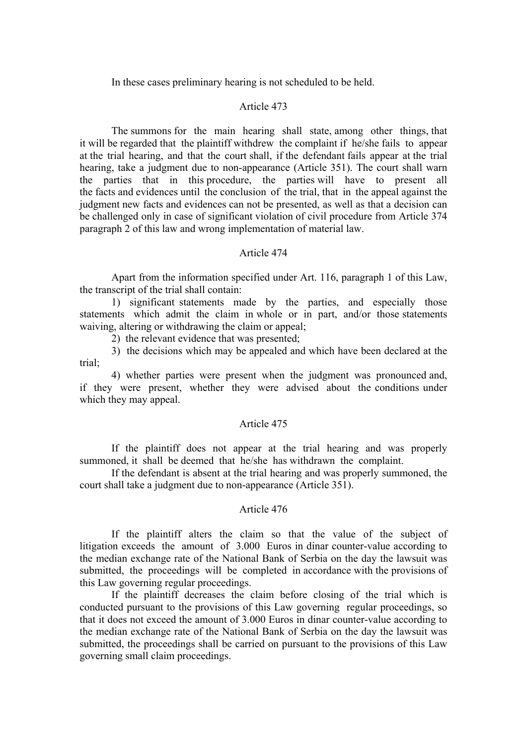In these cases preliminary hearing is not scheduled to be held.

### Article 473

 The summons for the main hearing shall state, among other things, that it will be regarded that the plaintiff withdrew the complaint if he/she fails to appear at the trial hearing, and that the court shall, if the defendant fails appear at the trial hearing, take a judgment due to non-appearance (Article 351). The court shall warn the parties that in this procedure, the parties will have to present all the facts and evidences until the conclusion of the trial, that in the appeal against the judgment new facts and evidences can not be presented, as well as that a decision can be challenged only in case of significant violation of civil procedure from Article 374 paragraph 2 of this law and wrong implementation of material law.

#### Article 474

 Apart from the information specified under Art. 116, paragraph 1 of this Law, the transcript of the trial shall contain:

 1) significant statements made by the parties, and especially those statements which admit the claim in whole or in part, and/or those statements waiving, altering or withdrawing the claim or appeal;

2) the relevant evidence that was presented;

 3) the decisions which may be appealed and which have been declared at the trial;

 4) whether parties were present when the judgment was pronounced and, if they were present, whether they were advised about the conditions under which they may appeal.

### Article 475

 If the plaintiff does not appear at the trial hearing and was properly summoned, it shall be deemed that he/she has withdrawn the complaint.

 If the defendant is absent at the trial hearing and was properly summoned, the court shall take a judgment due to non-appearance (Article 351).

## Article 476

 If the plaintiff alters the claim so that the value of the subject of litigation exceeds the amount of 3.000 Euros in dinar counter-value according to the median exchange rate of the National Bank of Serbia on the day the lawsuit was submitted, the proceedings will be completed in accordance with the provisions of this Law governing regular proceedings.

 If the plaintiff decreases the claim before closing of the trial which is conducted pursuant to the provisions of this Law governing regular proceedings, so that it does not exceed the amount of 3.000 Euros in dinar counter-value according to the median exchange rate of the National Bank of Serbia on the day the lawsuit was submitted, the proceedings shall be carried on pursuant to the provisions of this Law governing small claim proceedings.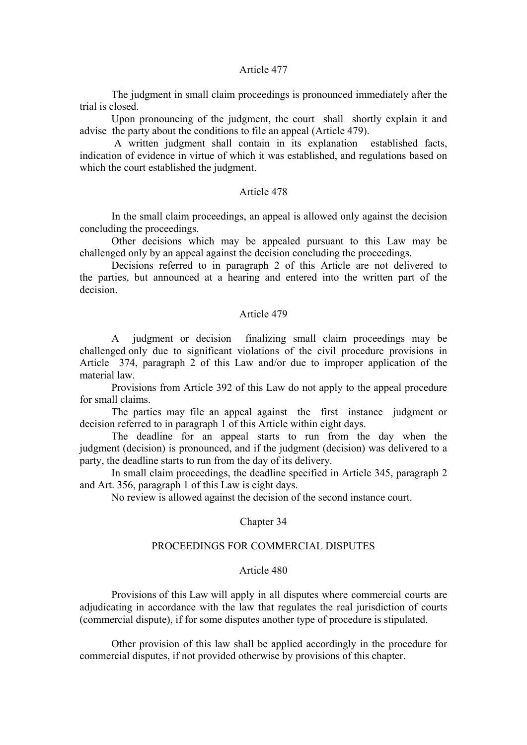The judgment in small claim proceedings is pronounced immediately after the trial is closed.

 Upon pronouncing of the judgment, the court shall shortly explain it and advise the party about the conditions to file an appeal (Article 479).

 A written judgment shall contain in its explanation established facts, indication of evidence in virtue of which it was established, and regulations based on which the court established the judgment.

### Article 478

 In the small claim proceedings, an appeal is allowed only against the decision concluding the proceedings.

 Other decisions which may be appealed pursuant to this Law may be challenged only by an appeal against the decision concluding the proceedings.

 Decisions referred to in paragraph 2 of this Article are not delivered to the parties, but announced at a hearing and entered into the written part of the decision.

## Article 479

 A judgment or decision finalizing small claim proceedings may be challenged only due to significant violations of the civil procedure provisions in Article 374, paragraph 2 of this Law and/or due to improper application of the material law.

 Provisions from Article 392 of this Law do not apply to the appeal procedure for small claims.

 The parties may file an appeal against the first instance judgment or decision referred to in paragraph 1 of this Article within eight days.

 The deadline for an appeal starts to run from the day when the judgment (decision) is pronounced, and if the judgment (decision) was delivered to a party, the deadline starts to run from the day of its delivery.

 In small claim proceedings, the deadline specified in Article 345, paragraph 2 and Art. 356, paragraph 1 of this Law is eight days.

No review is allowed against the decision of the second instance court.

### Chapter 34

## PROCEEDINGS FOR COMMERCIAL DISPUTES

# Article 480

Provisions of this Law will apply in all disputes where commercial courts are adjudicating in accordance with the law that regulates the real jurisdiction of courts (commercial dispute), if for some disputes another type of procedure is stipulated.

Other provision of this law shall be applied accordingly in the procedure for commercial disputes, if not provided otherwise by provisions of this chapter.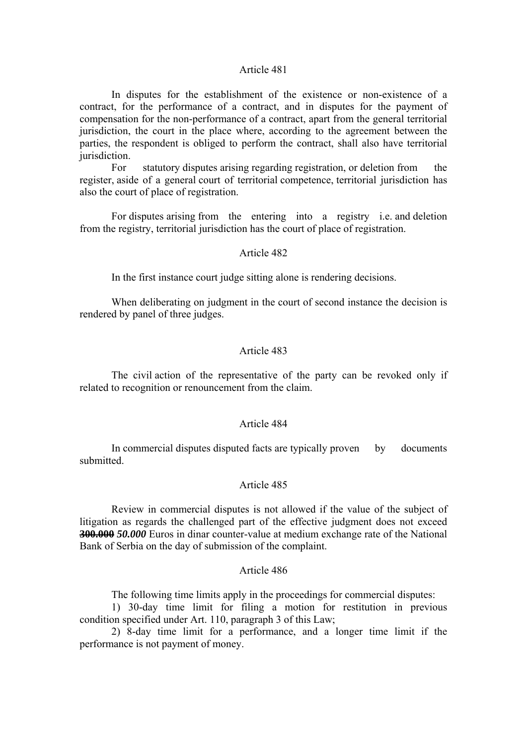In disputes for the establishment of the existence or non-existence of a contract, for the performance of a contract, and in disputes for the payment of compensation for the non-performance of a contract, apart from the general territorial jurisdiction, the court in the place where, according to the agreement between the parties, the respondent is obliged to perform the contract, shall also have territorial jurisdiction.

 For statutory disputes arising regarding registration, or deletion from the register, aside of a general court of territorial competence, territorial jurisdiction has also the court of place of registration.

 For disputes arising from the entering into a registry i.e. and deletion from the registry, territorial jurisdiction has the court of place of registration.

#### Article 482

In the first instance court judge sitting alone is rendering decisions.

 When deliberating on judgment in the court of second instance the decision is rendered by panel of three judges.

#### Article 483

 The civil action of the representative of the party can be revoked only if related to recognition or renouncement from the claim.

### Article 484

In commercial disputes disputed facts are typically proven by documents submitted.

#### Article 485

 Review in commercial disputes is not allowed if the value of the subject of litigation as regards the challenged part of the effective judgment does not exceed **300.000** *50.000* Euros in dinar counter-value at medium exchange rate of the National Bank of Serbia on the day of submission of the complaint.

#### Article 486

The following time limits apply in the proceedings for commercial disputes:

 1) 30-day time limit for filing a motion for restitution in previous condition specified under Art. 110, paragraph 3 of this Law;

 2) 8-day time limit for a performance, and a longer time limit if the performance is not payment of money.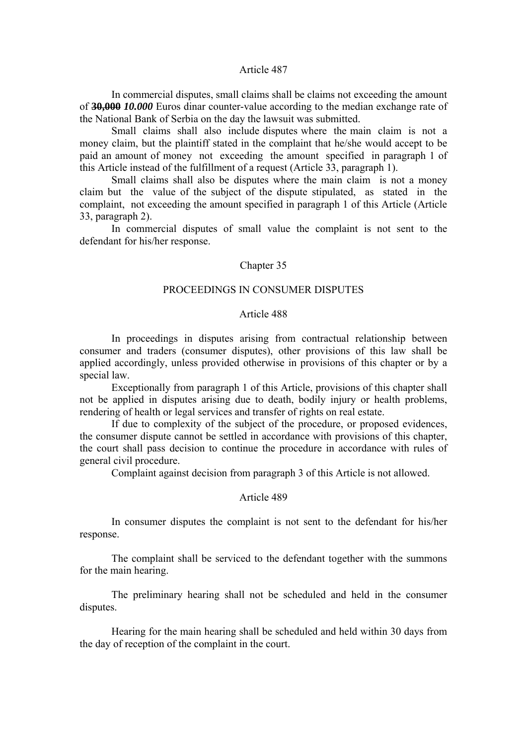In commercial disputes, small claims shall be claims not exceeding the amount of **30,000** *10.000* Euros dinar counter-value according to the median exchange rate of the National Bank of Serbia on the day the lawsuit was submitted.

 Small claims shall also include disputes where the main claim is not a money claim, but the plaintiff stated in the complaint that he/she would accept to be paid an amount of money not exceeding the amount specified in paragraph 1 of this Article instead of the fulfillment of a request (Article 33, paragraph 1).

 Small claims shall also be disputes where the main claim is not a money claim but the value of the subject of the dispute stipulated, as stated in the complaint, not exceeding the amount specified in paragraph 1 of this Article (Article 33, paragraph 2).

 In commercial disputes of small value the complaint is not sent to the defendant for his/her response.

#### Chapter 35

## PROCEEDINGS IN CONSUMER DISPUTES

## Article 488

In proceedings in disputes arising from contractual relationship between consumer and traders (consumer disputes), other provisions of this law shall be applied accordingly, unless provided otherwise in provisions of this chapter or by a special law.

Exceptionally from paragraph 1 of this Article, provisions of this chapter shall not be applied in disputes arising due to death, bodily injury or health problems, rendering of health or legal services and transfer of rights on real estate.

If due to complexity of the subject of the procedure, or proposed evidences, the consumer dispute cannot be settled in accordance with provisions of this chapter, the court shall pass decision to continue the procedure in accordance with rules of general civil procedure.

Complaint against decision from paragraph 3 of this Article is not allowed.

#### Article 489

In consumer disputes the complaint is not sent to the defendant for his/her response.

The complaint shall be serviced to the defendant together with the summons for the main hearing.

The preliminary hearing shall not be scheduled and held in the consumer disputes.

Hearing for the main hearing shall be scheduled and held within 30 days from the day of reception of the complaint in the court.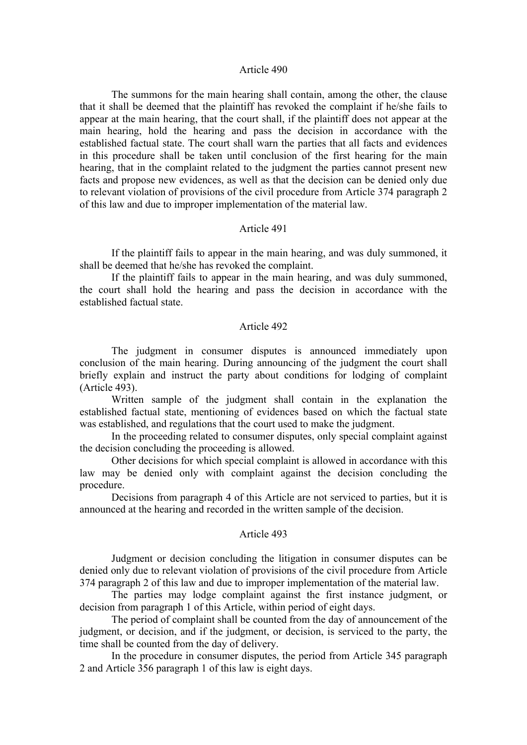The summons for the main hearing shall contain, among the other, the clause that it shall be deemed that the plaintiff has revoked the complaint if he/she fails to appear at the main hearing, that the court shall, if the plaintiff does not appear at the main hearing, hold the hearing and pass the decision in accordance with the established factual state. The court shall warn the parties that all facts and evidences in this procedure shall be taken until conclusion of the first hearing for the main hearing, that in the complaint related to the judgment the parties cannot present new facts and propose new evidences, as well as that the decision can be denied only due to relevant violation of provisions of the civil procedure from Article 374 paragraph 2 of this law and due to improper implementation of the material law.

## Article 491

If the plaintiff fails to appear in the main hearing, and was duly summoned, it shall be deemed that he/she has revoked the complaint.

If the plaintiff fails to appear in the main hearing, and was duly summoned, the court shall hold the hearing and pass the decision in accordance with the established factual state.

### Article 492

The judgment in consumer disputes is announced immediately upon conclusion of the main hearing. During announcing of the judgment the court shall briefly explain and instruct the party about conditions for lodging of complaint (Article 493).

Written sample of the judgment shall contain in the explanation the established factual state, mentioning of evidences based on which the factual state was established, and regulations that the court used to make the judgment.

In the proceeding related to consumer disputes, only special complaint against the decision concluding the proceeding is allowed.

Other decisions for which special complaint is allowed in accordance with this law may be denied only with complaint against the decision concluding the procedure.

Decisions from paragraph 4 of this Article are not serviced to parties, but it is announced at the hearing and recorded in the written sample of the decision.

#### Article 493

Judgment or decision concluding the litigation in consumer disputes can be denied only due to relevant violation of provisions of the civil procedure from Article 374 paragraph 2 of this law and due to improper implementation of the material law.

The parties may lodge complaint against the first instance judgment, or decision from paragraph 1 of this Article, within period of eight days.

The period of complaint shall be counted from the day of announcement of the judgment, or decision, and if the judgment, or decision, is serviced to the party, the time shall be counted from the day of delivery.

In the procedure in consumer disputes, the period from Article 345 paragraph 2 and Article 356 paragraph 1 of this law is eight days.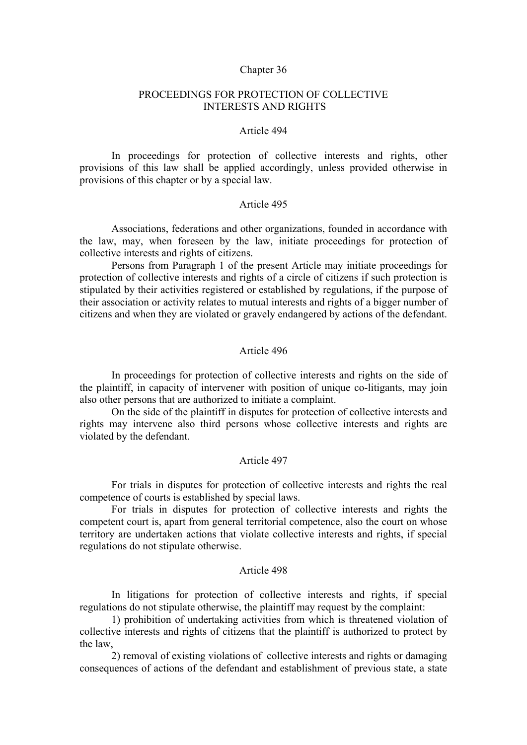### Chapter 36

## PROCEEDINGS FOR PROTECTION OF COLLECTIVE INTERESTS AND RIGHTS

## Article 494

In proceedings for protection of collective interests and rights, other provisions of this law shall be applied accordingly, unless provided otherwise in provisions of this chapter or by a special law.

#### Article 495

 Associations, federations and other organizations, founded in accordance with the law, may, when foreseen by the law, initiate proceedings for protection of collective interests and rights of citizens.

 Persons from Paragraph 1 of the present Article may initiate proceedings for protection of collective interests and rights of a circle of citizens if such protection is stipulated by their activities registered or established by regulations, if the purpose of their association or activity relates to mutual interests and rights of a bigger number of citizens and when they are violated or gravely endangered by actions of the defendant.

#### Article 496

 In proceedings for protection of collective interests and rights on the side of the plaintiff, in capacity of intervener with position of unique co-litigants, may join also other persons that are authorized to initiate a complaint.

 On the side of the plaintiff in disputes for protection of collective interests and rights may intervene also third persons whose collective interests and rights are violated by the defendant.

### Article 497

 For trials in disputes for protection of collective interests and rights the real competence of courts is established by special laws.

 For trials in disputes for protection of collective interests and rights the competent court is, apart from general territorial competence, also the court on whose territory are undertaken actions that violate collective interests and rights, if special regulations do not stipulate otherwise.

### Article 498

 In litigations for protection of collective interests and rights, if special regulations do not stipulate otherwise, the plaintiff may request by the complaint:

 1) prohibition of undertaking activities from which is threatened violation of collective interests and rights of citizens that the plaintiff is authorized to protect by the law,

 2) removal of existing violations of collective interests and rights or damaging consequences of actions of the defendant and establishment of previous state, a state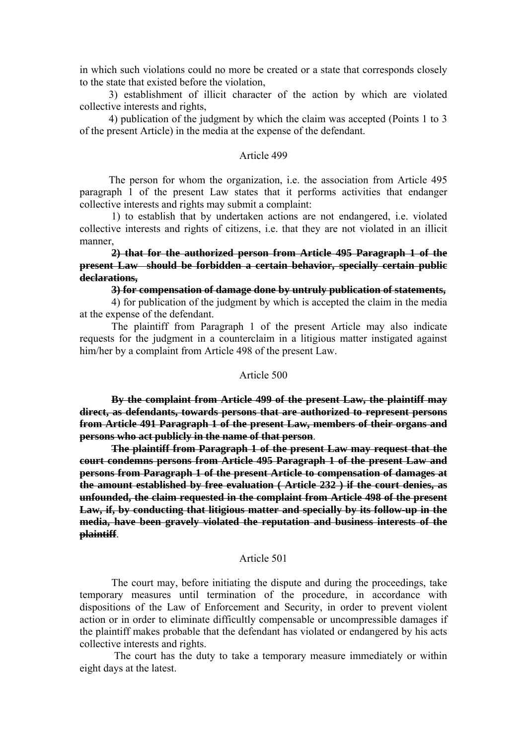in which such violations could no more be created or a state that corresponds closely to the state that existed before the violation,

 3) establishment of illicit character of the action by which are violated collective interests and rights,

 4) publication of the judgment by which the claim was accepted (Points 1 to 3 of the present Article) in the media at the expense of the defendant.

### Article 499

 The person for whom the organization, i.e. the association from Article 495 paragraph 1 of the present Law states that it performs activities that endanger collective interests and rights may submit a complaint:

 1) to establish that by undertaken actions are not endangered, i.e. violated collective interests and rights of citizens, i.e. that they are not violated in an illicit manner,

**2) that for the authorized person from Article 495 Paragraph 1 of the present Law should be forbidden a certain behavior, specially certain public declarations,** 

### **3) for compensation of damage done by untruly publication of statements,**

 4) for publication of the judgment by which is accepted the claim in the media at the expense of the defendant.

 The plaintiff from Paragraph 1 of the present Article may also indicate requests for the judgment in a counterclaim in a litigious matter instigated against him/her by a complaint from Article 498 of the present Law.

### Article 500

 **By the complaint from Article 499 of the present Law, the plaintiff may direct, as defendants, towards persons that are authorized to represent persons from Article 491 Paragraph 1 of the present Law, members of their organs and persons who act publicly in the name of that person**.

 **The plaintiff from Paragraph 1 of the present Law may request that the court condemns persons from Article 495 Paragraph 1 of the present Law and persons from Paragraph 1 of the present Article to compensation of damages at the amount established by free evaluation ( Article 232 ) if the court denies, as unfounded, the claim requested in the complaint from Article 498 of the present Law, if, by conducting that litigious matter and specially by its follow-up in the media, have been gravely violated the reputation and business interests of the plaintiff**.

### Article 501

 The court may, before initiating the dispute and during the proceedings, take temporary measures until termination of the procedure, in accordance with dispositions of the Law of Enforcement and Security, in order to prevent violent action or in order to eliminate difficultly compensable or uncompressible damages if the plaintiff makes probable that the defendant has violated or endangered by his acts collective interests and rights.

 The court has the duty to take a temporary measure immediately or within eight days at the latest.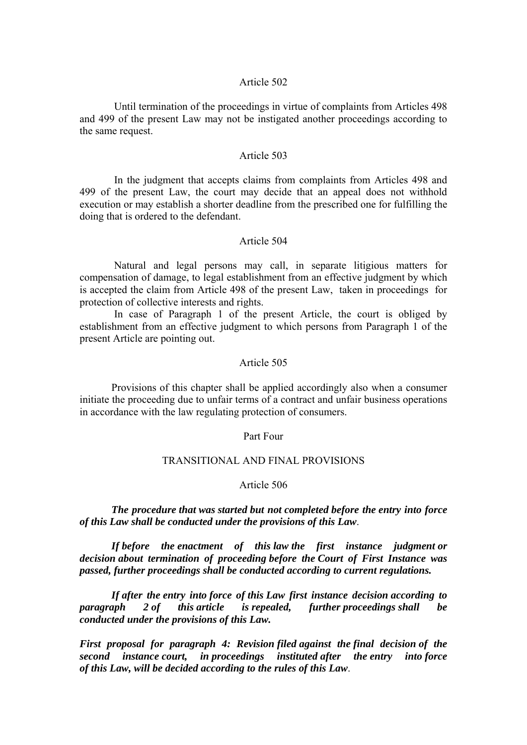Until termination of the proceedings in virtue of complaints from Articles 498 and 499 of the present Law may not be instigated another proceedings according to the same request.

# Article 503

 In the judgment that accepts claims from complaints from Articles 498 and 499 of the present Law, the court may decide that an appeal does not withhold execution or may establish a shorter deadline from the prescribed one for fulfilling the doing that is ordered to the defendant.

## Article 504

 Natural and legal persons may call, in separate litigious matters for compensation of damage, to legal establishment from an effective judgment by which is accepted the claim from Article 498 of the present Law, taken in proceedings for protection of collective interests and rights.

 In case of Paragraph 1 of the present Article, the court is obliged by establishment from an effective judgment to which persons from Paragraph 1 of the present Article are pointing out.

## Article 505

Provisions of this chapter shall be applied accordingly also when a consumer initiate the proceeding due to unfair terms of a contract and unfair business operations in accordance with the law regulating protection of consumers.

### Part Four

## TRANSITIONAL AND FINAL PROVISIONS

#### Article 506

*The procedure that was started but not completed before the entry into force of this Law shall be conducted under the provisions of this Law*.

 *If before the enactment of this law the first instance judgment or decision about termination of proceeding before the Court of First Instance was passed, further proceedings shall be conducted according to current regulations.* 

 *If after the entry into force of this Law first instance decision according to paragraph 2 of this article is repealed, further proceedings shall be conducted under the provisions of this Law.* 

*First proposal for paragraph 4: Revision filed against the final decision of the second instance court, in proceedings instituted after the entry into force of this Law, will be decided according to the rules of this Law*.